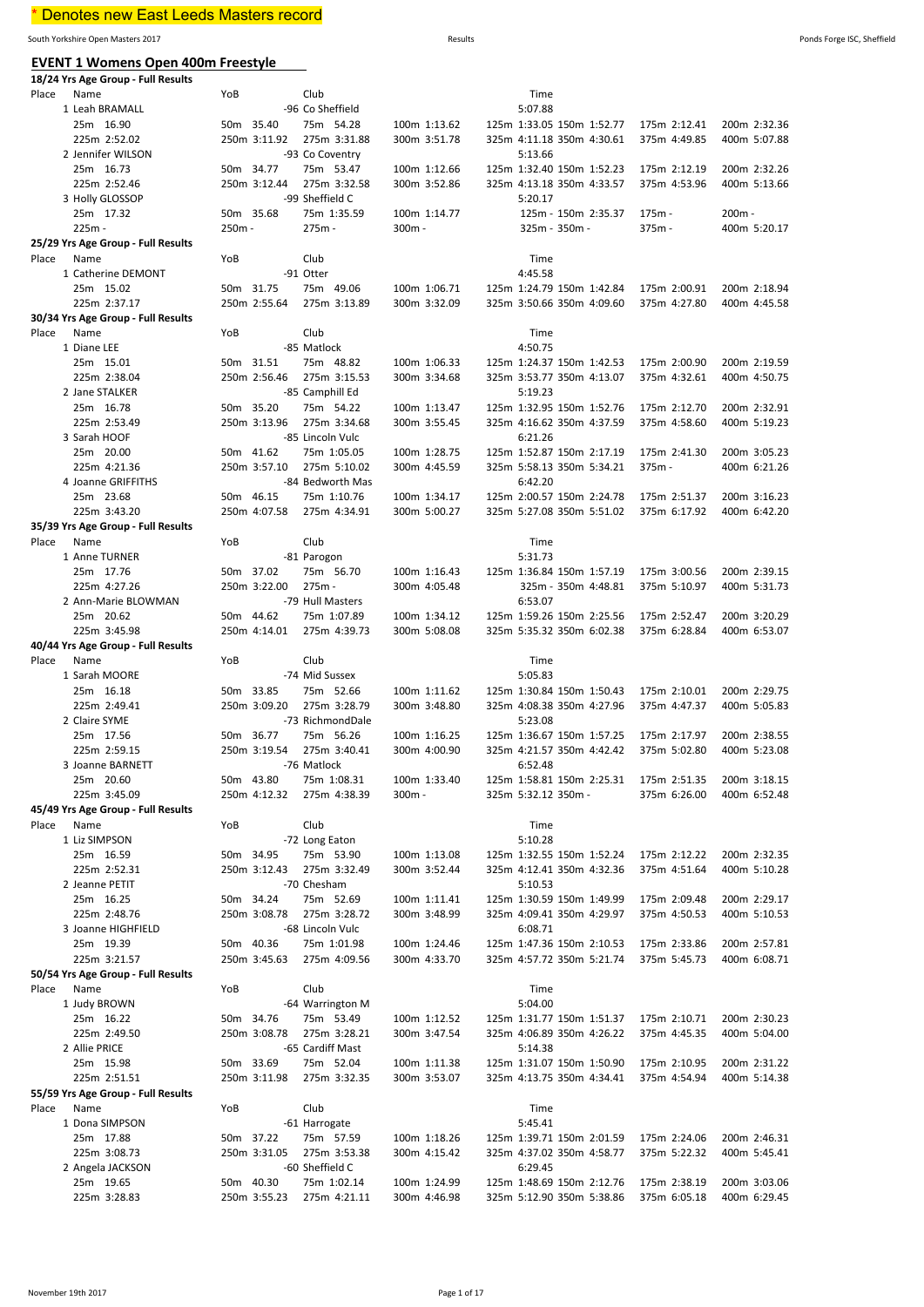# \* Denotes new East Leeds Masters record

South Yorkshire Open Masters 2017 Results Ponds Forge ISC, Sheffield

| <b>EVENT 1 Womens Open 400m Freestyle</b><br>18/24 Yrs Age Group - Full Results |                           |                                 |        |              |                                                        |              |                              |
|---------------------------------------------------------------------------------|---------------------------|---------------------------------|--------|--------------|--------------------------------------------------------|--------------|------------------------------|
| Place<br>Name                                                                   | YoB                       | Club                            |        |              | Time                                                   |              |                              |
| 1 Leah BRAMALL                                                                  |                           | -96 Co Sheffield                |        |              | 5:07.88                                                |              |                              |
| 25m 16.90                                                                       | 50m 35.40                 | 75m 54.28                       |        | 100m 1:13.62 | 125m 1:33.05 150m 1:52.77                              | 175m 2:12.41 | 200m 2:32.36                 |
| 225m 2:52.02                                                                    | 250m 3:11.92              | 275m 3:31.88                    |        | 300m 3:51.78 | 325m 4:11.18 350m 4:30.61                              | 375m 4:49.85 | 400m 5:07.88                 |
| 2 Jennifer WILSON                                                               |                           | -93 Co Coventry                 |        |              | 5:13.66                                                |              |                              |
| 25m 16.73                                                                       | 50m 34.77                 | 75m 53.47                       |        | 100m 1:12.66 | 125m 1:32.40 150m 1:52.23                              | 175m 2:12.19 | 200m 2:32.26                 |
| 225m 2:52.46                                                                    | 250m 3:12.44              | 275m 3:32.58<br>-99 Sheffield C |        | 300m 3:52.86 | 325m 4:13.18 350m 4:33.57<br>5:20.17                   | 375m 4:53.96 | 400m 5:13.66                 |
| 3 Holly GLOSSOP<br>25m 17.32                                                    | 50m 35.68                 | 75m 1:35.59                     |        | 100m 1:14.77 | 125m - 150m 2:35.37                                    | 175m -       | $200m -$                     |
| 225m -                                                                          | 250m -                    | 275m -                          | 300m - |              | 325m - 350m -                                          | 375m-        | 400m 5:20.17                 |
| 25/29 Yrs Age Group - Full Results                                              |                           |                                 |        |              |                                                        |              |                              |
| Place<br>Name                                                                   | YoB                       | Club                            |        |              | Time                                                   |              |                              |
| 1 Catherine DEMONT                                                              |                           | -91 Otter                       |        |              | 4:45.58                                                |              |                              |
| 25m 15.02                                                                       | 50m 31.75                 | 75m 49.06                       |        | 100m 1:06.71 | 125m 1:24.79 150m 1:42.84                              | 175m 2:00.91 | 200m 2:18.94                 |
| 225m 2:37.17                                                                    | 250m 2:55.64              | 275m 3:13.89                    |        | 300m 3:32.09 | 325m 3:50.66 350m 4:09.60                              | 375m 4:27.80 | 400m 4:45.58                 |
| 30/34 Yrs Age Group - Full Results                                              |                           |                                 |        |              |                                                        |              |                              |
| Place<br>Name                                                                   | YoB                       | Club                            |        |              | Time                                                   |              |                              |
| 1 Diane LEE                                                                     |                           | -85 Matlock                     |        |              | 4:50.75                                                |              |                              |
| 25m 15.01                                                                       | 50m 31.51                 | 75m 48.82                       |        | 100m 1:06.33 | 125m 1:24.37 150m 1:42.53                              | 175m 2:00.90 | 200m 2:19.59                 |
| 225m 2:38.04                                                                    | 250m 2:56.46              | 275m 3:15.53                    |        | 300m 3:34.68 | 325m 3:53.77 350m 4:13.07                              | 375m 4:32.61 | 400m 4:50.75                 |
| 2 Jane STALKER                                                                  |                           | -85 Camphill Ed                 |        | 100m 1:13.47 | 5:19.23                                                | 175m 2:12.70 |                              |
| 25m 16.78<br>225m 2:53.49                                                       | 50m 35.20<br>250m 3:13.96 | 75m 54.22<br>275m 3:34.68       |        | 300m 3:55.45 | 125m 1:32.95 150m 1:52.76<br>325m 4:16.62 350m 4:37.59 | 375m 4:58.60 | 200m 2:32.91<br>400m 5:19.23 |
| 3 Sarah HOOF                                                                    |                           | -85 Lincoln Vulc                |        |              | 6:21.26                                                |              |                              |
| 25m 20.00                                                                       | 50m 41.62                 | 75m 1:05.05                     |        | 100m 1:28.75 | 125m 1:52.87 150m 2:17.19                              | 175m 2:41.30 | 200m 3:05.23                 |
| 225m 4:21.36                                                                    | 250m 3:57.10              | 275m 5:10.02                    |        | 300m 4:45.59 | 325m 5:58.13 350m 5:34.21                              | $375m -$     | 400m 6:21.26                 |
| 4 Joanne GRIFFITHS                                                              |                           | -84 Bedworth Mas                |        |              | 6:42.20                                                |              |                              |
| 25m 23.68                                                                       | 50m 46.15                 | 75m 1:10.76                     |        | 100m 1:34.17 | 125m 2:00.57 150m 2:24.78                              | 175m 2:51.37 | 200m 3:16.23                 |
| 225m 3:43.20                                                                    | 250m 4:07.58              | 275m 4:34.91                    |        | 300m 5:00.27 | 325m 5:27.08 350m 5:51.02                              | 375m 6:17.92 | 400m 6:42.20                 |
| 35/39 Yrs Age Group - Full Results                                              |                           |                                 |        |              |                                                        |              |                              |
| Place<br>Name                                                                   | YoB                       | Club                            |        |              | Time                                                   |              |                              |
| 1 Anne TURNER                                                                   |                           | -81 Parogon                     |        |              | 5:31.73                                                |              |                              |
| 25m 17.76                                                                       | 50m 37.02                 | 75m 56.70                       |        | 100m 1:16.43 | 125m 1:36.84 150m 1:57.19                              | 175m 3:00.56 | 200m 2:39.15                 |
| 225m 4:27.26                                                                    | 250m 3:22.00              | 275m -                          |        | 300m 4:05.48 | 325m - 350m 4:48.81                                    | 375m 5:10.97 | 400m 5:31.73                 |
| 2 Ann-Marie BLOWMAN                                                             |                           | -79 Hull Masters                |        |              | 6:53.07                                                |              |                              |
| 25m 20.62                                                                       | 50m 44.62                 | 75m 1:07.89                     |        | 100m 1:34.12 | 125m 1:59.26 150m 2:25.56                              | 175m 2:52.47 | 200m 3:20.29                 |
| 225m 3:45.98                                                                    | 250m 4:14.01              | 275m 4:39.73                    |        | 300m 5:08.08 | 325m 5:35.32 350m 6:02.38                              | 375m 6:28.84 | 400m 6:53.07                 |
| 40/44 Yrs Age Group - Full Results<br>Place<br>Name                             | YoB                       | Club                            |        |              | Time                                                   |              |                              |
| 1 Sarah MOORE                                                                   |                           | -74 Mid Sussex                  |        |              | 5:05.83                                                |              |                              |
| 25m 16.18                                                                       | 50m 33.85                 | 75m 52.66                       |        | 100m 1:11.62 | 125m 1:30.84 150m 1:50.43                              | 175m 2:10.01 | 200m 2:29.75                 |
| 225m 2:49.41                                                                    | 250m 3:09.20              | 275m 3:28.79                    |        | 300m 3:48.80 | 325m 4:08.38 350m 4:27.96                              | 375m 4:47.37 | 400m 5:05.83                 |
| 2 Claire SYME                                                                   |                           | -73 RichmondDale                |        |              | 5:23.08                                                |              |                              |
| 25m 17.56                                                                       | 50m 36.77                 | 75m 56.26                       |        | 100m 1:16.25 | 125m 1:36.67 150m 1:57.25                              | 175m 2:17.97 | 200m 2:38.55                 |
| 225m 2:59.15                                                                    | 250m 3:19.54              | 275m 3:40.41                    |        | 300m 4:00.90 | 325m 4:21.57 350m 4:42.42                              | 375m 5:02.80 | 400m 5:23.08                 |
| 3 Joanne BARNETT                                                                |                           | -76 Matlock                     |        |              | 6:52.48                                                |              |                              |
| 25m 20.60                                                                       | 50m 43.80                 | 75m 1:08.31                     |        | 100m 1:33.40 | 125m 1:58.81 150m 2:25.31                              | 175m 2:51.35 | 200m 3:18.15                 |
| 225m 3:45.09                                                                    |                           | 250m 4:12.32 275m 4:38.39       | 300m - |              | 325m 5:32.12 350m -                                    | 375m 6:26.00 | 400m 6:52.48                 |
| 45/49 Yrs Age Group - Full Results                                              |                           |                                 |        |              |                                                        |              |                              |
| Place<br>Name                                                                   | YoB                       | Club                            |        |              | Time                                                   |              |                              |
| 1 Liz SIMPSON                                                                   | 50m 34.95                 | -72 Long Eaton<br>75m 53.90     |        | 100m 1:13.08 | 5:10.28<br>125m 1:32.55 150m 1:52.24                   | 175m 2:12.22 | 200m 2:32.35                 |
| 25m 16.59<br>225m 2:52.31                                                       | 250m 3:12.43              | 275m 3:32.49                    |        | 300m 3:52.44 | 325m 4:12.41 350m 4:32.36                              | 375m 4:51.64 | 400m 5:10.28                 |
| 2 Jeanne PETIT                                                                  |                           | -70 Chesham                     |        |              | 5:10.53                                                |              |                              |
| 25m 16.25                                                                       | 50m 34.24                 | 75m 52.69                       |        | 100m 1:11.41 | 125m 1:30.59 150m 1:49.99                              | 175m 2:09.48 | 200m 2:29.17                 |
| 225m 2:48.76                                                                    | 250m 3:08.78              | 275m 3:28.72                    |        | 300m 3:48.99 | 325m 4:09.41 350m 4:29.97                              | 375m 4:50.53 | 400m 5:10.53                 |
| 3 Joanne HIGHFIELD                                                              |                           | -68 Lincoln Vulc                |        |              | 6:08.71                                                |              |                              |
| 25m 19.39                                                                       | 50m 40.36                 | 75m 1:01.98                     |        | 100m 1:24.46 | 125m 1:47.36 150m 2:10.53                              | 175m 2:33.86 | 200m 2:57.81                 |
| 225m 3:21.57                                                                    | 250m 3:45.63              | 275m 4:09.56                    |        | 300m 4:33.70 | 325m 4:57.72 350m 5:21.74                              | 375m 5:45.73 | 400m 6:08.71                 |
| 50/54 Yrs Age Group - Full Results                                              |                           |                                 |        |              |                                                        |              |                              |
| Place<br>Name                                                                   | YoB                       | Club                            |        |              | Time                                                   |              |                              |
| 1 Judy BROWN                                                                    |                           | -64 Warrington M                |        |              | 5:04.00                                                |              |                              |
| 25m 16.22                                                                       | 50m 34.76                 | 75m 53.49                       |        | 100m 1:12.52 | 125m 1:31.77 150m 1:51.37                              | 175m 2:10.71 | 200m 2:30.23                 |
| 225m 2:49.50                                                                    | 250m 3:08.78              | 275m 3:28.21                    |        | 300m 3:47.54 | 325m 4:06.89 350m 4:26.22                              | 375m 4:45.35 | 400m 5:04.00                 |
| 2 Allie PRICE                                                                   |                           | -65 Cardiff Mast                |        |              | 5:14.38                                                |              |                              |
| 25m 15.98                                                                       | 50m 33.69                 | 75m 52.04                       |        | 100m 1:11.38 | 125m 1:31.07 150m 1:50.90                              | 175m 2:10.95 | 200m 2:31.22                 |
| 225m 2:51.51<br>55/59 Yrs Age Group - Full Results                              | 250m 3:11.98              | 275m 3:32.35                    |        | 300m 3:53.07 | 325m 4:13.75 350m 4:34.41                              | 375m 4:54.94 | 400m 5:14.38                 |
| Place<br>Name                                                                   | YoB                       | Club                            |        |              | Time                                                   |              |                              |
| 1 Dona SIMPSON                                                                  |                           | -61 Harrogate                   |        |              | 5:45.41                                                |              |                              |
| 25m 17.88                                                                       | 50m 37.22                 | 75m 57.59                       |        | 100m 1:18.26 | 125m 1:39.71 150m 2:01.59                              | 175m 2:24.06 | 200m 2:46.31                 |
| 225m 3:08.73                                                                    | 250m 3:31.05              | 275m 3:53.38                    |        | 300m 4:15.42 | 325m 4:37.02 350m 4:58.77                              | 375m 5:22.32 | 400m 5:45.41                 |
| 2 Angela JACKSON                                                                |                           | -60 Sheffield C                 |        |              | 6:29.45                                                |              |                              |
| 25m 19.65                                                                       | 50m 40.30                 | 75m 1:02.14                     |        | 100m 1:24.99 | 125m 1:48.69 150m 2:12.76                              | 175m 2:38.19 | 200m 3:03.06                 |
| 225m 3:28.83                                                                    | 250m 3:55.23              | 275m 4:21.11                    |        | 300m 4:46.98 | 325m 5:12.90 350m 5:38.86                              | 375m 6:05.18 | 400m 6:29.45                 |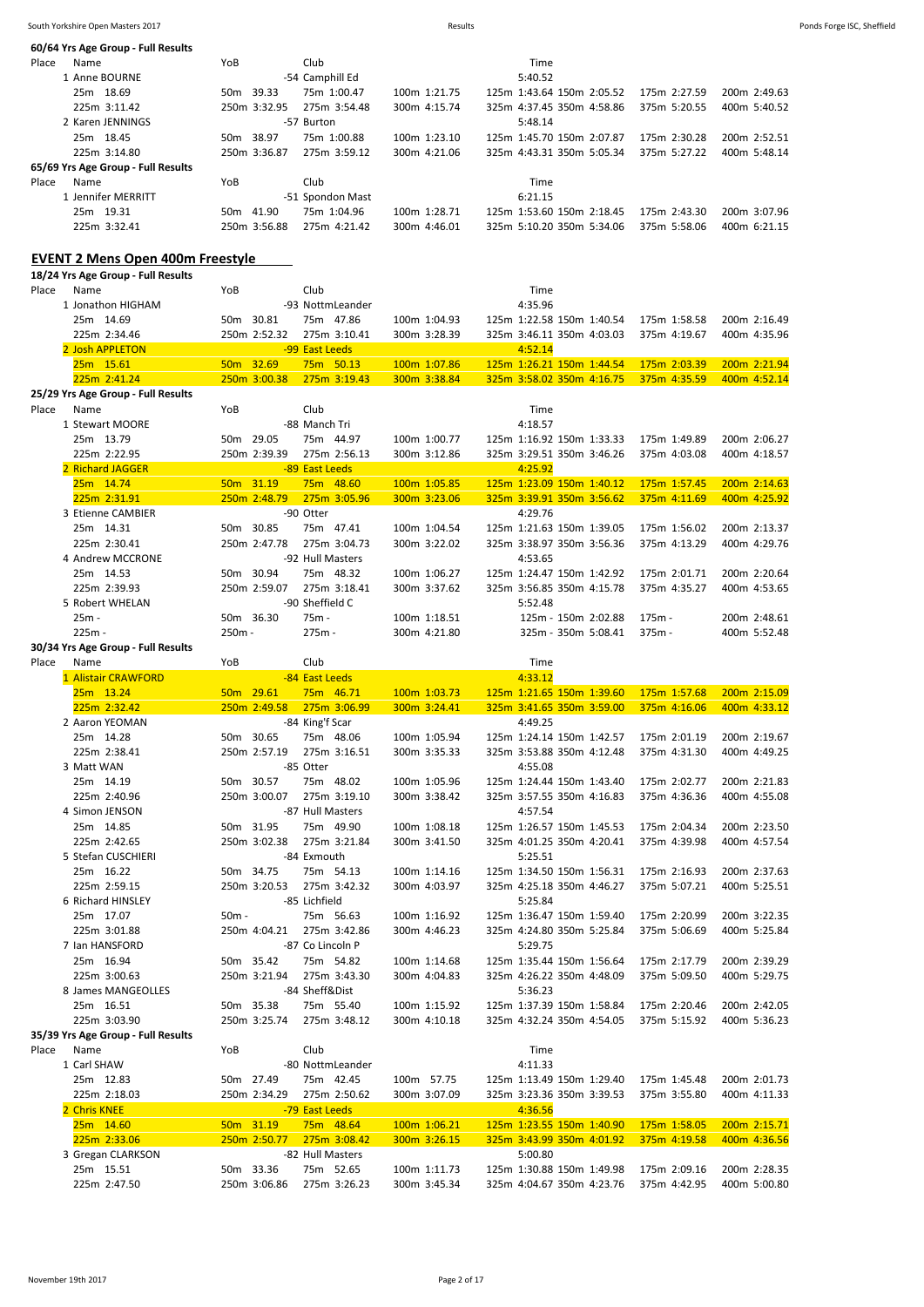| 60/64 Yrs Age Group - Full Results                  |           |                           |                                |                              |                                                        |                              |                              |
|-----------------------------------------------------|-----------|---------------------------|--------------------------------|------------------------------|--------------------------------------------------------|------------------------------|------------------------------|
| Place<br>Name                                       | YoB       |                           | Club                           |                              | Time                                                   |                              |                              |
| 1 Anne BOURNE                                       |           |                           | -54 Camphill Ed                |                              | 5:40.52                                                |                              |                              |
| 25m 18.69                                           | 50m 39.33 |                           | 75m 1:00.47                    | 100m 1:21.75                 | 125m 1:43.64 150m 2:05.52                              | 175m 2:27.59                 | 200m 2:49.63                 |
| 225m 3:11.42                                        |           | 250m 3:32.95              | 275m 3:54.48                   | 300m 4:15.74                 | 325m 4:37.45 350m 4:58.86                              | 375m 5:20.55                 | 400m 5:40.52                 |
| 2 Karen JENNINGS                                    |           |                           | -57 Burton                     |                              | 5:48.14                                                |                              |                              |
| 25m 18.45                                           | 50m 38.97 |                           | 75m 1:00.88                    | 100m 1:23.10                 | 125m 1:45.70 150m 2:07.87<br>325m 4:43.31 350m 5:05.34 | 175m 2:30.28                 | 200m 2:52.51                 |
| 225m 3:14.80                                        |           | 250m 3:36.87              | 275m 3:59.12                   | 300m 4:21.06                 |                                                        | 375m 5:27.22                 | 400m 5:48.14                 |
| 65/69 Yrs Age Group - Full Results                  |           |                           |                                |                              |                                                        |                              |                              |
| Name<br>Place                                       | YoB       |                           | Club                           |                              | Time                                                   |                              |                              |
| 1 Jennifer MERRITT                                  |           |                           | -51 Spondon Mast               |                              | 6:21.15                                                |                              |                              |
| 25m 19.31                                           | 50m 41.90 |                           | 75m 1:04.96                    | 100m 1:28.71                 | 125m 1:53.60 150m 2:18.45                              | 175m 2:43.30                 | 200m 3:07.96                 |
| 225m 3:32.41                                        |           | 250m 3:56.88              | 275m 4:21.42                   | 300m 4:46.01                 | 325m 5:10.20 350m 5:34.06                              | 375m 5:58.06                 | 400m 6:21.15                 |
|                                                     |           |                           |                                |                              |                                                        |                              |                              |
| <b>EVENT 2 Mens Open 400m Freestyle</b>             |           |                           |                                |                              |                                                        |                              |                              |
| 18/24 Yrs Age Group - Full Results<br>Place<br>Name | YoB       |                           | Club                           |                              | Time                                                   |                              |                              |
| 1 Jonathon HIGHAM                                   |           |                           | -93 NottmLeander               |                              | 4:35.96                                                |                              |                              |
| 25m 14.69                                           | 50m 30.81 |                           | 75m 47.86                      | 100m 1:04.93                 | 125m 1:22.58 150m 1:40.54                              | 175m 1:58.58                 | 200m 2:16.49                 |
| 225m 2:34.46                                        |           | 250m 2:52.32              |                                | 300m 3:28.39                 | 325m 3:46.11 350m 4:03.03                              | 375m 4:19.67                 | 400m 4:35.96                 |
| 2 Josh APPLETON                                     |           |                           | 275m 3:10.41<br>-99 East Leeds |                              | 4:52.14                                                |                              |                              |
| 25m 15.61                                           | 50m 32.69 |                           | 75m 50.13                      | 100m 1:07.86                 | 125m 1:26.21 150m 1:44.54                              | 175m 2:03.39                 | 200m 2:21.94                 |
| 225m 2:41.24                                        |           | 250m 3:00.38              | 275m 3:19.43                   | 300m 3:38.84                 | 325m 3:58.02 350m 4:16.75                              | 375m 4:35.59                 | 400m 4:52.14                 |
| 25/29 Yrs Age Group - Full Results                  |           |                           |                                |                              |                                                        |                              |                              |
| Place<br>Name                                       | YoB       |                           | Club                           |                              | Time                                                   |                              |                              |
| 1 Stewart MOORE                                     |           |                           | -88 Manch Tri                  |                              | 4:18.57                                                |                              |                              |
| 25m 13.79                                           | 50m 29.05 |                           | 75m 44.97                      | 100m 1:00.77                 | 125m 1:16.92 150m 1:33.33                              | 175m 1:49.89                 | 200m 2:06.27                 |
| 225m 2:22.95                                        |           | 250m 2:39.39              | 275m 2:56.13                   | 300m 3:12.86                 | 325m 3:29.51 350m 3:46.26                              | 375m 4:03.08                 | 400m 4:18.57                 |
| 2 Richard JAGGER                                    |           |                           | -89 East Leeds                 |                              | 4:25.92                                                |                              |                              |
| 25m 14.74                                           |           | 50m 31.19                 | 75m 48.60                      | 100m 1:05.85                 | 125m 1:23.09 150m 1:40.12                              | 175m 1:57.45                 | 200m 2:14.63                 |
| 225m 2:31.91                                        |           | 250m 2:48.79              | 275m 3:05.96                   | 300m 3:23.06                 | 325m 3:39.91 350m 3:56.62                              | 375m 4:11.69                 | 400m 4:25.92                 |
| 3 Etienne CAMBIER                                   |           |                           | -90 Otter                      |                              | 4:29.76                                                |                              |                              |
| 25m 14.31                                           | 50m 30.85 |                           | 75m 47.41                      | 100m 1:04.54                 | 125m 1:21.63 150m 1:39.05                              | 175m 1:56.02                 | 200m 2:13.37                 |
| 225m 2:30.41                                        |           | 250m 2:47.78              | 275m 3:04.73                   | 300m 3:22.02                 | 325m 3:38.97 350m 3:56.36                              | 375m 4:13.29                 | 400m 4:29.76                 |
| 4 Andrew MCCRONE                                    |           |                           | -92 Hull Masters               |                              | 4:53.65                                                |                              |                              |
| 25m 14.53                                           | 50m 30.94 |                           | 75m 48.32                      | 100m 1:06.27                 | 125m 1:24.47 150m 1:42.92                              | 175m 2:01.71                 | 200m 2:20.64                 |
| 225m 2:39.93                                        |           | 250m 2:59.07              | 275m 3:18.41                   | 300m 3:37.62                 | 325m 3:56.85 350m 4:15.78                              | 375m 4:35.27                 | 400m 4:53.65                 |
| 5 Robert WHELAN                                     |           |                           | -90 Sheffield C                |                              | 5:52.48                                                |                              |                              |
|                                                     |           |                           |                                |                              |                                                        |                              |                              |
|                                                     |           |                           |                                |                              |                                                        |                              |                              |
| 25m -                                               | 50m 36.30 |                           | 75m -                          | 100m 1:18.51                 | 125m - 150m 2:02.88                                    | $175m -$                     | 200m 2:48.61                 |
| 225m -                                              | 250m -    |                           | 275m -                         | 300m 4:21.80                 | 325m - 350m 5:08.41                                    | 375m-                        | 400m 5:52.48                 |
| 30/34 Yrs Age Group - Full Results                  |           |                           |                                |                              |                                                        |                              |                              |
| Place<br>Name                                       | YoB       |                           | Club                           |                              | Time                                                   |                              |                              |
| 1 Alistair CRAWFORD                                 |           |                           | -84 East Leeds                 |                              | 4:33.12                                                |                              |                              |
| 25m 13.24                                           | 50m 29.61 |                           | 75m 46.71                      | 100m 1:03.73                 | 125m 1:21.65 150m 1:39.60                              | 175m 1:57.68                 | 200m 2:15.09                 |
| 225m 2:32.42                                        |           |                           | 250m 2:49.58 275m 3:06.99      | 300m 3:24.41                 | 325m 3:41.65 350m 3:59.00                              | 375m 4:16.06                 | 400m 4:33.12                 |
| 2 Aaron YEOMAN                                      |           |                           | -84 King'f Scar                |                              | 4:49.25                                                |                              |                              |
| 25m 14.28                                           |           | 50m 30.65                 | 75m 48.06                      | 100m 1:05.94                 | 125m 1:24.14 150m 1:42.57 175m 2:01.19                 |                              | 200m 2:19.67                 |
| 225m 2:38.41                                        |           |                           | 250m 2:57.19 275m 3:16.51      | 300m 3:35.33                 | 325m 3:53.88 350m 4:12.48                              | 375m 4:31.30                 | 400m 4:49.25                 |
| 3 Matt WAN                                          |           |                           | -85 Otter                      |                              | 4:55.08                                                |                              |                              |
| 25m 14.19                                           |           | 50m 30.57                 | 75m 48.02                      | 100m 1:05.96                 | 125m 1:24.44 150m 1:43.40                              | 175m 2:02.77                 | 200m 2:21.83                 |
| 225m 2:40.96                                        |           | 250m 3:00.07              | 275m 3:19.10                   | 300m 3:38.42                 | 325m 3:57.55 350m 4:16.83                              | 375m 4:36.36                 | 400m 4:55.08                 |
| 4 Simon JENSON                                      |           |                           | -87 Hull Masters               |                              | 4:57.54                                                |                              |                              |
| 25m 14.85                                           |           | 50m 31.95                 | 75m 49.90                      | 100m 1:08.18                 | 125m 1:26.57 150m 1:45.53                              | 175m 2:04.34                 | 200m 2:23.50                 |
| 225m 2:42.65                                        |           | 250m 3:02.38              | 275m 3:21.84                   | 300m 3:41.50                 | 325m 4:01.25 350m 4:20.41                              | 375m 4:39.98                 | 400m 4:57.54                 |
| 5 Stefan CUSCHIERI                                  |           |                           | -84 Exmouth                    |                              | 5:25.51                                                |                              |                              |
| 25m 16.22                                           |           | 50m 34.75<br>250m 3:20.53 | 75m 54.13<br>275m 3:42.32      | 100m 1:14.16<br>300m 4:03.97 | 125m 1:34.50 150m 1:56.31                              | 175m 2:16.93<br>375m 5:07.21 | 200m 2:37.63<br>400m 5:25.51 |
| 225m 2:59.15                                        |           |                           |                                |                              | 325m 4:25.18 350m 4:46.27                              |                              |                              |
| 6 Richard HINSLEY                                   |           |                           | -85 Lichfield                  |                              | 5:25.84                                                |                              |                              |
| 25m 17.07                                           | 50m -     |                           | 75m 56.63                      | 100m 1:16.92                 | 125m 1:36.47 150m 1:59.40                              | 175m 2:20.99                 | 200m 3:22.35                 |
| 225m 3:01.88                                        |           | 250m 4:04.21              | 275m 3:42.86                   | 300m 4:46.23                 | 325m 4:24.80 350m 5:25.84                              | 375m 5:06.69                 | 400m 5:25.84                 |
| 7 Ian HANSFORD                                      |           |                           | -87 Co Lincoln P               |                              | 5:29.75                                                |                              |                              |
| 25m 16.94                                           |           | 50m 35.42                 | 75m 54.82                      | 100m 1:14.68                 | 125m 1:35.44 150m 1:56.64                              | 175m 2:17.79                 | 200m 2:39.29                 |
| 225m 3:00.63                                        |           | 250m 3:21.94              | 275m 3:43.30                   | 300m 4:04.83                 | 325m 4:26.22 350m 4:48.09                              | 375m 5:09.50                 | 400m 5:29.75                 |
| 8 James MANGEOLLES<br>25m 16.51                     |           | 50m 35.38                 | -84 Sheff&Dist<br>75m 55.40    | 100m 1:15.92                 | 5:36.23<br>125m 1:37.39 150m 1:58.84                   | 175m 2:20.46                 | 200m 2:42.05                 |
| 225m 3:03.90                                        |           | 250m 3:25.74              | 275m 3:48.12                   | 300m 4:10.18                 | 325m 4:32.24 350m 4:54.05                              | 375m 5:15.92                 | 400m 5:36.23                 |
|                                                     |           |                           |                                |                              |                                                        |                              |                              |
| 35/39 Yrs Age Group - Full Results<br>Name<br>Place | YoB       |                           | Club                           |                              | Time                                                   |                              |                              |
|                                                     |           |                           |                                |                              |                                                        |                              |                              |
| 1 Carl SHAW                                         |           |                           | -80 NottmLeander               |                              | 4:11.33                                                |                              |                              |
| 25m 12.83                                           |           | 50m 27.49                 | 75m 42.45                      | 100m 57.75                   | 125m 1:13.49 150m 1:29.40                              | 175m 1:45.48                 | 200m 2:01.73                 |
| 225m 2:18.03                                        |           | 250m 2:34.29              | 275m 2:50.62                   | 300m 3:07.09                 | 325m 3:23.36 350m 3:39.53                              | 375m 3:55.80                 | 400m 4:11.33                 |
| 2 Chris KNEE<br>25m 14.60                           |           | 50m 31.19                 | -79 East Leeds                 |                              | 4:36.56                                                | 175m 1:58.05                 | 200m 2:15.71                 |
| 225m 2:33.06                                        |           |                           | 75m 48.64                      | 100m 1:06.21                 | 125m 1:23.55 150m 1:40.90                              |                              |                              |
|                                                     |           |                           | 250m 2:50.77 275m 3:08.42      | 300m 3:26.15                 | 325m 3:43.99 350m 4:01.92                              | 375m 4:19.58                 | 400m 4:36.56                 |
| 3 Gregan CLARKSON<br>25m 15.51                      | 50m 33.36 |                           | -82 Hull Masters<br>75m 52.65  | 100m 1:11.73                 | 5:00.80<br>125m 1:30.88 150m 1:49.98                   | 175m 2:09.16                 | 200m 2:28.35                 |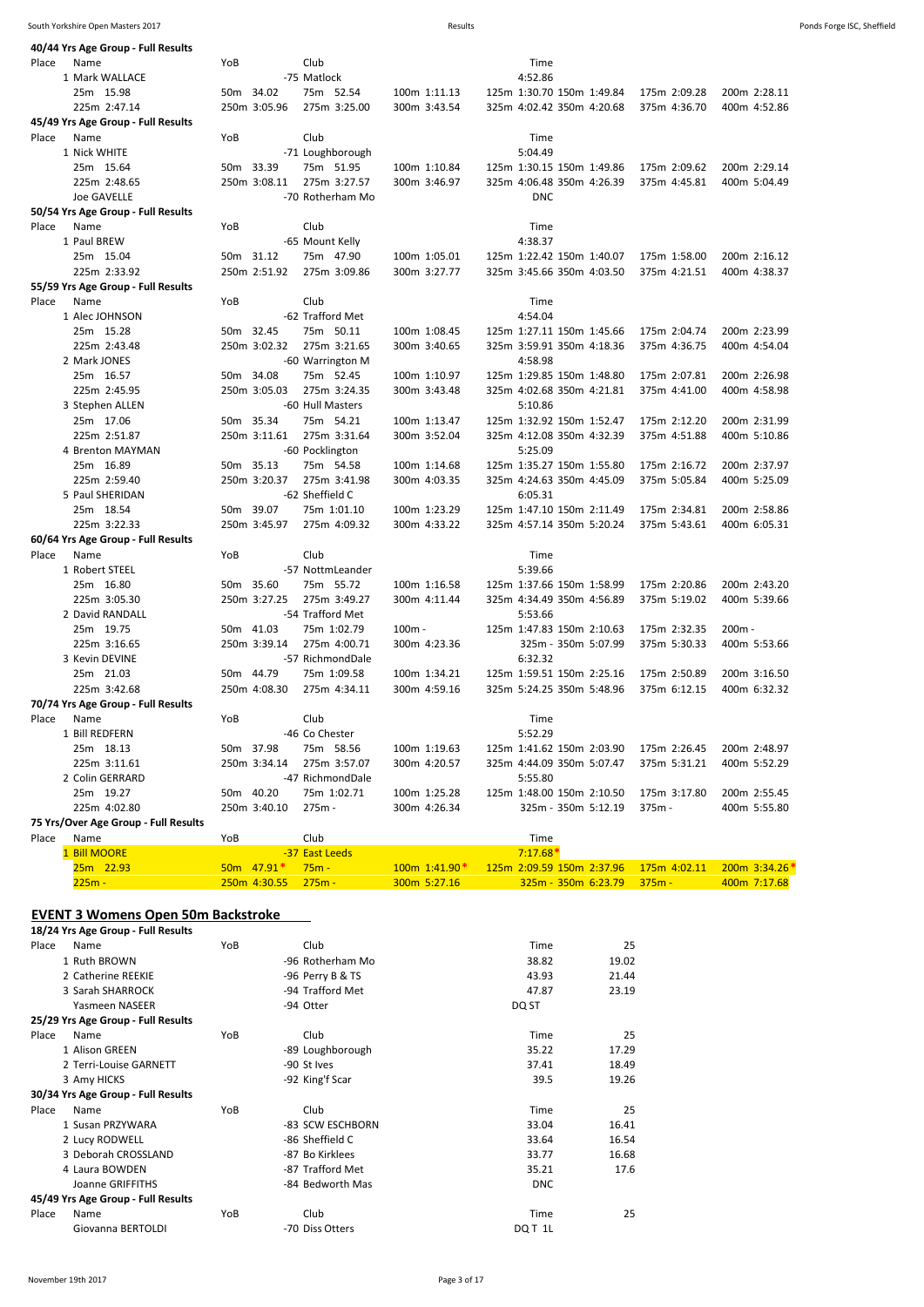| YoB<br>Club<br>Place<br>Time<br>Name<br>4:52.86<br>1 Mark WALLACE<br>-75 Matlock<br>50m 34.02<br>75m 52.54<br>125m 1:30.70 150m 1:49.84<br>25m 15.98<br>100m 1:11.13<br>175m 2:09.28<br>200m 2:28.11<br>250m 3:05.96<br>275m 3:25.00<br>225m 2:47.14<br>300m 3:43.54<br>325m 4:02.42 350m 4:20.68<br>375m 4:36.70<br>400m 4:52.86<br>45/49 Yrs Age Group - Full Results<br>Club<br>Place<br>Name<br>YoB<br>Time<br>5:04.49<br>1 Nick WHITE<br>-71 Loughborough<br>25m 15.64<br>50m 33.39<br>75m 51.95<br>100m 1:10.84<br>125m 1:30.15 150m 1:49.86<br>175m 2:09.62<br>200m 2:29.14<br>250m 3:08.11<br>275m 3:27.57<br>225m 2:48.65<br>300m 3:46.97<br>325m 4:06.48 350m 4:26.39<br>375m 4:45.81<br>400m 5:04.49<br><b>Joe GAVELLE</b><br>-70 Rotherham Mo<br><b>DNC</b><br>50/54 Yrs Age Group - Full Results<br>Place<br>Name<br>YoB<br>Club<br>Time<br>-65 Mount Kelly<br>4:38.37<br>1 Paul BREW<br>25m 15.04<br>50m 31.12<br>75m 47.90<br>100m 1:05.01<br>125m 1:22.42 150m 1:40.07<br>175m 1:58.00<br>200m 2:16.12<br>250m 2:51.92<br>225m 2:33.92<br>275m 3:09.86<br>300m 3:27.77<br>325m 3:45.66 350m 4:03.50<br>375m 4:21.51<br>400m 4:38.37<br>55/59 Yrs Age Group - Full Results<br>Club<br>Place<br>Name<br>YoB<br>Time<br>-62 Trafford Met<br>1 Alec JOHNSON<br>4:54.04<br>50m 32.45<br>25m 15.28<br>75m 50.11<br>100m 1:08.45<br>125m 1:27.11 150m 1:45.66<br>175m 2:04.74<br>200m 2:23.99<br>250m 3:02.32<br>225m 2:43.48<br>275m 3:21.65<br>300m 3:40.65<br>325m 3:59.91 350m 4:18.36<br>375m 4:36.75<br>400m 4:54.04<br>4:58.98<br>2 Mark JONES<br>-60 Warrington M<br>50m 34.08<br>125m 1:29.85 150m 1:48.80<br>25m 16.57<br>75m 52.45<br>100m 1:10.97<br>175m 2:07.81<br>200m 2:26.98<br>250m 3:05.03<br>325m 4:02.68 350m 4:21.81<br>225m 2:45.95<br>275m 3:24.35<br>300m 3:43.48<br>375m 4:41.00<br>400m 4:58.98<br>-60 Hull Masters<br>3 Stephen ALLEN<br>5:10.86<br>50m 35.34<br>25m 17.06<br>75m 54.21<br>100m 1:13.47<br>125m 1:32.92 150m 1:52.47<br>175m 2:12.20<br>200m 2:31.99<br>275m 3:31.64<br>225m 2:51.87<br>250m 3:11.61<br>300m 3:52.04<br>325m 4:12.08 350m 4:32.39<br>375m 4:51.88<br>400m 5:10.86<br>5:25.09<br>4 Brenton MAYMAN<br>-60 Pocklington<br>50m 35.13<br>125m 1:35.27 150m 1:55.80<br>25m 16.89<br>75m 54.58<br>100m 1:14.68<br>175m 2:16.72<br>200m 2:37.97<br>250m 3:20.37<br>275m 3:41.98<br>225m 2:59.40<br>300m 4:03.35<br>325m 4:24.63 350m 4:45.09<br>375m 5:05.84<br>400m 5:25.09<br>-62 Sheffield C<br>5 Paul SHERIDAN<br>6:05.31<br>50m 39.07<br>25m 18.54<br>75m 1:01.10<br>100m 1:23.29<br>125m 1:47.10 150m 2:11.49<br>175m 2:34.81<br>200m 2:58.86<br>225m 3:22.33<br>250m 3:45.97<br>275m 4:09.32<br>300m 4:33.22<br>325m 4:57.14 350m 5:20.24<br>375m 5:43.61<br>400m 6:05.31<br>60/64 Yrs Age Group - Full Results<br>Club<br>Place<br>YoB<br>Time<br>Name<br>-57 NottmLeander<br>5:39.66<br>1 Robert STEEL<br>50m 35.60<br>25m 16.80<br>75m 55.72<br>100m 1:16.58<br>125m 1:37.66 150m 1:58.99<br>175m 2:20.86<br>200m 2:43.20<br>225m 3:05.30<br>250m 3:27.25<br>275m 3:49.27<br>300m 4:11.44<br>325m 4:34.49 350m 4:56.89<br>375m 5:19.02<br>400m 5:39.66<br>-54 Trafford Met<br>2 David RANDALL<br>5:53.66<br>50m 41.03<br>25m 19.75<br>75m 1:02.79<br>$100m -$<br>125m 1:47.83 150m 2:10.63<br>175m 2:32.35<br>$200m -$<br>250m 3:39.14<br>275m 4:00.71<br>225m 3:16.65<br>300m 4:23.36<br>325m - 350m 5:07.99<br>375m 5:30.33<br>400m 5:53.66<br>-57 RichmondDale<br>6:32.32<br>3 Kevin DEVINE<br>50m 44.79<br>25m 21.03<br>75m 1:09.58<br>100m 1:34.21<br>125m 1:59.51 150m 2:25.16<br>175m 2:50.89<br>200m 3:16.50<br>225m 3:42.68<br>250m 4:08.30<br>275m 4:34.11<br>300m 4:59.16<br>325m 5:24.25 350m 5:48.96<br>375m 6:12.15<br>400m 6:32.32<br>70/74 Yrs Age Group - Full Results<br>Place<br>YoB<br>Club<br>Time<br>Name<br>1 Bill REDFERN<br>-46 Co Chester<br>5:52.29<br>25m 18.13<br>50m 37.98<br>75m 58.56<br>100m 1:19.63<br>175m 2:26.45<br>200m 2:48.97<br>125m 1:41.62 150m 2:03.90<br>225m 3:11.61<br>250m 3:34.14<br>275m 3:57.07<br>300m 4:20.57<br>325m 4:44.09 350m 5:07.47<br>375m 5:31.21<br>400m 5:52.29<br>2 Colin GERRARD<br>-47 RichmondDale<br>5:55.80<br>50m 40.20<br>25m 19.27<br>75m 1:02.71<br>100m 1:25.28<br>125m 1:48.00 150m 2:10.50<br>175m 3:17.80<br>200m 2:55.45<br>225m 4:02.80<br>250m 3:40.10<br>275m -<br>300m 4:26.34<br>325m - 350m 5:12.19<br>375m -<br>400m 5:55.80<br>75 Yrs/Over Age Group - Full Results<br>Club<br>Name<br>YoB<br>Time<br>Place<br>1 Bill MOORE<br>$7:17.68*$<br>-37 East Leeds<br>200m 3:34.26*<br>$50m$ 47.91*<br>$75m -$<br>100m 1:41.90*<br>125m 2:09.59 150m 2:37.96<br>175m 4:02.11<br>25m 22.93<br>$275m -$<br>$225m -$<br>250m 4:30.55<br>300m 5:27.16<br>325m - 350m 6:23.79<br>$375m -$<br>400m 7:17.68 | 40/44 Yrs Age Group - Full Results |  |  |  |
|-------------------------------------------------------------------------------------------------------------------------------------------------------------------------------------------------------------------------------------------------------------------------------------------------------------------------------------------------------------------------------------------------------------------------------------------------------------------------------------------------------------------------------------------------------------------------------------------------------------------------------------------------------------------------------------------------------------------------------------------------------------------------------------------------------------------------------------------------------------------------------------------------------------------------------------------------------------------------------------------------------------------------------------------------------------------------------------------------------------------------------------------------------------------------------------------------------------------------------------------------------------------------------------------------------------------------------------------------------------------------------------------------------------------------------------------------------------------------------------------------------------------------------------------------------------------------------------------------------------------------------------------------------------------------------------------------------------------------------------------------------------------------------------------------------------------------------------------------------------------------------------------------------------------------------------------------------------------------------------------------------------------------------------------------------------------------------------------------------------------------------------------------------------------------------------------------------------------------------------------------------------------------------------------------------------------------------------------------------------------------------------------------------------------------------------------------------------------------------------------------------------------------------------------------------------------------------------------------------------------------------------------------------------------------------------------------------------------------------------------------------------------------------------------------------------------------------------------------------------------------------------------------------------------------------------------------------------------------------------------------------------------------------------------------------------------------------------------------------------------------------------------------------------------------------------------------------------------------------------------------------------------------------------------------------------------------------------------------------------------------------------------------------------------------------------------------------------------------------------------------------------------------------------------------------------------------------------------------------------------------------------------------------------------------------------------------------------------------------------------------------------------------------------------------------------------------------------------------------------------------------------------------------------------------------------------------------------------------------------------------------------------------------------------------------------------------------------------------------------------------------------------------------------------------------------------------------------------------------------------------------------------------------------------------------------------------------------------------------------------------------------------------------------------------------------------------------------------------------------------------------------------------------------------------------------------------------------------------------------------------------------------------------------------------------------------------------------------------------------------------------------|------------------------------------|--|--|--|
|                                                                                                                                                                                                                                                                                                                                                                                                                                                                                                                                                                                                                                                                                                                                                                                                                                                                                                                                                                                                                                                                                                                                                                                                                                                                                                                                                                                                                                                                                                                                                                                                                                                                                                                                                                                                                                                                                                                                                                                                                                                                                                                                                                                                                                                                                                                                                                                                                                                                                                                                                                                                                                                                                                                                                                                                                                                                                                                                                                                                                                                                                                                                                                                                                                                                                                                                                                                                                                                                                                                                                                                                                                                                                                                                                                                                                                                                                                                                                                                                                                                                                                                                                                                                                                                                                                                                                                                                                                                                                                                                                                                                                                                                                                                                                             |                                    |  |  |  |
|                                                                                                                                                                                                                                                                                                                                                                                                                                                                                                                                                                                                                                                                                                                                                                                                                                                                                                                                                                                                                                                                                                                                                                                                                                                                                                                                                                                                                                                                                                                                                                                                                                                                                                                                                                                                                                                                                                                                                                                                                                                                                                                                                                                                                                                                                                                                                                                                                                                                                                                                                                                                                                                                                                                                                                                                                                                                                                                                                                                                                                                                                                                                                                                                                                                                                                                                                                                                                                                                                                                                                                                                                                                                                                                                                                                                                                                                                                                                                                                                                                                                                                                                                                                                                                                                                                                                                                                                                                                                                                                                                                                                                                                                                                                                                             |                                    |  |  |  |
|                                                                                                                                                                                                                                                                                                                                                                                                                                                                                                                                                                                                                                                                                                                                                                                                                                                                                                                                                                                                                                                                                                                                                                                                                                                                                                                                                                                                                                                                                                                                                                                                                                                                                                                                                                                                                                                                                                                                                                                                                                                                                                                                                                                                                                                                                                                                                                                                                                                                                                                                                                                                                                                                                                                                                                                                                                                                                                                                                                                                                                                                                                                                                                                                                                                                                                                                                                                                                                                                                                                                                                                                                                                                                                                                                                                                                                                                                                                                                                                                                                                                                                                                                                                                                                                                                                                                                                                                                                                                                                                                                                                                                                                                                                                                                             |                                    |  |  |  |
|                                                                                                                                                                                                                                                                                                                                                                                                                                                                                                                                                                                                                                                                                                                                                                                                                                                                                                                                                                                                                                                                                                                                                                                                                                                                                                                                                                                                                                                                                                                                                                                                                                                                                                                                                                                                                                                                                                                                                                                                                                                                                                                                                                                                                                                                                                                                                                                                                                                                                                                                                                                                                                                                                                                                                                                                                                                                                                                                                                                                                                                                                                                                                                                                                                                                                                                                                                                                                                                                                                                                                                                                                                                                                                                                                                                                                                                                                                                                                                                                                                                                                                                                                                                                                                                                                                                                                                                                                                                                                                                                                                                                                                                                                                                                                             |                                    |  |  |  |
|                                                                                                                                                                                                                                                                                                                                                                                                                                                                                                                                                                                                                                                                                                                                                                                                                                                                                                                                                                                                                                                                                                                                                                                                                                                                                                                                                                                                                                                                                                                                                                                                                                                                                                                                                                                                                                                                                                                                                                                                                                                                                                                                                                                                                                                                                                                                                                                                                                                                                                                                                                                                                                                                                                                                                                                                                                                                                                                                                                                                                                                                                                                                                                                                                                                                                                                                                                                                                                                                                                                                                                                                                                                                                                                                                                                                                                                                                                                                                                                                                                                                                                                                                                                                                                                                                                                                                                                                                                                                                                                                                                                                                                                                                                                                                             |                                    |  |  |  |
|                                                                                                                                                                                                                                                                                                                                                                                                                                                                                                                                                                                                                                                                                                                                                                                                                                                                                                                                                                                                                                                                                                                                                                                                                                                                                                                                                                                                                                                                                                                                                                                                                                                                                                                                                                                                                                                                                                                                                                                                                                                                                                                                                                                                                                                                                                                                                                                                                                                                                                                                                                                                                                                                                                                                                                                                                                                                                                                                                                                                                                                                                                                                                                                                                                                                                                                                                                                                                                                                                                                                                                                                                                                                                                                                                                                                                                                                                                                                                                                                                                                                                                                                                                                                                                                                                                                                                                                                                                                                                                                                                                                                                                                                                                                                                             |                                    |  |  |  |
|                                                                                                                                                                                                                                                                                                                                                                                                                                                                                                                                                                                                                                                                                                                                                                                                                                                                                                                                                                                                                                                                                                                                                                                                                                                                                                                                                                                                                                                                                                                                                                                                                                                                                                                                                                                                                                                                                                                                                                                                                                                                                                                                                                                                                                                                                                                                                                                                                                                                                                                                                                                                                                                                                                                                                                                                                                                                                                                                                                                                                                                                                                                                                                                                                                                                                                                                                                                                                                                                                                                                                                                                                                                                                                                                                                                                                                                                                                                                                                                                                                                                                                                                                                                                                                                                                                                                                                                                                                                                                                                                                                                                                                                                                                                                                             |                                    |  |  |  |
|                                                                                                                                                                                                                                                                                                                                                                                                                                                                                                                                                                                                                                                                                                                                                                                                                                                                                                                                                                                                                                                                                                                                                                                                                                                                                                                                                                                                                                                                                                                                                                                                                                                                                                                                                                                                                                                                                                                                                                                                                                                                                                                                                                                                                                                                                                                                                                                                                                                                                                                                                                                                                                                                                                                                                                                                                                                                                                                                                                                                                                                                                                                                                                                                                                                                                                                                                                                                                                                                                                                                                                                                                                                                                                                                                                                                                                                                                                                                                                                                                                                                                                                                                                                                                                                                                                                                                                                                                                                                                                                                                                                                                                                                                                                                                             |                                    |  |  |  |
|                                                                                                                                                                                                                                                                                                                                                                                                                                                                                                                                                                                                                                                                                                                                                                                                                                                                                                                                                                                                                                                                                                                                                                                                                                                                                                                                                                                                                                                                                                                                                                                                                                                                                                                                                                                                                                                                                                                                                                                                                                                                                                                                                                                                                                                                                                                                                                                                                                                                                                                                                                                                                                                                                                                                                                                                                                                                                                                                                                                                                                                                                                                                                                                                                                                                                                                                                                                                                                                                                                                                                                                                                                                                                                                                                                                                                                                                                                                                                                                                                                                                                                                                                                                                                                                                                                                                                                                                                                                                                                                                                                                                                                                                                                                                                             |                                    |  |  |  |
|                                                                                                                                                                                                                                                                                                                                                                                                                                                                                                                                                                                                                                                                                                                                                                                                                                                                                                                                                                                                                                                                                                                                                                                                                                                                                                                                                                                                                                                                                                                                                                                                                                                                                                                                                                                                                                                                                                                                                                                                                                                                                                                                                                                                                                                                                                                                                                                                                                                                                                                                                                                                                                                                                                                                                                                                                                                                                                                                                                                                                                                                                                                                                                                                                                                                                                                                                                                                                                                                                                                                                                                                                                                                                                                                                                                                                                                                                                                                                                                                                                                                                                                                                                                                                                                                                                                                                                                                                                                                                                                                                                                                                                                                                                                                                             |                                    |  |  |  |
|                                                                                                                                                                                                                                                                                                                                                                                                                                                                                                                                                                                                                                                                                                                                                                                                                                                                                                                                                                                                                                                                                                                                                                                                                                                                                                                                                                                                                                                                                                                                                                                                                                                                                                                                                                                                                                                                                                                                                                                                                                                                                                                                                                                                                                                                                                                                                                                                                                                                                                                                                                                                                                                                                                                                                                                                                                                                                                                                                                                                                                                                                                                                                                                                                                                                                                                                                                                                                                                                                                                                                                                                                                                                                                                                                                                                                                                                                                                                                                                                                                                                                                                                                                                                                                                                                                                                                                                                                                                                                                                                                                                                                                                                                                                                                             |                                    |  |  |  |
|                                                                                                                                                                                                                                                                                                                                                                                                                                                                                                                                                                                                                                                                                                                                                                                                                                                                                                                                                                                                                                                                                                                                                                                                                                                                                                                                                                                                                                                                                                                                                                                                                                                                                                                                                                                                                                                                                                                                                                                                                                                                                                                                                                                                                                                                                                                                                                                                                                                                                                                                                                                                                                                                                                                                                                                                                                                                                                                                                                                                                                                                                                                                                                                                                                                                                                                                                                                                                                                                                                                                                                                                                                                                                                                                                                                                                                                                                                                                                                                                                                                                                                                                                                                                                                                                                                                                                                                                                                                                                                                                                                                                                                                                                                                                                             |                                    |  |  |  |
|                                                                                                                                                                                                                                                                                                                                                                                                                                                                                                                                                                                                                                                                                                                                                                                                                                                                                                                                                                                                                                                                                                                                                                                                                                                                                                                                                                                                                                                                                                                                                                                                                                                                                                                                                                                                                                                                                                                                                                                                                                                                                                                                                                                                                                                                                                                                                                                                                                                                                                                                                                                                                                                                                                                                                                                                                                                                                                                                                                                                                                                                                                                                                                                                                                                                                                                                                                                                                                                                                                                                                                                                                                                                                                                                                                                                                                                                                                                                                                                                                                                                                                                                                                                                                                                                                                                                                                                                                                                                                                                                                                                                                                                                                                                                                             |                                    |  |  |  |
|                                                                                                                                                                                                                                                                                                                                                                                                                                                                                                                                                                                                                                                                                                                                                                                                                                                                                                                                                                                                                                                                                                                                                                                                                                                                                                                                                                                                                                                                                                                                                                                                                                                                                                                                                                                                                                                                                                                                                                                                                                                                                                                                                                                                                                                                                                                                                                                                                                                                                                                                                                                                                                                                                                                                                                                                                                                                                                                                                                                                                                                                                                                                                                                                                                                                                                                                                                                                                                                                                                                                                                                                                                                                                                                                                                                                                                                                                                                                                                                                                                                                                                                                                                                                                                                                                                                                                                                                                                                                                                                                                                                                                                                                                                                                                             |                                    |  |  |  |
|                                                                                                                                                                                                                                                                                                                                                                                                                                                                                                                                                                                                                                                                                                                                                                                                                                                                                                                                                                                                                                                                                                                                                                                                                                                                                                                                                                                                                                                                                                                                                                                                                                                                                                                                                                                                                                                                                                                                                                                                                                                                                                                                                                                                                                                                                                                                                                                                                                                                                                                                                                                                                                                                                                                                                                                                                                                                                                                                                                                                                                                                                                                                                                                                                                                                                                                                                                                                                                                                                                                                                                                                                                                                                                                                                                                                                                                                                                                                                                                                                                                                                                                                                                                                                                                                                                                                                                                                                                                                                                                                                                                                                                                                                                                                                             |                                    |  |  |  |
|                                                                                                                                                                                                                                                                                                                                                                                                                                                                                                                                                                                                                                                                                                                                                                                                                                                                                                                                                                                                                                                                                                                                                                                                                                                                                                                                                                                                                                                                                                                                                                                                                                                                                                                                                                                                                                                                                                                                                                                                                                                                                                                                                                                                                                                                                                                                                                                                                                                                                                                                                                                                                                                                                                                                                                                                                                                                                                                                                                                                                                                                                                                                                                                                                                                                                                                                                                                                                                                                                                                                                                                                                                                                                                                                                                                                                                                                                                                                                                                                                                                                                                                                                                                                                                                                                                                                                                                                                                                                                                                                                                                                                                                                                                                                                             |                                    |  |  |  |
|                                                                                                                                                                                                                                                                                                                                                                                                                                                                                                                                                                                                                                                                                                                                                                                                                                                                                                                                                                                                                                                                                                                                                                                                                                                                                                                                                                                                                                                                                                                                                                                                                                                                                                                                                                                                                                                                                                                                                                                                                                                                                                                                                                                                                                                                                                                                                                                                                                                                                                                                                                                                                                                                                                                                                                                                                                                                                                                                                                                                                                                                                                                                                                                                                                                                                                                                                                                                                                                                                                                                                                                                                                                                                                                                                                                                                                                                                                                                                                                                                                                                                                                                                                                                                                                                                                                                                                                                                                                                                                                                                                                                                                                                                                                                                             |                                    |  |  |  |
|                                                                                                                                                                                                                                                                                                                                                                                                                                                                                                                                                                                                                                                                                                                                                                                                                                                                                                                                                                                                                                                                                                                                                                                                                                                                                                                                                                                                                                                                                                                                                                                                                                                                                                                                                                                                                                                                                                                                                                                                                                                                                                                                                                                                                                                                                                                                                                                                                                                                                                                                                                                                                                                                                                                                                                                                                                                                                                                                                                                                                                                                                                                                                                                                                                                                                                                                                                                                                                                                                                                                                                                                                                                                                                                                                                                                                                                                                                                                                                                                                                                                                                                                                                                                                                                                                                                                                                                                                                                                                                                                                                                                                                                                                                                                                             |                                    |  |  |  |
|                                                                                                                                                                                                                                                                                                                                                                                                                                                                                                                                                                                                                                                                                                                                                                                                                                                                                                                                                                                                                                                                                                                                                                                                                                                                                                                                                                                                                                                                                                                                                                                                                                                                                                                                                                                                                                                                                                                                                                                                                                                                                                                                                                                                                                                                                                                                                                                                                                                                                                                                                                                                                                                                                                                                                                                                                                                                                                                                                                                                                                                                                                                                                                                                                                                                                                                                                                                                                                                                                                                                                                                                                                                                                                                                                                                                                                                                                                                                                                                                                                                                                                                                                                                                                                                                                                                                                                                                                                                                                                                                                                                                                                                                                                                                                             |                                    |  |  |  |
|                                                                                                                                                                                                                                                                                                                                                                                                                                                                                                                                                                                                                                                                                                                                                                                                                                                                                                                                                                                                                                                                                                                                                                                                                                                                                                                                                                                                                                                                                                                                                                                                                                                                                                                                                                                                                                                                                                                                                                                                                                                                                                                                                                                                                                                                                                                                                                                                                                                                                                                                                                                                                                                                                                                                                                                                                                                                                                                                                                                                                                                                                                                                                                                                                                                                                                                                                                                                                                                                                                                                                                                                                                                                                                                                                                                                                                                                                                                                                                                                                                                                                                                                                                                                                                                                                                                                                                                                                                                                                                                                                                                                                                                                                                                                                             |                                    |  |  |  |
|                                                                                                                                                                                                                                                                                                                                                                                                                                                                                                                                                                                                                                                                                                                                                                                                                                                                                                                                                                                                                                                                                                                                                                                                                                                                                                                                                                                                                                                                                                                                                                                                                                                                                                                                                                                                                                                                                                                                                                                                                                                                                                                                                                                                                                                                                                                                                                                                                                                                                                                                                                                                                                                                                                                                                                                                                                                                                                                                                                                                                                                                                                                                                                                                                                                                                                                                                                                                                                                                                                                                                                                                                                                                                                                                                                                                                                                                                                                                                                                                                                                                                                                                                                                                                                                                                                                                                                                                                                                                                                                                                                                                                                                                                                                                                             |                                    |  |  |  |
|                                                                                                                                                                                                                                                                                                                                                                                                                                                                                                                                                                                                                                                                                                                                                                                                                                                                                                                                                                                                                                                                                                                                                                                                                                                                                                                                                                                                                                                                                                                                                                                                                                                                                                                                                                                                                                                                                                                                                                                                                                                                                                                                                                                                                                                                                                                                                                                                                                                                                                                                                                                                                                                                                                                                                                                                                                                                                                                                                                                                                                                                                                                                                                                                                                                                                                                                                                                                                                                                                                                                                                                                                                                                                                                                                                                                                                                                                                                                                                                                                                                                                                                                                                                                                                                                                                                                                                                                                                                                                                                                                                                                                                                                                                                                                             |                                    |  |  |  |
|                                                                                                                                                                                                                                                                                                                                                                                                                                                                                                                                                                                                                                                                                                                                                                                                                                                                                                                                                                                                                                                                                                                                                                                                                                                                                                                                                                                                                                                                                                                                                                                                                                                                                                                                                                                                                                                                                                                                                                                                                                                                                                                                                                                                                                                                                                                                                                                                                                                                                                                                                                                                                                                                                                                                                                                                                                                                                                                                                                                                                                                                                                                                                                                                                                                                                                                                                                                                                                                                                                                                                                                                                                                                                                                                                                                                                                                                                                                                                                                                                                                                                                                                                                                                                                                                                                                                                                                                                                                                                                                                                                                                                                                                                                                                                             |                                    |  |  |  |
|                                                                                                                                                                                                                                                                                                                                                                                                                                                                                                                                                                                                                                                                                                                                                                                                                                                                                                                                                                                                                                                                                                                                                                                                                                                                                                                                                                                                                                                                                                                                                                                                                                                                                                                                                                                                                                                                                                                                                                                                                                                                                                                                                                                                                                                                                                                                                                                                                                                                                                                                                                                                                                                                                                                                                                                                                                                                                                                                                                                                                                                                                                                                                                                                                                                                                                                                                                                                                                                                                                                                                                                                                                                                                                                                                                                                                                                                                                                                                                                                                                                                                                                                                                                                                                                                                                                                                                                                                                                                                                                                                                                                                                                                                                                                                             |                                    |  |  |  |
|                                                                                                                                                                                                                                                                                                                                                                                                                                                                                                                                                                                                                                                                                                                                                                                                                                                                                                                                                                                                                                                                                                                                                                                                                                                                                                                                                                                                                                                                                                                                                                                                                                                                                                                                                                                                                                                                                                                                                                                                                                                                                                                                                                                                                                                                                                                                                                                                                                                                                                                                                                                                                                                                                                                                                                                                                                                                                                                                                                                                                                                                                                                                                                                                                                                                                                                                                                                                                                                                                                                                                                                                                                                                                                                                                                                                                                                                                                                                                                                                                                                                                                                                                                                                                                                                                                                                                                                                                                                                                                                                                                                                                                                                                                                                                             |                                    |  |  |  |
|                                                                                                                                                                                                                                                                                                                                                                                                                                                                                                                                                                                                                                                                                                                                                                                                                                                                                                                                                                                                                                                                                                                                                                                                                                                                                                                                                                                                                                                                                                                                                                                                                                                                                                                                                                                                                                                                                                                                                                                                                                                                                                                                                                                                                                                                                                                                                                                                                                                                                                                                                                                                                                                                                                                                                                                                                                                                                                                                                                                                                                                                                                                                                                                                                                                                                                                                                                                                                                                                                                                                                                                                                                                                                                                                                                                                                                                                                                                                                                                                                                                                                                                                                                                                                                                                                                                                                                                                                                                                                                                                                                                                                                                                                                                                                             |                                    |  |  |  |
|                                                                                                                                                                                                                                                                                                                                                                                                                                                                                                                                                                                                                                                                                                                                                                                                                                                                                                                                                                                                                                                                                                                                                                                                                                                                                                                                                                                                                                                                                                                                                                                                                                                                                                                                                                                                                                                                                                                                                                                                                                                                                                                                                                                                                                                                                                                                                                                                                                                                                                                                                                                                                                                                                                                                                                                                                                                                                                                                                                                                                                                                                                                                                                                                                                                                                                                                                                                                                                                                                                                                                                                                                                                                                                                                                                                                                                                                                                                                                                                                                                                                                                                                                                                                                                                                                                                                                                                                                                                                                                                                                                                                                                                                                                                                                             |                                    |  |  |  |
|                                                                                                                                                                                                                                                                                                                                                                                                                                                                                                                                                                                                                                                                                                                                                                                                                                                                                                                                                                                                                                                                                                                                                                                                                                                                                                                                                                                                                                                                                                                                                                                                                                                                                                                                                                                                                                                                                                                                                                                                                                                                                                                                                                                                                                                                                                                                                                                                                                                                                                                                                                                                                                                                                                                                                                                                                                                                                                                                                                                                                                                                                                                                                                                                                                                                                                                                                                                                                                                                                                                                                                                                                                                                                                                                                                                                                                                                                                                                                                                                                                                                                                                                                                                                                                                                                                                                                                                                                                                                                                                                                                                                                                                                                                                                                             |                                    |  |  |  |
|                                                                                                                                                                                                                                                                                                                                                                                                                                                                                                                                                                                                                                                                                                                                                                                                                                                                                                                                                                                                                                                                                                                                                                                                                                                                                                                                                                                                                                                                                                                                                                                                                                                                                                                                                                                                                                                                                                                                                                                                                                                                                                                                                                                                                                                                                                                                                                                                                                                                                                                                                                                                                                                                                                                                                                                                                                                                                                                                                                                                                                                                                                                                                                                                                                                                                                                                                                                                                                                                                                                                                                                                                                                                                                                                                                                                                                                                                                                                                                                                                                                                                                                                                                                                                                                                                                                                                                                                                                                                                                                                                                                                                                                                                                                                                             |                                    |  |  |  |
|                                                                                                                                                                                                                                                                                                                                                                                                                                                                                                                                                                                                                                                                                                                                                                                                                                                                                                                                                                                                                                                                                                                                                                                                                                                                                                                                                                                                                                                                                                                                                                                                                                                                                                                                                                                                                                                                                                                                                                                                                                                                                                                                                                                                                                                                                                                                                                                                                                                                                                                                                                                                                                                                                                                                                                                                                                                                                                                                                                                                                                                                                                                                                                                                                                                                                                                                                                                                                                                                                                                                                                                                                                                                                                                                                                                                                                                                                                                                                                                                                                                                                                                                                                                                                                                                                                                                                                                                                                                                                                                                                                                                                                                                                                                                                             |                                    |  |  |  |
|                                                                                                                                                                                                                                                                                                                                                                                                                                                                                                                                                                                                                                                                                                                                                                                                                                                                                                                                                                                                                                                                                                                                                                                                                                                                                                                                                                                                                                                                                                                                                                                                                                                                                                                                                                                                                                                                                                                                                                                                                                                                                                                                                                                                                                                                                                                                                                                                                                                                                                                                                                                                                                                                                                                                                                                                                                                                                                                                                                                                                                                                                                                                                                                                                                                                                                                                                                                                                                                                                                                                                                                                                                                                                                                                                                                                                                                                                                                                                                                                                                                                                                                                                                                                                                                                                                                                                                                                                                                                                                                                                                                                                                                                                                                                                             |                                    |  |  |  |
|                                                                                                                                                                                                                                                                                                                                                                                                                                                                                                                                                                                                                                                                                                                                                                                                                                                                                                                                                                                                                                                                                                                                                                                                                                                                                                                                                                                                                                                                                                                                                                                                                                                                                                                                                                                                                                                                                                                                                                                                                                                                                                                                                                                                                                                                                                                                                                                                                                                                                                                                                                                                                                                                                                                                                                                                                                                                                                                                                                                                                                                                                                                                                                                                                                                                                                                                                                                                                                                                                                                                                                                                                                                                                                                                                                                                                                                                                                                                                                                                                                                                                                                                                                                                                                                                                                                                                                                                                                                                                                                                                                                                                                                                                                                                                             |                                    |  |  |  |
|                                                                                                                                                                                                                                                                                                                                                                                                                                                                                                                                                                                                                                                                                                                                                                                                                                                                                                                                                                                                                                                                                                                                                                                                                                                                                                                                                                                                                                                                                                                                                                                                                                                                                                                                                                                                                                                                                                                                                                                                                                                                                                                                                                                                                                                                                                                                                                                                                                                                                                                                                                                                                                                                                                                                                                                                                                                                                                                                                                                                                                                                                                                                                                                                                                                                                                                                                                                                                                                                                                                                                                                                                                                                                                                                                                                                                                                                                                                                                                                                                                                                                                                                                                                                                                                                                                                                                                                                                                                                                                                                                                                                                                                                                                                                                             |                                    |  |  |  |
|                                                                                                                                                                                                                                                                                                                                                                                                                                                                                                                                                                                                                                                                                                                                                                                                                                                                                                                                                                                                                                                                                                                                                                                                                                                                                                                                                                                                                                                                                                                                                                                                                                                                                                                                                                                                                                                                                                                                                                                                                                                                                                                                                                                                                                                                                                                                                                                                                                                                                                                                                                                                                                                                                                                                                                                                                                                                                                                                                                                                                                                                                                                                                                                                                                                                                                                                                                                                                                                                                                                                                                                                                                                                                                                                                                                                                                                                                                                                                                                                                                                                                                                                                                                                                                                                                                                                                                                                                                                                                                                                                                                                                                                                                                                                                             |                                    |  |  |  |
|                                                                                                                                                                                                                                                                                                                                                                                                                                                                                                                                                                                                                                                                                                                                                                                                                                                                                                                                                                                                                                                                                                                                                                                                                                                                                                                                                                                                                                                                                                                                                                                                                                                                                                                                                                                                                                                                                                                                                                                                                                                                                                                                                                                                                                                                                                                                                                                                                                                                                                                                                                                                                                                                                                                                                                                                                                                                                                                                                                                                                                                                                                                                                                                                                                                                                                                                                                                                                                                                                                                                                                                                                                                                                                                                                                                                                                                                                                                                                                                                                                                                                                                                                                                                                                                                                                                                                                                                                                                                                                                                                                                                                                                                                                                                                             |                                    |  |  |  |
|                                                                                                                                                                                                                                                                                                                                                                                                                                                                                                                                                                                                                                                                                                                                                                                                                                                                                                                                                                                                                                                                                                                                                                                                                                                                                                                                                                                                                                                                                                                                                                                                                                                                                                                                                                                                                                                                                                                                                                                                                                                                                                                                                                                                                                                                                                                                                                                                                                                                                                                                                                                                                                                                                                                                                                                                                                                                                                                                                                                                                                                                                                                                                                                                                                                                                                                                                                                                                                                                                                                                                                                                                                                                                                                                                                                                                                                                                                                                                                                                                                                                                                                                                                                                                                                                                                                                                                                                                                                                                                                                                                                                                                                                                                                                                             |                                    |  |  |  |
|                                                                                                                                                                                                                                                                                                                                                                                                                                                                                                                                                                                                                                                                                                                                                                                                                                                                                                                                                                                                                                                                                                                                                                                                                                                                                                                                                                                                                                                                                                                                                                                                                                                                                                                                                                                                                                                                                                                                                                                                                                                                                                                                                                                                                                                                                                                                                                                                                                                                                                                                                                                                                                                                                                                                                                                                                                                                                                                                                                                                                                                                                                                                                                                                                                                                                                                                                                                                                                                                                                                                                                                                                                                                                                                                                                                                                                                                                                                                                                                                                                                                                                                                                                                                                                                                                                                                                                                                                                                                                                                                                                                                                                                                                                                                                             |                                    |  |  |  |
|                                                                                                                                                                                                                                                                                                                                                                                                                                                                                                                                                                                                                                                                                                                                                                                                                                                                                                                                                                                                                                                                                                                                                                                                                                                                                                                                                                                                                                                                                                                                                                                                                                                                                                                                                                                                                                                                                                                                                                                                                                                                                                                                                                                                                                                                                                                                                                                                                                                                                                                                                                                                                                                                                                                                                                                                                                                                                                                                                                                                                                                                                                                                                                                                                                                                                                                                                                                                                                                                                                                                                                                                                                                                                                                                                                                                                                                                                                                                                                                                                                                                                                                                                                                                                                                                                                                                                                                                                                                                                                                                                                                                                                                                                                                                                             |                                    |  |  |  |
|                                                                                                                                                                                                                                                                                                                                                                                                                                                                                                                                                                                                                                                                                                                                                                                                                                                                                                                                                                                                                                                                                                                                                                                                                                                                                                                                                                                                                                                                                                                                                                                                                                                                                                                                                                                                                                                                                                                                                                                                                                                                                                                                                                                                                                                                                                                                                                                                                                                                                                                                                                                                                                                                                                                                                                                                                                                                                                                                                                                                                                                                                                                                                                                                                                                                                                                                                                                                                                                                                                                                                                                                                                                                                                                                                                                                                                                                                                                                                                                                                                                                                                                                                                                                                                                                                                                                                                                                                                                                                                                                                                                                                                                                                                                                                             |                                    |  |  |  |
|                                                                                                                                                                                                                                                                                                                                                                                                                                                                                                                                                                                                                                                                                                                                                                                                                                                                                                                                                                                                                                                                                                                                                                                                                                                                                                                                                                                                                                                                                                                                                                                                                                                                                                                                                                                                                                                                                                                                                                                                                                                                                                                                                                                                                                                                                                                                                                                                                                                                                                                                                                                                                                                                                                                                                                                                                                                                                                                                                                                                                                                                                                                                                                                                                                                                                                                                                                                                                                                                                                                                                                                                                                                                                                                                                                                                                                                                                                                                                                                                                                                                                                                                                                                                                                                                                                                                                                                                                                                                                                                                                                                                                                                                                                                                                             |                                    |  |  |  |
|                                                                                                                                                                                                                                                                                                                                                                                                                                                                                                                                                                                                                                                                                                                                                                                                                                                                                                                                                                                                                                                                                                                                                                                                                                                                                                                                                                                                                                                                                                                                                                                                                                                                                                                                                                                                                                                                                                                                                                                                                                                                                                                                                                                                                                                                                                                                                                                                                                                                                                                                                                                                                                                                                                                                                                                                                                                                                                                                                                                                                                                                                                                                                                                                                                                                                                                                                                                                                                                                                                                                                                                                                                                                                                                                                                                                                                                                                                                                                                                                                                                                                                                                                                                                                                                                                                                                                                                                                                                                                                                                                                                                                                                                                                                                                             |                                    |  |  |  |
|                                                                                                                                                                                                                                                                                                                                                                                                                                                                                                                                                                                                                                                                                                                                                                                                                                                                                                                                                                                                                                                                                                                                                                                                                                                                                                                                                                                                                                                                                                                                                                                                                                                                                                                                                                                                                                                                                                                                                                                                                                                                                                                                                                                                                                                                                                                                                                                                                                                                                                                                                                                                                                                                                                                                                                                                                                                                                                                                                                                                                                                                                                                                                                                                                                                                                                                                                                                                                                                                                                                                                                                                                                                                                                                                                                                                                                                                                                                                                                                                                                                                                                                                                                                                                                                                                                                                                                                                                                                                                                                                                                                                                                                                                                                                                             |                                    |  |  |  |
|                                                                                                                                                                                                                                                                                                                                                                                                                                                                                                                                                                                                                                                                                                                                                                                                                                                                                                                                                                                                                                                                                                                                                                                                                                                                                                                                                                                                                                                                                                                                                                                                                                                                                                                                                                                                                                                                                                                                                                                                                                                                                                                                                                                                                                                                                                                                                                                                                                                                                                                                                                                                                                                                                                                                                                                                                                                                                                                                                                                                                                                                                                                                                                                                                                                                                                                                                                                                                                                                                                                                                                                                                                                                                                                                                                                                                                                                                                                                                                                                                                                                                                                                                                                                                                                                                                                                                                                                                                                                                                                                                                                                                                                                                                                                                             |                                    |  |  |  |
|                                                                                                                                                                                                                                                                                                                                                                                                                                                                                                                                                                                                                                                                                                                                                                                                                                                                                                                                                                                                                                                                                                                                                                                                                                                                                                                                                                                                                                                                                                                                                                                                                                                                                                                                                                                                                                                                                                                                                                                                                                                                                                                                                                                                                                                                                                                                                                                                                                                                                                                                                                                                                                                                                                                                                                                                                                                                                                                                                                                                                                                                                                                                                                                                                                                                                                                                                                                                                                                                                                                                                                                                                                                                                                                                                                                                                                                                                                                                                                                                                                                                                                                                                                                                                                                                                                                                                                                                                                                                                                                                                                                                                                                                                                                                                             |                                    |  |  |  |
|                                                                                                                                                                                                                                                                                                                                                                                                                                                                                                                                                                                                                                                                                                                                                                                                                                                                                                                                                                                                                                                                                                                                                                                                                                                                                                                                                                                                                                                                                                                                                                                                                                                                                                                                                                                                                                                                                                                                                                                                                                                                                                                                                                                                                                                                                                                                                                                                                                                                                                                                                                                                                                                                                                                                                                                                                                                                                                                                                                                                                                                                                                                                                                                                                                                                                                                                                                                                                                                                                                                                                                                                                                                                                                                                                                                                                                                                                                                                                                                                                                                                                                                                                                                                                                                                                                                                                                                                                                                                                                                                                                                                                                                                                                                                                             |                                    |  |  |  |
|                                                                                                                                                                                                                                                                                                                                                                                                                                                                                                                                                                                                                                                                                                                                                                                                                                                                                                                                                                                                                                                                                                                                                                                                                                                                                                                                                                                                                                                                                                                                                                                                                                                                                                                                                                                                                                                                                                                                                                                                                                                                                                                                                                                                                                                                                                                                                                                                                                                                                                                                                                                                                                                                                                                                                                                                                                                                                                                                                                                                                                                                                                                                                                                                                                                                                                                                                                                                                                                                                                                                                                                                                                                                                                                                                                                                                                                                                                                                                                                                                                                                                                                                                                                                                                                                                                                                                                                                                                                                                                                                                                                                                                                                                                                                                             |                                    |  |  |  |
|                                                                                                                                                                                                                                                                                                                                                                                                                                                                                                                                                                                                                                                                                                                                                                                                                                                                                                                                                                                                                                                                                                                                                                                                                                                                                                                                                                                                                                                                                                                                                                                                                                                                                                                                                                                                                                                                                                                                                                                                                                                                                                                                                                                                                                                                                                                                                                                                                                                                                                                                                                                                                                                                                                                                                                                                                                                                                                                                                                                                                                                                                                                                                                                                                                                                                                                                                                                                                                                                                                                                                                                                                                                                                                                                                                                                                                                                                                                                                                                                                                                                                                                                                                                                                                                                                                                                                                                                                                                                                                                                                                                                                                                                                                                                                             |                                    |  |  |  |
|                                                                                                                                                                                                                                                                                                                                                                                                                                                                                                                                                                                                                                                                                                                                                                                                                                                                                                                                                                                                                                                                                                                                                                                                                                                                                                                                                                                                                                                                                                                                                                                                                                                                                                                                                                                                                                                                                                                                                                                                                                                                                                                                                                                                                                                                                                                                                                                                                                                                                                                                                                                                                                                                                                                                                                                                                                                                                                                                                                                                                                                                                                                                                                                                                                                                                                                                                                                                                                                                                                                                                                                                                                                                                                                                                                                                                                                                                                                                                                                                                                                                                                                                                                                                                                                                                                                                                                                                                                                                                                                                                                                                                                                                                                                                                             |                                    |  |  |  |
|                                                                                                                                                                                                                                                                                                                                                                                                                                                                                                                                                                                                                                                                                                                                                                                                                                                                                                                                                                                                                                                                                                                                                                                                                                                                                                                                                                                                                                                                                                                                                                                                                                                                                                                                                                                                                                                                                                                                                                                                                                                                                                                                                                                                                                                                                                                                                                                                                                                                                                                                                                                                                                                                                                                                                                                                                                                                                                                                                                                                                                                                                                                                                                                                                                                                                                                                                                                                                                                                                                                                                                                                                                                                                                                                                                                                                                                                                                                                                                                                                                                                                                                                                                                                                                                                                                                                                                                                                                                                                                                                                                                                                                                                                                                                                             |                                    |  |  |  |
|                                                                                                                                                                                                                                                                                                                                                                                                                                                                                                                                                                                                                                                                                                                                                                                                                                                                                                                                                                                                                                                                                                                                                                                                                                                                                                                                                                                                                                                                                                                                                                                                                                                                                                                                                                                                                                                                                                                                                                                                                                                                                                                                                                                                                                                                                                                                                                                                                                                                                                                                                                                                                                                                                                                                                                                                                                                                                                                                                                                                                                                                                                                                                                                                                                                                                                                                                                                                                                                                                                                                                                                                                                                                                                                                                                                                                                                                                                                                                                                                                                                                                                                                                                                                                                                                                                                                                                                                                                                                                                                                                                                                                                                                                                                                                             |                                    |  |  |  |
|                                                                                                                                                                                                                                                                                                                                                                                                                                                                                                                                                                                                                                                                                                                                                                                                                                                                                                                                                                                                                                                                                                                                                                                                                                                                                                                                                                                                                                                                                                                                                                                                                                                                                                                                                                                                                                                                                                                                                                                                                                                                                                                                                                                                                                                                                                                                                                                                                                                                                                                                                                                                                                                                                                                                                                                                                                                                                                                                                                                                                                                                                                                                                                                                                                                                                                                                                                                                                                                                                                                                                                                                                                                                                                                                                                                                                                                                                                                                                                                                                                                                                                                                                                                                                                                                                                                                                                                                                                                                                                                                                                                                                                                                                                                                                             |                                    |  |  |  |
|                                                                                                                                                                                                                                                                                                                                                                                                                                                                                                                                                                                                                                                                                                                                                                                                                                                                                                                                                                                                                                                                                                                                                                                                                                                                                                                                                                                                                                                                                                                                                                                                                                                                                                                                                                                                                                                                                                                                                                                                                                                                                                                                                                                                                                                                                                                                                                                                                                                                                                                                                                                                                                                                                                                                                                                                                                                                                                                                                                                                                                                                                                                                                                                                                                                                                                                                                                                                                                                                                                                                                                                                                                                                                                                                                                                                                                                                                                                                                                                                                                                                                                                                                                                                                                                                                                                                                                                                                                                                                                                                                                                                                                                                                                                                                             |                                    |  |  |  |
|                                                                                                                                                                                                                                                                                                                                                                                                                                                                                                                                                                                                                                                                                                                                                                                                                                                                                                                                                                                                                                                                                                                                                                                                                                                                                                                                                                                                                                                                                                                                                                                                                                                                                                                                                                                                                                                                                                                                                                                                                                                                                                                                                                                                                                                                                                                                                                                                                                                                                                                                                                                                                                                                                                                                                                                                                                                                                                                                                                                                                                                                                                                                                                                                                                                                                                                                                                                                                                                                                                                                                                                                                                                                                                                                                                                                                                                                                                                                                                                                                                                                                                                                                                                                                                                                                                                                                                                                                                                                                                                                                                                                                                                                                                                                                             |                                    |  |  |  |
|                                                                                                                                                                                                                                                                                                                                                                                                                                                                                                                                                                                                                                                                                                                                                                                                                                                                                                                                                                                                                                                                                                                                                                                                                                                                                                                                                                                                                                                                                                                                                                                                                                                                                                                                                                                                                                                                                                                                                                                                                                                                                                                                                                                                                                                                                                                                                                                                                                                                                                                                                                                                                                                                                                                                                                                                                                                                                                                                                                                                                                                                                                                                                                                                                                                                                                                                                                                                                                                                                                                                                                                                                                                                                                                                                                                                                                                                                                                                                                                                                                                                                                                                                                                                                                                                                                                                                                                                                                                                                                                                                                                                                                                                                                                                                             |                                    |  |  |  |
|                                                                                                                                                                                                                                                                                                                                                                                                                                                                                                                                                                                                                                                                                                                                                                                                                                                                                                                                                                                                                                                                                                                                                                                                                                                                                                                                                                                                                                                                                                                                                                                                                                                                                                                                                                                                                                                                                                                                                                                                                                                                                                                                                                                                                                                                                                                                                                                                                                                                                                                                                                                                                                                                                                                                                                                                                                                                                                                                                                                                                                                                                                                                                                                                                                                                                                                                                                                                                                                                                                                                                                                                                                                                                                                                                                                                                                                                                                                                                                                                                                                                                                                                                                                                                                                                                                                                                                                                                                                                                                                                                                                                                                                                                                                                                             |                                    |  |  |  |
|                                                                                                                                                                                                                                                                                                                                                                                                                                                                                                                                                                                                                                                                                                                                                                                                                                                                                                                                                                                                                                                                                                                                                                                                                                                                                                                                                                                                                                                                                                                                                                                                                                                                                                                                                                                                                                                                                                                                                                                                                                                                                                                                                                                                                                                                                                                                                                                                                                                                                                                                                                                                                                                                                                                                                                                                                                                                                                                                                                                                                                                                                                                                                                                                                                                                                                                                                                                                                                                                                                                                                                                                                                                                                                                                                                                                                                                                                                                                                                                                                                                                                                                                                                                                                                                                                                                                                                                                                                                                                                                                                                                                                                                                                                                                                             |                                    |  |  |  |

# **EVENT 3 Womens Open 50m Backstroke**

|       | 18/24 Yrs Age Group - Full Results |     |                  |            |       |
|-------|------------------------------------|-----|------------------|------------|-------|
| Place | Name                               | YoB | Club             | Time       | 25    |
|       | 1 Ruth BROWN                       |     | -96 Rotherham Mo | 38.82      | 19.02 |
|       | 2 Catherine REEKIE                 |     | -96 Perry B & TS | 43.93      | 21.44 |
|       | 3 Sarah SHARROCK                   |     | -94 Trafford Met | 47.87      | 23.19 |
|       | Yasmeen NASEER                     |     | -94 Otter        | DQ ST      |       |
|       | 25/29 Yrs Age Group - Full Results |     |                  |            |       |
| Place | Name                               | YoB | Club             | Time       | 25    |
|       | 1 Alison GREEN                     |     | -89 Loughborough | 35.22      | 17.29 |
|       | 2 Terri-Louise GARNETT             |     | -90 St Ives      | 37.41      | 18.49 |
|       | 3 Amy HICKS                        |     | -92 King'f Scar  | 39.5       | 19.26 |
|       | 30/34 Yrs Age Group - Full Results |     |                  |            |       |
| Place | Name                               | YoB | Club             | Time       | 25    |
|       | 1 Susan PRZYWARA                   |     | -83 SCW ESCHBORN | 33.04      | 16.41 |
|       | 2 Lucy RODWELL                     |     | -86 Sheffield C  | 33.64      | 16.54 |
|       | 3 Deborah CROSSLAND                |     | -87 Bo Kirklees  | 33.77      | 16.68 |
|       | 4 Laura BOWDEN                     |     | -87 Trafford Met | 35.21      | 17.6  |
|       | Joanne GRIFFITHS                   |     | -84 Bedworth Mas | <b>DNC</b> |       |
|       | 45/49 Yrs Age Group - Full Results |     |                  |            |       |
| Place | Name                               | YoB | Club             | Time       | 25    |
|       | Giovanna BERTOLDI                  |     | -70 Diss Otters  | DQ T 1L    |       |

 $\overline{\phantom{a}}$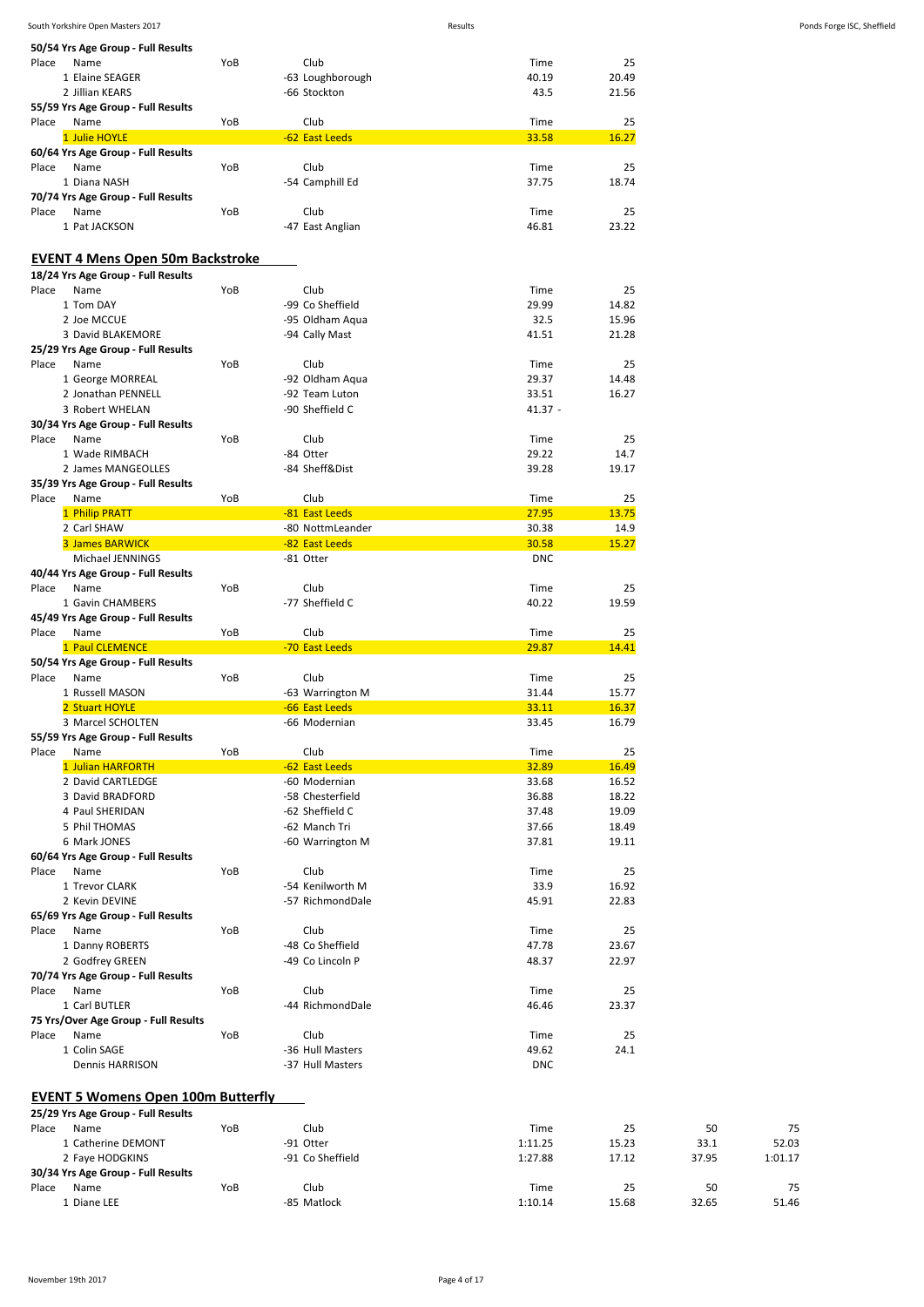| 50/54 Yrs Age Group - Full Results        |     |                  |            |       |       |         |
|-------------------------------------------|-----|------------------|------------|-------|-------|---------|
| Name<br>Place                             | YoB | Club             | Time       | 25    |       |         |
| 1 Elaine SEAGER                           |     | -63 Loughborough | 40.19      | 20.49 |       |         |
| 2 Jillian KEARS                           |     | -66 Stockton     | 43.5       | 21.56 |       |         |
| 55/59 Yrs Age Group - Full Results        |     |                  |            |       |       |         |
| Place<br>Name                             | YoB | Club             | Time       | 25    |       |         |
| 1 Julie HOYLE                             |     | -62 East Leeds   | 33.58      | 16.27 |       |         |
| 60/64 Yrs Age Group - Full Results        |     |                  |            |       |       |         |
|                                           |     |                  |            | 25    |       |         |
| Place<br>Name                             | YoB | Club             | Time       |       |       |         |
| 1 Diana NASH                              |     | -54 Camphill Ed  | 37.75      | 18.74 |       |         |
| 70/74 Yrs Age Group - Full Results        |     |                  |            |       |       |         |
| Place<br>Name                             | YoB | Club             | Time       | 25    |       |         |
| 1 Pat JACKSON                             |     | -47 East Anglian | 46.81      | 23.22 |       |         |
|                                           |     |                  |            |       |       |         |
| <b>EVENT 4 Mens Open 50m Backstroke</b>   |     |                  |            |       |       |         |
| 18/24 Yrs Age Group - Full Results        |     |                  |            |       |       |         |
| Name<br>Place                             | YoB | Club             | Time       | 25    |       |         |
|                                           |     |                  |            |       |       |         |
| 1 Tom DAY                                 |     | -99 Co Sheffield | 29.99      | 14.82 |       |         |
| 2 Joe MCCUE                               |     | -95 Oldham Aqua  | 32.5       | 15.96 |       |         |
| 3 David BLAKEMORE                         |     | -94 Cally Mast   | 41.51      | 21.28 |       |         |
| 25/29 Yrs Age Group - Full Results        |     |                  |            |       |       |         |
| Place<br>Name                             | YoB | Club             | Time       | 25    |       |         |
|                                           |     |                  |            |       |       |         |
| 1 George MORREAL                          |     | -92 Oldham Aqua  | 29.37      | 14.48 |       |         |
| 2 Jonathan PENNELL                        |     | -92 Team Luton   | 33.51      | 16.27 |       |         |
| 3 Robert WHELAN                           |     | -90 Sheffield C  | $41.37 -$  |       |       |         |
| 30/34 Yrs Age Group - Full Results        |     |                  |            |       |       |         |
| Place<br>Name                             | YoB | Club             | Time       | 25    |       |         |
| 1 Wade RIMBACH                            |     | -84 Otter        | 29.22      | 14.7  |       |         |
| 2 James MANGEOLLES                        |     | -84 Sheff&Dist   | 39.28      | 19.17 |       |         |
|                                           |     |                  |            |       |       |         |
| 35/39 Yrs Age Group - Full Results        |     |                  |            |       |       |         |
| Place<br>Name                             | YoB | Club             | Time       | 25    |       |         |
| 1 Philip PRATT                            |     | -81 East Leeds   | 27.95      | 13.75 |       |         |
| 2 Carl SHAW                               |     | -80 NottmLeander | 30.38      | 14.9  |       |         |
| 3 James BARWICK                           |     | -82 East Leeds   | 30.58      | 15.27 |       |         |
| Michael JENNINGS                          |     | -81 Otter        | <b>DNC</b> |       |       |         |
| 40/44 Yrs Age Group - Full Results        |     |                  |            |       |       |         |
| Name<br>Place                             | YoB | Club             |            | 25    |       |         |
|                                           |     |                  | Time       |       |       |         |
| 1 Gavin CHAMBERS                          |     | -77 Sheffield C  | 40.22      | 19.59 |       |         |
| 45/49 Yrs Age Group - Full Results        |     |                  |            |       |       |         |
| Place<br>Name                             | YoB | Club             | Time       | 25    |       |         |
| 1 Paul CLEMENCE                           |     | -70 East Leeds   | 29.87      | 14.41 |       |         |
| 50/54 Yrs Age Group - Full Results        |     |                  |            |       |       |         |
| Place<br>Name                             | YoB | Club             | Time       | 25    |       |         |
| 1 Russell MASON                           |     |                  | 31.44      | 15.77 |       |         |
|                                           |     | -63 Warrington M |            |       |       |         |
| 2 Stuart HOYLE                            |     | -66 East Leeds   | 33.11      | 16.37 |       |         |
| 3 Marcel SCHOLTEN                         |     | -66 Modernian    | 33.45      | 16.79 |       |         |
| 55/59 Yrs Age Group - Full Results        |     |                  |            |       |       |         |
| Place<br>Name                             | YoB | Club             | Time       | 25    |       |         |
| 1 Julian HARFORTH                         |     | -62 East Leeds   | 32.89      | 16.49 |       |         |
| 2 David CARTLEDGE                         |     | -60 Modernian    | 33.68      | 16.52 |       |         |
| 3 David BRADFORD                          |     |                  | 36.88      |       |       |         |
|                                           |     | -58 Chesterfield |            | 18.22 |       |         |
| 4 Paul SHERIDAN                           |     | -62 Sheffield C  | 37.48      | 19.09 |       |         |
| 5 Phil THOMAS                             |     | -62 Manch Tri    | 37.66      | 18.49 |       |         |
| 6 Mark JONES                              |     | -60 Warrington M | 37.81      | 19.11 |       |         |
| 60/64 Yrs Age Group - Full Results        |     |                  |            |       |       |         |
| Place<br>Name                             | YoB | Club             | Time       | 25    |       |         |
| 1 Trevor CLARK                            |     | -54 Kenilworth M | 33.9       | 16.92 |       |         |
|                                           |     | -57 RichmondDale | 45.91      | 22.83 |       |         |
| 2 Kevin DEVINE                            |     |                  |            |       |       |         |
| 65/69 Yrs Age Group - Full Results        |     |                  |            |       |       |         |
| Place<br>Name                             | YoB | Club             | Time       | 25    |       |         |
| 1 Danny ROBERTS                           |     | -48 Co Sheffield | 47.78      | 23.67 |       |         |
| 2 Godfrey GREEN                           |     | -49 Co Lincoln P | 48.37      | 22.97 |       |         |
| 70/74 Yrs Age Group - Full Results        |     |                  |            |       |       |         |
| Name<br>Place                             | YoB | Club             | Time       | 25    |       |         |
| 1 Carl BUTLER                             |     | -44 RichmondDale | 46.46      | 23.37 |       |         |
|                                           |     |                  |            |       |       |         |
| 75 Yrs/Over Age Group - Full Results      |     |                  |            |       |       |         |
| Place<br>Name                             | YoB | Club             | Time       | 25    |       |         |
| 1 Colin SAGE                              |     | -36 Hull Masters | 49.62      | 24.1  |       |         |
| Dennis HARRISON                           |     | -37 Hull Masters | <b>DNC</b> |       |       |         |
|                                           |     |                  |            |       |       |         |
|                                           |     |                  |            |       |       |         |
| <b>EVENT 5 Womens Open 100m Butterfly</b> |     |                  |            |       |       |         |
| 25/29 Yrs Age Group - Full Results        |     |                  |            |       |       |         |
| Name<br>Place                             | YoB | Club             | Time       | 25    | 50    |         |
| 1 Catherine DEMONT                        |     | -91 Otter        | 1:11.25    | 15.23 | 33.1  |         |
|                                           |     |                  |            |       |       | 52.03   |
| 2 Faye HODGKINS                           |     | -91 Co Sheffield | 1:27.88    | 17.12 | 37.95 | 1:01.17 |
| 30/34 Yrs Age Group - Full Results        |     |                  |            |       |       |         |
| Place<br>Name                             | YoB | Club             | Time       | 25    | 50    |         |
| 1 Diane LEE                               |     | -85 Matlock      | 1:10.14    | 15.68 | 32.65 | 51.46   |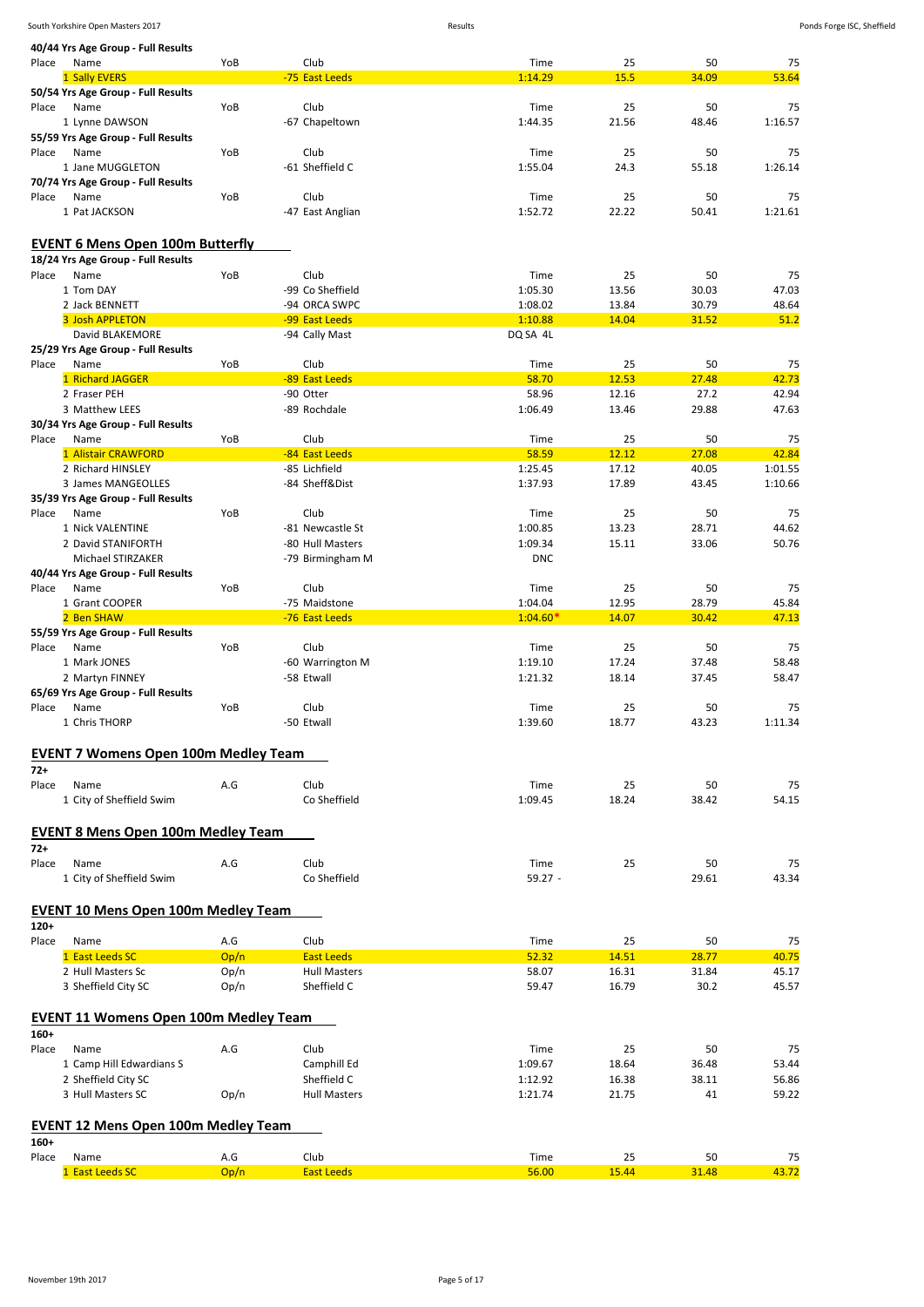|        | 40/44 Yrs Age Group - Full Results           |             |                           |               |             |             |             |
|--------|----------------------------------------------|-------------|---------------------------|---------------|-------------|-------------|-------------|
| Place  | Name                                         | YoB         | Club                      | Time          | 25          | 50          | 75          |
|        | 1 Sally EVERS                                |             | -75 East Leeds            | 1:14.29       | 15.5        | 34.09       | 53.64       |
|        | 50/54 Yrs Age Group - Full Results           |             |                           |               |             |             |             |
| Place  | Name                                         | YoB         | Club                      | Time          | 25          | 50          | 75          |
|        | 1 Lynne DAWSON                               |             | -67 Chapeltown            | 1:44.35       | 21.56       | 48.46       | 1:16.57     |
|        |                                              |             |                           |               |             |             |             |
|        | 55/59 Yrs Age Group - Full Results           |             |                           |               |             |             |             |
| Place  | Name                                         | YoB         | Club                      | Time          | 25          | 50          | 75          |
|        | 1 Jane MUGGLETON                             |             | -61 Sheffield C           | 1:55.04       | 24.3        | 55.18       | 1:26.14     |
|        | 70/74 Yrs Age Group - Full Results           |             |                           |               |             |             |             |
| Place  | Name                                         | YoB         | Club                      | Time          | 25          | 50          | 75          |
|        | 1 Pat JACKSON                                |             | -47 East Anglian          | 1:52.72       | 22.22       | 50.41       | 1:21.61     |
|        |                                              |             |                           |               |             |             |             |
|        |                                              |             |                           |               |             |             |             |
|        | <b>EVENT 6 Mens Open 100m Butterfly</b>      |             |                           |               |             |             |             |
|        | 18/24 Yrs Age Group - Full Results           |             |                           |               |             |             |             |
| Place  | Name                                         | YoB         | Club                      | Time          | 25          | 50          | 75          |
|        | 1 Tom DAY                                    |             | -99 Co Sheffield          | 1:05.30       | 13.56       | 30.03       | 47.03       |
|        | 2 Jack BENNETT                               |             | -94 ORCA SWPC             | 1:08.02       | 13.84       | 30.79       | 48.64       |
|        | 3 Josh APPLETON                              |             | -99 East Leeds            | 1:10.88       | 14.04       | 31.52       | 51.2        |
|        | David BLAKEMORE                              |             | -94 Cally Mast            | DQ SA 4L      |             |             |             |
|        | 25/29 Yrs Age Group - Full Results           |             |                           |               |             |             |             |
| Place  | Name                                         | YoB         | Club                      | Time          | 25          | 50          | 75          |
|        |                                              |             |                           |               |             |             |             |
|        | 1 Richard JAGGER                             |             | -89 East Leeds            | 58.70         | 12.53       | 27.48       | 42.73       |
|        | 2 Fraser PEH                                 |             | -90 Otter                 | 58.96         | 12.16       | 27.2        | 42.94       |
|        | 3 Matthew LEES                               |             | -89 Rochdale              | 1:06.49       | 13.46       | 29.88       | 47.63       |
|        | 30/34 Yrs Age Group - Full Results           |             |                           |               |             |             |             |
| Place  | Name                                         | YoB         | Club                      | Time          | 25          | 50          | 75          |
|        | 1 Alistair CRAWFORD                          |             | -84 East Leeds            | 58.59         | 12.12       | 27.08       | 42.84       |
|        | 2 Richard HINSLEY                            |             | -85 Lichfield             | 1:25.45       | 17.12       | 40.05       | 1:01.55     |
|        | 3 James MANGEOLLES                           |             | -84 Sheff&Dist            | 1:37.93       | 17.89       | 43.45       | 1:10.66     |
|        | 35/39 Yrs Age Group - Full Results           |             |                           |               |             |             |             |
| Place  | Name                                         | YoB         | Club                      | Time          | 25          | 50          | 75          |
|        |                                              |             |                           |               |             |             |             |
|        | 1 Nick VALENTINE                             |             | -81 Newcastle St          | 1:00.85       | 13.23       | 28.71       | 44.62       |
|        | 2 David STANIFORTH                           |             | -80 Hull Masters          | 1:09.34       | 15.11       | 33.06       | 50.76       |
|        | Michael STIRZAKER                            |             | -79 Birmingham M          | <b>DNC</b>    |             |             |             |
|        | 40/44 Yrs Age Group - Full Results           |             |                           |               |             |             |             |
| Place  | Name                                         | YoB         | Club                      | Time          | 25          | 50          | 75          |
|        | 1 Grant COOPER                               |             | -75 Maidstone             | 1:04.04       | 12.95       | 28.79       | 45.84       |
|        | 2 Ben SHAW                                   |             | -76 East Leeds            | $1:04.60*$    | 14.07       | 30.42       | 47.13       |
|        | 55/59 Yrs Age Group - Full Results           |             |                           |               |             |             |             |
| Place  | Name                                         | YoB         | Club                      | Time          | 25          | 50          | 75          |
|        | 1 Mark JONES                                 |             | -60 Warrington M          | 1:19.10       | 17.24       | 37.48       | 58.48       |
|        |                                              |             |                           |               |             |             |             |
|        | 2 Martyn FINNEY                              |             | -58 Etwall                | 1:21.32       | 18.14       | 37.45       | 58.47       |
|        | 65/69 Yrs Age Group - Full Results           |             |                           |               |             |             |             |
| Place  |                                              |             |                           |               |             |             |             |
|        | Name                                         | YoB         | Club                      | Time          | 25          | 50          | 75          |
|        | 1 Chris THORP                                |             | -50 Etwall                | 1:39.60       | 18.77       | 43.23       | 1:11.34     |
|        |                                              |             |                           |               |             |             |             |
|        |                                              |             |                           |               |             |             |             |
|        | <b>EVENT 7 Womens Open 100m Medley Team</b>  |             |                           |               |             |             |             |
| $72+$  |                                              |             |                           |               |             |             |             |
| Place  | Name                                         | A.G         | Club                      | Time          | 25          | 50          | 75          |
|        | 1 City of Sheffield Swim                     |             | Co Sheffield              | 1:09.45       | 18.24       | 38.42       | 54.15       |
|        |                                              |             |                           |               |             |             |             |
|        | <b>EVENT 8 Mens Open 100m Medley Team</b>    |             |                           |               |             |             |             |
| $72+$  |                                              |             |                           |               |             |             |             |
| Place  | Name                                         | A.G         | Club                      | Time          | 25          | 50          | 75          |
|        |                                              |             |                           |               |             |             |             |
|        | 1 City of Sheffield Swim                     |             | Co Sheffield              | $59.27 -$     |             | 29.61       | 43.34       |
|        |                                              |             |                           |               |             |             |             |
|        | <b>EVENT 10 Mens Open 100m Medley Team</b>   |             |                           |               |             |             |             |
| $120+$ |                                              |             |                           |               |             |             |             |
| Place  | Name                                         | A.G         | Club                      | Time          | 25          | 50          | 75          |
|        | 1 East Leeds SC                              | Op/n        | <b>East Leeds</b>         | 52.32         | 14.51       | 28.77       | 40.75       |
|        | 2 Hull Masters Sc                            | Op/n        | <b>Hull Masters</b>       | 58.07         | 16.31       | 31.84       | 45.17       |
|        |                                              |             |                           |               |             |             |             |
|        | 3 Sheffield City SC                          | Op/n        | Sheffield C               | 59.47         | 16.79       | 30.2        | 45.57       |
|        |                                              |             |                           |               |             |             |             |
|        | <b>EVENT 11 Womens Open 100m Medley Team</b> |             |                           |               |             |             |             |
| $160+$ |                                              |             |                           |               |             |             |             |
| Place  | Name                                         | A.G         | Club                      | Time          | 25          | 50          | 75          |
|        | 1 Camp Hill Edwardians S                     |             | Camphill Ed               | 1:09.67       | 18.64       | 36.48       | 53.44       |
|        | 2 Sheffield City SC                          |             | Sheffield C               | 1:12.92       | 16.38       | 38.11       | 56.86       |
|        | 3 Hull Masters SC                            |             | <b>Hull Masters</b>       |               |             |             |             |
|        |                                              | Op/n        |                           | 1:21.74       | 21.75       | 41          | 59.22       |
|        |                                              |             |                           |               |             |             |             |
|        | <b>EVENT 12 Mens Open 100m Medley Team</b>   |             |                           |               |             |             |             |
| $160+$ |                                              |             |                           |               |             |             |             |
| Place  | Name<br>1 East Leeds SC                      | A.G<br>Op/n | Club<br><b>East Leeds</b> | Time<br>56.00 | 25<br>15.44 | 50<br>31.48 | 75<br>43.72 |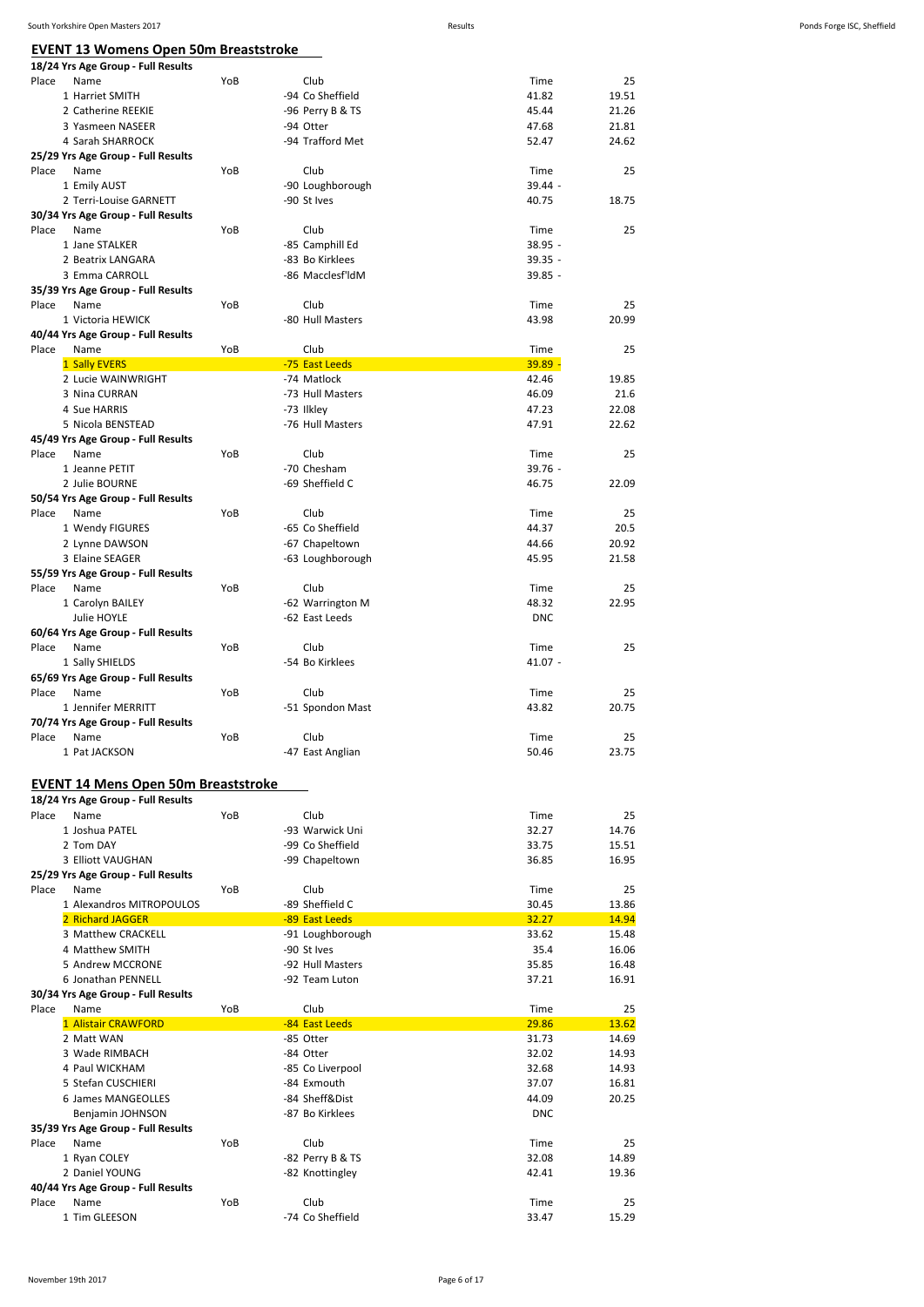**EVENT 13 Womens Open 50m Breaststroke**

|       | EVENT 13 WOMENS UPEN 50M Breaststroke                                            |     |                                 |                    |                |
|-------|----------------------------------------------------------------------------------|-----|---------------------------------|--------------------|----------------|
| Place | 18/24 Yrs Age Group - Full Results<br>Name                                       | YoB | Club                            | Time               | 25             |
|       | 1 Harriet SMITH                                                                  |     | -94 Co Sheffield                | 41.82              | 19.51          |
|       | 2 Catherine REEKIE                                                               |     | -96 Perry B & TS                | 45.44              | 21.26          |
|       | 3 Yasmeen NASEER                                                                 |     | -94 Otter                       | 47.68              | 21.81          |
|       | 4 Sarah SHARROCK                                                                 |     | -94 Trafford Met                | 52.47              | 24.62          |
|       | 25/29 Yrs Age Group - Full Results                                               |     |                                 |                    |                |
| Place | Name                                                                             | YoB | Club                            | Time               | 25             |
|       | 1 Emily AUST<br>2 Terri-Louise GARNETT                                           |     | -90 Loughborough<br>-90 St Ives | 39.44 -<br>40.75   | 18.75          |
|       | 30/34 Yrs Age Group - Full Results                                               |     |                                 |                    |                |
| Place | Name                                                                             | YoB | Club                            | Time               | 25             |
|       | 1 Jane STALKER                                                                   |     | -85 Camphill Ed                 | 38.95 -            |                |
|       | 2 Beatrix LANGARA                                                                |     | -83 Bo Kirklees                 | $39.35 -$          |                |
|       | 3 Emma CARROLL                                                                   |     | -86 Macclesf'ldM                | $39.85 -$          |                |
|       | 35/39 Yrs Age Group - Full Results                                               |     |                                 |                    |                |
| Place | Name                                                                             | YoB | Club                            | Time               | 25             |
|       | 1 Victoria HEWICK                                                                |     | -80 Hull Masters                | 43.98              | 20.99          |
| Place | 40/44 Yrs Age Group - Full Results<br>Name                                       | YoB | Club                            | Time               | 25             |
|       | 1 Sally EVERS                                                                    |     | -75 East Leeds                  | $39.89 -$          |                |
|       | 2 Lucie WAINWRIGHT                                                               |     | -74 Matlock                     | 42.46              | 19.85          |
|       | 3 Nina CURRAN                                                                    |     | -73 Hull Masters                | 46.09              | 21.6           |
|       | 4 Sue HARRIS                                                                     |     | -73 Ilkley                      | 47.23              | 22.08          |
|       | 5 Nicola BENSTEAD                                                                |     | -76 Hull Masters                | 47.91              | 22.62          |
|       | 45/49 Yrs Age Group - Full Results                                               |     |                                 |                    |                |
| Place | Name                                                                             | YoB | Club<br>-70 Chesham             | Time               | 25             |
|       | 1 Jeanne PETIT<br>2 Julie BOURNE                                                 |     | -69 Sheffield C                 | $39.76 -$<br>46.75 | 22.09          |
|       | 50/54 Yrs Age Group - Full Results                                               |     |                                 |                    |                |
| Place | Name                                                                             | YoB | Club                            | Time               | 25             |
|       | 1 Wendy FIGURES                                                                  |     | -65 Co Sheffield                | 44.37              | 20.5           |
|       | 2 Lynne DAWSON                                                                   |     | -67 Chapeltown                  | 44.66              | 20.92          |
|       | 3 Elaine SEAGER                                                                  |     | -63 Loughborough                | 45.95              | 21.58          |
|       | 55/59 Yrs Age Group - Full Results                                               |     |                                 |                    |                |
| Place | Name                                                                             | YoB | Club                            | Time               | 25             |
|       | 1 Carolyn BAILEY                                                                 |     | -62 Warrington M                | 48.32              | 22.95          |
|       | Julie HOYLE<br>60/64 Yrs Age Group - Full Results                                |     | -62 East Leeds                  | <b>DNC</b>         |                |
| Place | Name                                                                             | YoB | Club                            | Time               | 25             |
|       | 1 Sally SHIELDS                                                                  |     | -54 Bo Kirklees                 | $41.07 -$          |                |
|       | 65/69 Yrs Age Group - Full Results                                               |     |                                 |                    |                |
| Place | Name                                                                             | YoB | Club                            | Time               | 25             |
|       | 1 Jennifer MERRITT                                                               |     | -51 Spondon Mast                | 43.82              | 20.75          |
|       | 70/74 Yrs Age Group - Full Results                                               |     |                                 |                    |                |
| Place | Name                                                                             | YoB | Club                            | Time               | 25             |
|       | 1 Pat JACKSON                                                                    |     | -47 East Anglian                | 50.46              | 23.75          |
|       |                                                                                  |     |                                 |                    |                |
|       | <b>EVENT 14 Mens Open 50m Breaststroke</b><br>18/24 Yrs Age Group - Full Results |     |                                 |                    |                |
| Place | Name                                                                             | YoB | Club                            | Time               | 25             |
|       | 1 Joshua PATEL                                                                   |     | -93 Warwick Uni                 | 32.27              | 14.76          |
|       | 2 Tom DAY                                                                        |     | -99 Co Sheffield                | 33.75              | 15.51          |
|       | 3 Elliott VAUGHAN                                                                |     | -99 Chapeltown                  | 36.85              | 16.95          |
|       | 25/29 Yrs Age Group - Full Results                                               |     |                                 |                    |                |
| Place | Name                                                                             | YoB | Club                            | Time               | 25             |
|       | 1 Alexandros MITROPOULOS                                                         |     | -89 Sheffield C                 | 30.45              | 13.86          |
|       | 2 Richard JAGGER                                                                 |     | -89 East Leeds                  | 32.27              | 14.94          |
|       | 3 Matthew CRACKELL<br>4 Matthew SMITH                                            |     | -91 Loughborough<br>-90 St Ives | 33.62<br>35.4      | 15.48<br>16.06 |
|       | 5 Andrew MCCRONE                                                                 |     | -92 Hull Masters                | 35.85              | 16.48          |
|       | 6 Jonathan PENNELL                                                               |     | -92 Team Luton                  | 37.21              | 16.91          |
|       | 30/34 Yrs Age Group - Full Results                                               |     |                                 |                    |                |
| Place | Name                                                                             | YoB | Club                            | Time               | 25             |
|       | 1 Alistair CRAWFORD                                                              |     | -84 East Leeds                  | 29.86              | 13.62          |
|       | 2 Matt WAN                                                                       |     | -85 Otter                       | 31.73              | 14.69          |
|       | 3 Wade RIMBACH                                                                   |     | -84 Otter                       | 32.02              | 14.93          |
|       | 4 Paul WICKHAM                                                                   |     | -85 Co Liverpool                | 32.68              | 14.93          |
|       | 5 Stefan CUSCHIERI                                                               |     | -84 Exmouth                     | 37.07              | 16.81          |
|       | 6 James MANGEOLLES                                                               |     | -84 Sheff&Dist                  | 44.09              | 20.25          |
|       | Benjamin JOHNSON                                                                 |     | -87 Bo Kirklees                 | <b>DNC</b>         |                |
| Place | 35/39 Yrs Age Group - Full Results<br>Name                                       | YoB | Club                            | Time               | 25             |
|       | 1 Ryan COLEY                                                                     |     | -82 Perry B & TS                | 32.08              | 14.89          |
|       | 2 Daniel YOUNG                                                                   |     | -82 Knottingley                 | 42.41              | 19.36          |

Place Name 113 Age Group - 1 un results<br>
Place Name 1 Time 25<br>
1 Time 25<br>
1 Time 25<br>
25<br>
25<br>
274 Co Sheffield<br>
274 Co Sheffield<br>
274 Co Sheffield<br>
274 Co Sheffield<br>
274 Co Sheffield -74 Co Sheffield

**40/44 Yrs Age Group - Full Results**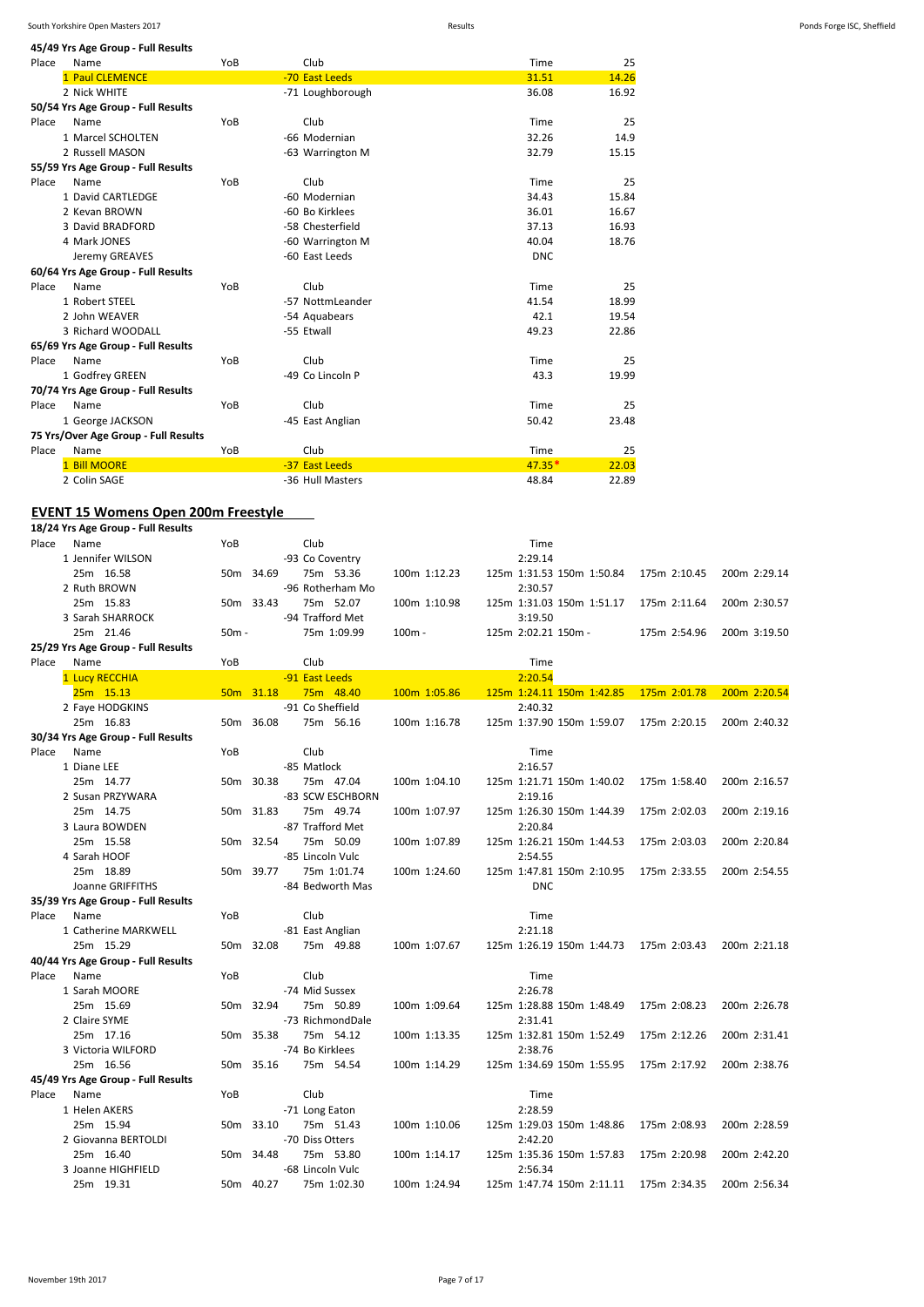**45/49 Yrs Age Group - Full Results**

| Place | Name                                 | YoB | Club             | Time       | 25    |
|-------|--------------------------------------|-----|------------------|------------|-------|
|       | 1 Paul CLEMENCE                      |     | -70 East Leeds   | 31.51      | 14.26 |
|       | 2 Nick WHITE                         |     | -71 Loughborough | 36.08      | 16.92 |
|       | 50/54 Yrs Age Group - Full Results   |     |                  |            |       |
| Place | Name                                 | YoB | Club             | Time       | 25    |
|       | 1 Marcel SCHOLTEN                    |     | -66 Modernian    | 32.26      | 14.9  |
|       | 2 Russell MASON                      |     | -63 Warrington M | 32.79      | 15.15 |
|       | 55/59 Yrs Age Group - Full Results   |     |                  |            |       |
| Place | Name                                 | YoB | Club             | Time       | 25    |
|       | 1 David CARTLEDGE                    |     | -60 Modernian    | 34.43      | 15.84 |
|       | 2 Kevan BROWN                        |     | -60 Bo Kirklees  | 36.01      | 16.67 |
|       | 3 David BRADFORD                     |     | -58 Chesterfield | 37.13      | 16.93 |
|       | 4 Mark JONES                         |     | -60 Warrington M | 40.04      | 18.76 |
|       | Jeremy GREAVES                       |     | -60 East Leeds   | <b>DNC</b> |       |
|       | 60/64 Yrs Age Group - Full Results   |     |                  |            |       |
| Place | Name                                 | YoB | Club             | Time       | 25    |
|       | 1 Robert STEEL                       |     | -57 NottmLeander | 41.54      | 18.99 |
|       | 2 John WEAVER                        |     | -54 Aquabears    | 42.1       | 19.54 |
|       | 3 Richard WOODALL                    |     | -55 Etwall       | 49.23      | 22.86 |
|       | 65/69 Yrs Age Group - Full Results   |     |                  |            |       |
| Place | Name                                 | YoB | Club             | Time       | 25    |
|       | 1 Godfrey GREEN                      |     | -49 Co Lincoln P | 43.3       | 19.99 |
|       | 70/74 Yrs Age Group - Full Results   |     |                  |            |       |
| Place | Name                                 | YoB | Club             | Time       | 25    |
|       | 1 George JACKSON                     |     | -45 East Anglian | 50.42      | 23.48 |
|       | 75 Yrs/Over Age Group - Full Results |     |                  |            |       |
| Place | Name                                 | YoB | Club             | Time       | 25    |
|       | <b>Bill MOORE</b>                    |     | -37 East Leeds   | $47.35*$   | 22.03 |
|       | 2 Colin SAGE                         |     | -36 Hull Masters | 48.84      | 22.89 |

#### **EVENT 15 Womens Open 200m Freestyle**

**18/24 Yrs Age Group - Full Results** Place Name **Time** YoB Club **Club Time** 1 Jennifer WILSON -93 Co Coventry 2:29.14 25m 16.58 50m 34.69 75m 53.36 100m 1:12.23 125m 1:31.53 150m 1:50.84 175m 2:10.45 200m 2:29.14 2 Ruth BROWN -96 Rotherham Mo 2:30.57<br>2 2 2 2:30.57 25m 15.83 - 50m 33.43 25m 52.07 - 100m 1:10.98 - 275m 1:31.03 25m 15.83 50m 33.43 75m 52.07 100m 1:10.98 125m 1:31.03 150m 1:51.17 175m 2:11.64 200m 2:30.57 3 Sarah SHARROCK -94 Trafford Met 3:19.50 25m 21.46 50m - 75m 1:09.99 100m - 125m 2:02.21 150m - 175m 2:54.96 200m 3:19.50 **25/29 Yrs Age Group - Full Results** Place Name **Time** YoB Club **Club Time** 1 Lucy RECCHIA **1 2:20.54**<br>125m 15.13 **25m 15.13 20m 31.18 20m 148.40 20m 1:05.86 125m 1:24.11** 25m 15.13 50m 31.18 75m 48.40 100m 1:05.86 125m 1:24.11 150m 1:42.85 175m 2:01.78 200m 2:20.54 2 Faye HODGKINS -91 Co Sheffield 2:40.32 25m 16.83 50m 36.08 75m 56.16 100m 1:16.78 125m 1:37.90 150m 1:59.07 175m 2:20.15 200m 2:40.32 **30/34 Yrs Age Group - Full Results** Place Name **Time** YoB Club **Club Time** 1 Diane LEE 2:16.57 25m 14.77 50m 30.38 75m 47.04 100m 1:04.10 125m 1:21.71 150m 1:40.02 175m 1:58.40 200m 2:16.57 2 Susan PRZYWARA <sup>2:19.16</sup> -83 SCW ESCHBORN 2:19.16 25m 14.75 50m 31.83 75m 49.74 100m 1:07.97 125m 1:26.30 150m 1:44.39 175m 2:02.03 200m 2:19.16 3 Laura BOWDEN -87 Trafford Met 2:20.84<br>25m 15.58 - 50m 32.54 75m 50.09 - 100m 1:07.89 - 125m 1:26.21 25m 15.58 50m 32.54 75m 50.09 100m 1:07.89 125m 1:26.21 150m 1:44.53 175m 2:03.03 200m 2:20.84 4 Sarah HOOF -85 Lincoln Vulc 2:54.55 25m 18.89 50m 39.77 75m 1:01.74 100m 1:24.60 125m 1:47.81 150m 2:10.95 175m 2:33.55 200m 2:54.55 Joanne GRIFFITHS -84 Bedworth Mas DNC **35/39 Yrs Age Group - Full Results** Place Name **Time** YoB Club **Club Time** 1 Catherine MARKWELL -81 East Anglian -81 East Anglian 2:21.18 25m 15.29 50m 32.08 75m 49.88 100m 1:07.67 125m 1:26.19 150m 1:44.73 175m 2:03.43 200m 2:21.18 **40/44 Yrs Age Group - Full Results** Place Name **Time** YoB Club **Club Time** 1 Sarah MOORE -74 Mid Sussex 2:26.78 25m 15.69 50m 32.94 75m 50.89 100m 1:09.64 125m 1:28.88 150m 1:48.49 175m 2:08.23 200m 2:26.78 2 Claire SYME 2:31.41 25m 17.16 50m 35.38 75m 54.12 100m 1:13.35 125m 1:32.81 150m 1:52.49 175m 2:12.26 200m 2:31.41 3 Victoria WILFORD -74 Bo Kirklees 2:38.76<br>25m 16 56 - 75m 35 16 75m 54 54 - 100m 1:14 29 - 125m 1:34 69 150m 1:55 95 25m 16.56 50m 35.16 75m 54.54 100m 1:14.29 125m 1:34.69 150m 1:55.95 175m 2:17.92 200m 2:38.76 **45/49 Yrs Age Group - Full Results** Place Name YoB Club Time 1 Helen AKERS 2:28.59 25m 15.94 50m 33.10 75m 51.43 100m 1:10.06 125m 1:29.03 150m 1:48.86 175m 2:08.93 200m 2:28.59 2 Giovanna BERTOLDI -70 Diss Otters 2:42.2010 25m 16.40 50m 34.48 75m 53.80 100m 1:14.17 125m 1:35.36 150m 1:57.83 175m 2:20.98 200m 2:42.20 3 Joanne HIGHFIELD -68 Lincoln Vulc 2:56.34 25m 19.31 50m 40.27 75m 1:02.30 100m 1:24.94 125m 1:47.74 150m 2:11.11 175m 2:34.35 200m 2:56.34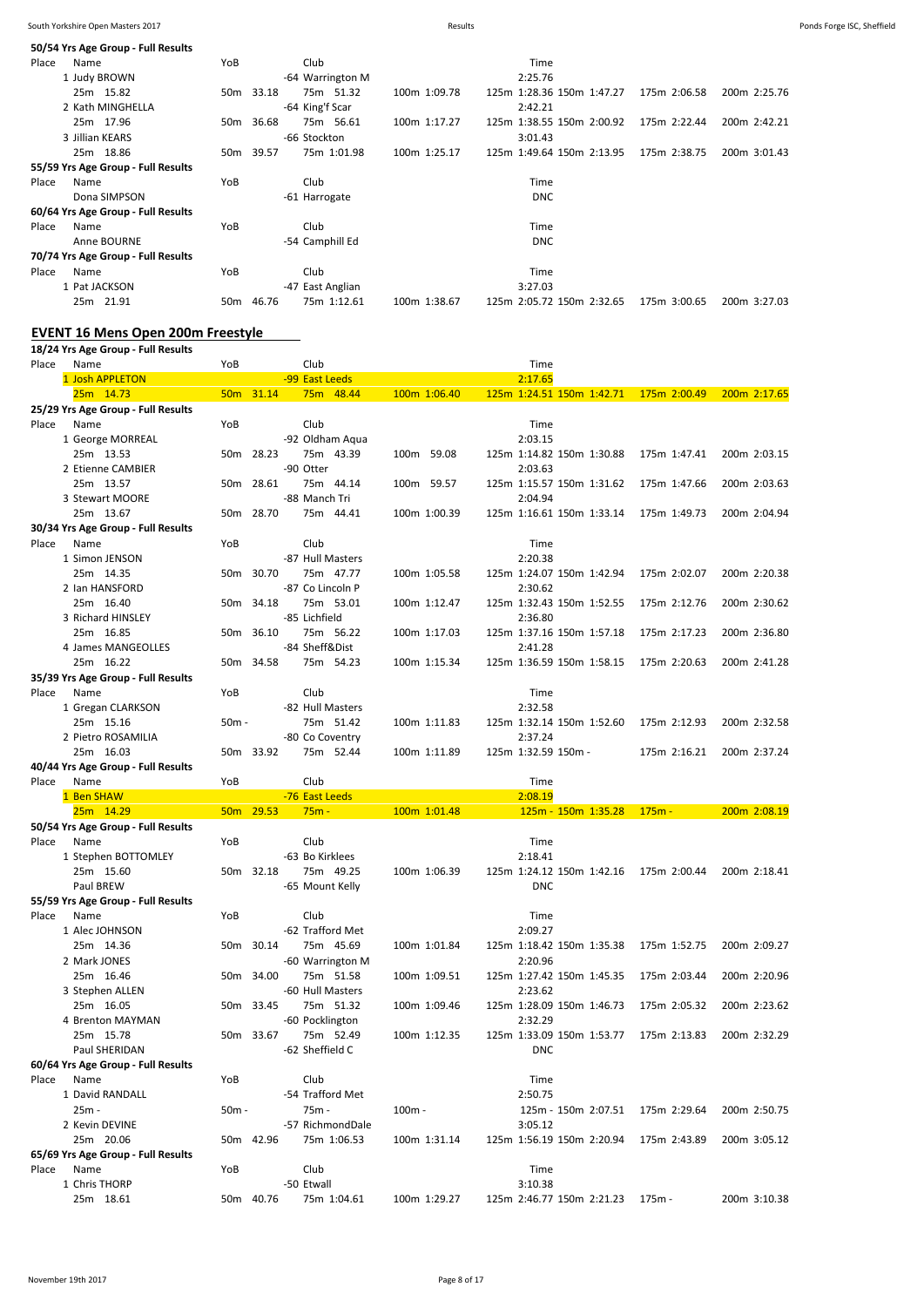|       | 50/54 Yrs Age Group - Full Results |                 |           |                  |                  |              |                           |              |              |
|-------|------------------------------------|-----------------|-----------|------------------|------------------|--------------|---------------------------|--------------|--------------|
| Place | Name                               | YoB             |           | Club             |                  |              | Time                      |              |              |
|       | 1 Judy BROWN                       |                 |           |                  | -64 Warrington M |              | 2:25.76                   |              |              |
|       | 25m 15.82                          |                 | 50m 33.18 |                  | 75m 51.32        | 100m 1:09.78 | 125m 1:28.36 150m 1:47.27 | 175m 2:06.58 | 200m 2:25.76 |
|       | 2 Kath MINGHELLA                   |                 |           | -64 King'f Scar  |                  |              | 2:42.21                   |              |              |
|       | 25m 17.96                          | 50 <sub>m</sub> | 36.68     |                  | 75m 56.61        | 100m 1:17.27 | 125m 1:38.55 150m 2:00.92 | 175m 2:22.44 | 200m 2:42.21 |
|       | 3 Jillian KEARS                    |                 |           | -66 Stockton     |                  |              | 3:01.43                   |              |              |
|       | 25m 18.86                          |                 | 50m 39.57 |                  | 75m 1:01.98      | 100m 1:25.17 | 125m 1:49.64 150m 2:13.95 | 175m 2:38.75 | 200m 3:01.43 |
|       | 55/59 Yrs Age Group - Full Results |                 |           |                  |                  |              |                           |              |              |
| Place | Name                               | YoB             |           | Club             |                  |              | Time                      |              |              |
|       | Dona SIMPSON                       |                 |           | -61 Harrogate    |                  |              | <b>DNC</b>                |              |              |
|       | 60/64 Yrs Age Group - Full Results |                 |           |                  |                  |              |                           |              |              |
| Place | Name                               | YoB             |           | Club             |                  |              | Time                      |              |              |
|       | Anne BOURNE                        |                 |           | -54 Camphill Ed  |                  |              | <b>DNC</b>                |              |              |
|       | 70/74 Yrs Age Group - Full Results |                 |           |                  |                  |              |                           |              |              |
| Place | Name                               | YoB             |           | Club             |                  |              | Time                      |              |              |
|       | 1 Pat JACKSON                      |                 |           | -47 East Anglian |                  |              | 3:27.03                   |              |              |
|       | 25m 21.91                          | 50 <sub>m</sub> | 46.76     |                  | 75m 1:12.61      | 100m 1:38.67 | 125m 2:05.72 150m 2:32.65 | 175m 3:00.65 | 200m 3:27.03 |

### **EVENT 16 Mens Open 200m Freestyle**

|       | 18/24 Yrs Age Group - Full Results |       |           |                           |              |                           |              |              |
|-------|------------------------------------|-------|-----------|---------------------------|--------------|---------------------------|--------------|--------------|
| Place | Name                               | YoB   |           | Club                      |              | Time                      |              |              |
|       | 1 Josh APPLETON                    |       |           | -99 East Leeds            |              | 2:17.65                   |              |              |
|       | 25m 14.73                          |       | 50m 31.14 | 75m 48.44                 | 100m 1:06.40 | 125m 1:24.51 150m 1:42.71 | 175m 2:00.49 | 200m 2:17.65 |
|       | 25/29 Yrs Age Group - Full Results |       |           |                           |              |                           |              |              |
| Place | Name                               | YoB   |           | Club                      |              | Time                      |              |              |
|       | 1 George MORREAL                   |       |           | -92 Oldham Aqua           |              | 2:03.15                   |              |              |
|       | 25m 13.53                          |       | 50m 28.23 | 75m 43.39                 | 100m 59.08   | 125m 1:14.82 150m 1:30.88 | 175m 1:47.41 | 200m 2:03.15 |
|       | 2 Etienne CAMBIER                  |       |           | -90 Otter                 |              | 2:03.63                   |              |              |
|       |                                    |       |           |                           |              |                           |              |              |
|       | 25m 13.57                          |       | 50m 28.61 | 75m 44.14                 | 100m 59.57   | 125m 1:15.57 150m 1:31.62 | 175m 1:47.66 | 200m 2:03.63 |
|       | 3 Stewart MOORE                    |       |           | -88 Manch Tri             |              | 2:04.94                   |              |              |
|       | 25m 13.67                          |       | 50m 28.70 | 75m 44.41                 | 100m 1:00.39 | 125m 1:16.61 150m 1:33.14 | 175m 1:49.73 | 200m 2:04.94 |
|       | 30/34 Yrs Age Group - Full Results |       |           |                           |              |                           |              |              |
| Place | Name                               | YoB   |           | Club                      |              | Time                      |              |              |
|       | 1 Simon JENSON                     |       |           | -87 Hull Masters          |              | 2:20.38                   |              |              |
|       | 25m 14.35                          |       | 50m 30.70 | 75m 47.77                 | 100m 1:05.58 | 125m 1:24.07 150m 1:42.94 | 175m 2:02.07 | 200m 2:20.38 |
|       | 2 Ian HANSFORD                     |       |           | -87 Co Lincoln P          |              | 2:30.62                   |              |              |
|       | 25m 16.40                          |       | 50m 34.18 | 75m 53.01                 | 100m 1:12.47 | 125m 1:32.43 150m 1:52.55 | 175m 2:12.76 | 200m 2:30.62 |
|       | 3 Richard HINSLEY                  |       |           | -85 Lichfield             |              | 2:36.80                   |              |              |
|       | 25m 16.85                          |       | 50m 36.10 | 75m 56.22                 | 100m 1:17.03 | 125m 1:37.16 150m 1:57.18 | 175m 2:17.23 | 200m 2:36.80 |
|       | 4 James MANGEOLLES                 |       |           | -84 Sheff&Dist            |              | 2:41.28                   |              |              |
|       | 25m 16.22                          |       | 50m 34.58 | 75m 54.23                 | 100m 1:15.34 | 125m 1:36.59 150m 1:58.15 | 175m 2:20.63 | 200m 2:41.28 |
|       | 35/39 Yrs Age Group - Full Results |       |           |                           |              |                           |              |              |
| Place | Name                               | YoB   |           | Club                      |              | Time                      |              |              |
|       | 1 Gregan CLARKSON                  |       |           | -82 Hull Masters          |              | 2:32.58                   |              |              |
|       |                                    |       |           |                           |              |                           |              | 200m 2:32.58 |
|       | 25m 15.16                          | 50m - |           | 75m 51.42                 | 100m 1:11.83 | 125m 1:32.14 150m 1:52.60 | 175m 2:12.93 |              |
|       | 2 Pietro ROSAMILIA                 |       |           | -80 Co Coventry           |              | 2:37.24                   |              |              |
|       | 25m 16.03                          |       | 50m 33.92 | 75m 52.44                 | 100m 1:11.89 | 125m 1:32.59 150m -       | 175m 2:16.21 | 200m 2:37.24 |
|       | 40/44 Yrs Age Group - Full Results |       |           |                           |              |                           |              |              |
| Place | Name                               | YoB   |           | Club                      |              |                           |              |              |
|       |                                    |       |           |                           |              | Time                      |              |              |
|       | 1 Ben SHAW                         |       |           | -76 East Leeds            |              | 2:08.19                   |              |              |
|       | 25m 14.29                          |       | 50m 29.53 | $75m -$                   | 100m 1:01.48 | 125m - 150m 1:35.28       | $175m -$     | 200m 2:08.19 |
|       | 50/54 Yrs Age Group - Full Results |       |           |                           |              |                           |              |              |
| Place | Name                               | YoB   |           | Club                      |              | Time                      |              |              |
|       | 1 Stephen BOTTOMLEY                |       |           | -63 Bo Kirklees           |              | 2:18.41                   |              |              |
|       | 25m 15.60                          |       | 50m 32.18 | 75m 49.25                 | 100m 1:06.39 | 125m 1:24.12 150m 1:42.16 | 175m 2:00.44 | 200m 2:18.41 |
|       | Paul BREW                          |       |           | -65 Mount Kelly           |              | <b>DNC</b>                |              |              |
|       | 55/59 Yrs Age Group - Full Results |       |           |                           |              |                           |              |              |
| Place | Name                               | YoB   |           | Club                      |              | Time                      |              |              |
|       |                                    |       |           |                           |              |                           |              |              |
|       | 1 Alec JOHNSON                     |       |           | -62 Trafford Met          |              | 2:09.27                   |              |              |
|       | 25m 14.36                          |       | 50m 30.14 | 75m 45.69                 | 100m 1:01.84 | 125m 1:18.42 150m 1:35.38 | 175m 1:52.75 | 200m 2:09.27 |
|       | 2 Mark JONES                       |       |           | -60 Warrington M          |              | 2:20.96                   |              |              |
|       | 25m 16.46                          |       | 50m 34.00 | 75m 51.58                 | 100m 1:09.51 | 125m 1:27.42 150m 1:45.35 | 175m 2:03.44 | 200m 2:20.96 |
|       | 3 Stephen ALLEN                    |       |           | -60 Hull Masters          |              | 2:23.62                   |              |              |
|       | 25m 16.05                          |       | 50m 33.45 | 75m 51.32                 | 100m 1:09.46 | 125m 1:28.09 150m 1:46.73 | 175m 2:05.32 | 200m 2:23.62 |
|       | 4 Brenton MAYMAN                   |       |           | -60 Pocklington           |              | 2:32.29                   |              |              |
|       | 25m 15.78                          |       | 50m 33.67 | 75m 52.49                 | 100m 1:12.35 | 125m 1:33.09 150m 1:53.77 | 175m 2:13.83 | 200m 2:32.29 |
|       | Paul SHERIDAN                      |       |           | -62 Sheffield C           |              | <b>DNC</b>                |              |              |
|       | 60/64 Yrs Age Group - Full Results |       |           |                           |              |                           |              |              |
| Place | Name                               | YoB   |           | Club                      |              | Time                      |              |              |
|       | 1 David RANDALL                    |       |           | -54 Trafford Met          |              | 2:50.75                   |              |              |
|       | 25m -                              | 50m - |           | 75m -                     | $100m -$     | 125m - 150m 2:07.51       | 175m 2:29.64 | 200m 2:50.75 |
|       | 2 Kevin DEVINE                     |       |           | -57 RichmondDale          |              | 3:05.12                   |              |              |
|       | 25m 20.06                          |       | 50m 42.96 | 75m 1:06.53               | 100m 1:31.14 | 125m 1:56.19 150m 2:20.94 | 175m 2:43.89 | 200m 3:05.12 |
|       | 65/69 Yrs Age Group - Full Results |       |           |                           |              |                           |              |              |
| Place | Name                               | YoB   |           | Club                      |              | Time                      |              |              |
|       |                                    |       |           |                           |              | 3:10.38                   |              |              |
|       | 1 Chris THORP<br>25m 18.61         |       | 50m 40.76 | -50 Etwall<br>75m 1:04.61 | 100m 1:29.27 | 125m 2:46.77 150m 2:21.23 | 175m -       | 200m 3:10.38 |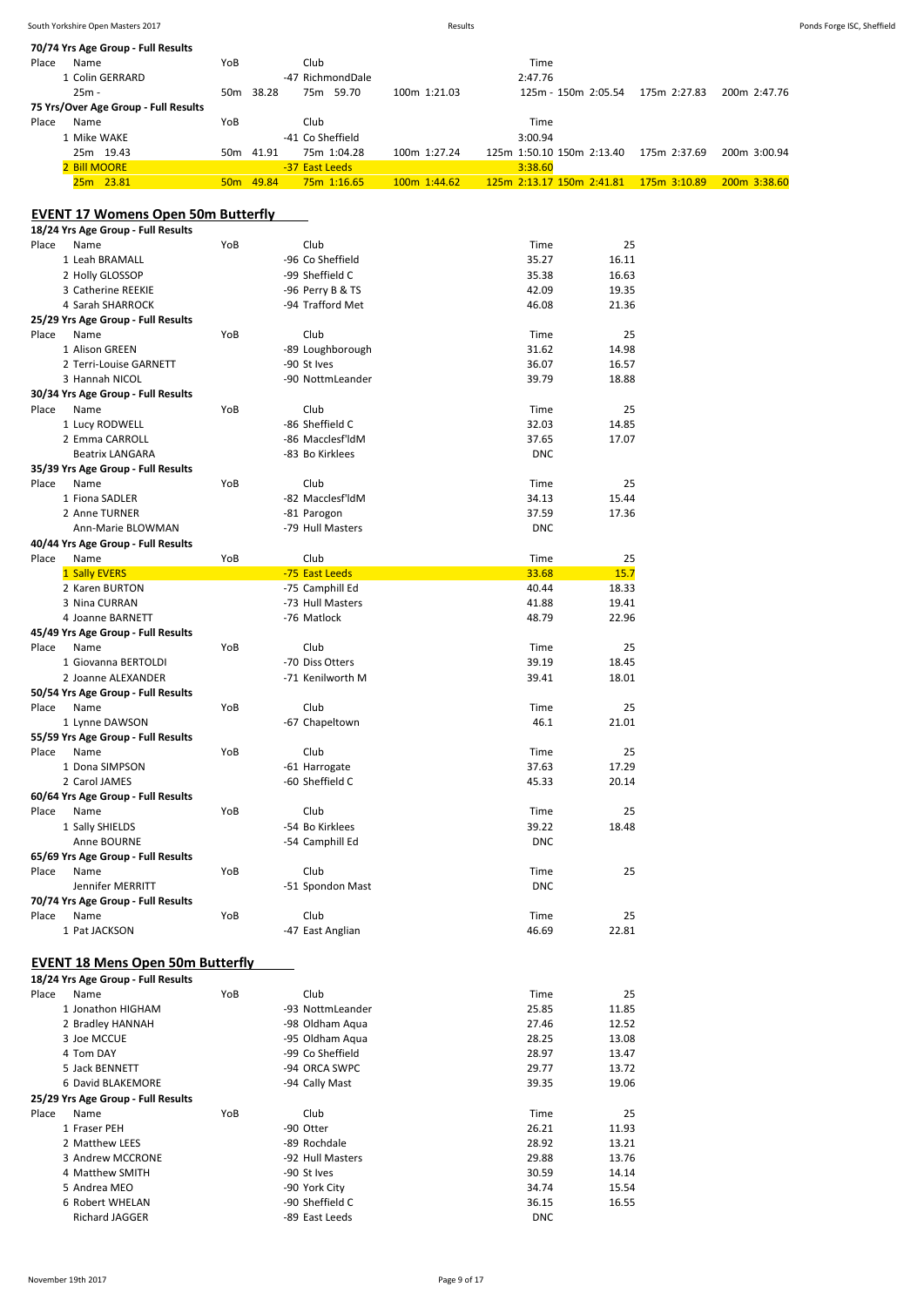| South Yorkshire Open Masters 2017<br>the contract of the contract of the contract of the contract of the contract of the contract of the contract of | Results | Ponds Forge ISC, Sheffield |
|------------------------------------------------------------------------------------------------------------------------------------------------------|---------|----------------------------|
|                                                                                                                                                      |         |                            |

| 70/74 Yrs Age Group - Full Results                     |     |           |                                 |              |                |                           |              |              |
|--------------------------------------------------------|-----|-----------|---------------------------------|--------------|----------------|---------------------------|--------------|--------------|
| Name<br>Place                                          | YoB |           | Club                            |              | Time           |                           |              |              |
| 1 Colin GERRARD                                        |     |           | -47 RichmondDale                |              | 2:47.76        |                           |              |              |
| $25m -$                                                |     | 50m 38.28 | 75m 59.70                       | 100m 1:21.03 |                | 125m - 150m 2:05.54       | 175m 2:27.83 | 200m 2:47.76 |
| 75 Yrs/Over Age Group - Full Results                   |     |           |                                 |              |                |                           |              |              |
| Place<br>Name                                          | YoB |           | Club<br>-41 Co Sheffield        |              | Time           |                           |              |              |
| 1 Mike WAKE<br>25m 19.43                               |     | 50m 41.91 | 75m 1:04.28                     | 100m 1:27.24 | 3:00.94        | 125m 1:50.10 150m 2:13.40 | 175m 2:37.69 | 200m 3:00.94 |
| 2 Bill MOORE                                           |     |           | -37 East Leeds                  |              | 3:38.60        |                           |              |              |
| 25m 23.81                                              |     | 50m 49.84 | 75m 1:16.65                     | 100m 1:44.62 |                | 125m 2:13.17 150m 2:41.81 | 175m 3:10.89 | 200m 3:38.60 |
|                                                        |     |           |                                 |              |                |                           |              |              |
| <b>EVENT 17 Womens Open 50m Butterfly</b>              |     |           |                                 |              |                |                           |              |              |
| 18/24 Yrs Age Group - Full Results                     |     |           |                                 |              |                |                           |              |              |
| Place<br>Name                                          | YoB |           | Club                            |              | Time           | 25                        |              |              |
| 1 Leah BRAMALL                                         |     |           | -96 Co Sheffield                |              | 35.27          | 16.11                     |              |              |
| 2 Holly GLOSSOP                                        |     |           | -99 Sheffield C                 |              | 35.38          | 16.63                     |              |              |
| 3 Catherine REEKIE                                     |     |           | -96 Perry B & TS                |              | 42.09          | 19.35                     |              |              |
| 4 Sarah SHARROCK                                       |     |           | -94 Trafford Met                |              | 46.08          | 21.36                     |              |              |
| 25/29 Yrs Age Group - Full Results                     |     |           |                                 |              |                |                           |              |              |
| Place<br>Name                                          | YoB |           | Club                            |              | Time           | 25                        |              |              |
| 1 Alison GREEN                                         |     |           | -89 Loughborough                |              | 31.62          | 14.98                     |              |              |
| 2 Terri-Louise GARNETT<br>3 Hannah NICOL               |     |           | -90 St Ives                     |              | 36.07          | 16.57                     |              |              |
| 30/34 Yrs Age Group - Full Results                     |     |           | -90 NottmLeander                |              | 39.79          | 18.88                     |              |              |
| Place<br>Name                                          | YoB |           | Club                            |              | Time           | 25                        |              |              |
| 1 Lucy RODWELL                                         |     |           | -86 Sheffield C                 |              | 32.03          | 14.85                     |              |              |
| 2 Emma CARROLL                                         |     |           | -86 Macclesf'ldM                |              | 37.65          | 17.07                     |              |              |
| <b>Beatrix LANGARA</b>                                 |     |           | -83 Bo Kirklees                 |              | <b>DNC</b>     |                           |              |              |
| 35/39 Yrs Age Group - Full Results                     |     |           |                                 |              |                |                           |              |              |
| Place<br>Name                                          | YoB |           | Club                            |              | Time           | 25                        |              |              |
| 1 Fiona SADLER                                         |     |           | -82 Macclesf'ldM                |              | 34.13          | 15.44                     |              |              |
| 2 Anne TURNER                                          |     |           | -81 Parogon                     |              | 37.59          | 17.36                     |              |              |
| Ann-Marie BLOWMAN                                      |     |           | -79 Hull Masters                |              | <b>DNC</b>     |                           |              |              |
| 40/44 Yrs Age Group - Full Results                     |     |           |                                 |              |                |                           |              |              |
| Place<br>Name                                          | YoB |           | Club                            |              | Time           | 25                        |              |              |
| 1 Sally EVERS                                          |     |           | -75 East Leeds                  |              | 33.68          | 15.7                      |              |              |
| 2 Karen BURTON                                         |     |           | -75 Camphill Ed                 |              | 40.44          | 18.33                     |              |              |
| 3 Nina CURRAN                                          |     |           | -73 Hull Masters<br>-76 Matlock |              | 41.88<br>48.79 | 19.41<br>22.96            |              |              |
| 4 Joanne BARNETT<br>45/49 Yrs Age Group - Full Results |     |           |                                 |              |                |                           |              |              |
| Name<br>Place                                          | YoB |           | Club                            |              | Time           | 25                        |              |              |
| 1 Giovanna BERTOLDI                                    |     |           | -70 Diss Otters                 |              | 39.19          | 18.45                     |              |              |
| 2 Joanne ALEXANDER                                     |     |           | -71 Kenilworth M                |              | 39.41          | 18.01                     |              |              |
| 50/54 Yrs Age Group - Full Results                     |     |           |                                 |              |                |                           |              |              |
| Place<br>Name                                          | YoB |           | Club                            |              | Time           | 25                        |              |              |
| 1 Lynne DAWSON                                         |     |           | -67 Chapeltown                  |              | 46.1           | 21.01                     |              |              |
| 55/59 Yrs Age Group - Full Results                     |     |           |                                 |              |                |                           |              |              |
| Place<br>Name                                          | YoB |           | Club                            |              | Time           | 25                        |              |              |
| 1 Dona SIMPSON                                         |     |           | -61 Harrogate                   |              | 37.63          | 17.29                     |              |              |
| 2 Carol JAMES                                          |     |           | -60 Sheffield C                 |              | 45.33          | 20.14                     |              |              |
| 60/64 Yrs Age Group - Full Results                     |     |           |                                 |              |                |                           |              |              |
| Place<br>Name                                          | YoB |           | Club                            |              | Time           | 25                        |              |              |
| 1 Sally SHIELDS                                        |     |           | -54 Bo Kirklees                 |              | 39.22          | 18.48                     |              |              |
| Anne BOURNE<br>65/69 Yrs Age Group - Full Results      |     |           | -54 Camphill Ed                 |              | <b>DNC</b>     |                           |              |              |
| Place<br>Name                                          | YoB |           | Club                            |              | Time           | 25                        |              |              |
| Jennifer MERRITT                                       |     |           | -51 Spondon Mast                |              | <b>DNC</b>     |                           |              |              |
| 70/74 Yrs Age Group - Full Results                     |     |           |                                 |              |                |                           |              |              |
| Place<br>Name                                          | YoB |           | Club                            |              | Time           | 25                        |              |              |
| 1 Pat JACKSON                                          |     |           | -47 East Anglian                |              | 46.69          | 22.81                     |              |              |
|                                                        |     |           |                                 |              |                |                           |              |              |
| <b>EVENT 18 Mens Open 50m Butterfly</b>                |     |           |                                 |              |                |                           |              |              |
| 18/24 Yrs Age Group - Full Results                     |     |           |                                 |              |                |                           |              |              |
| Place<br>Name                                          | YoB |           | Club                            |              | Time           | 25                        |              |              |
| 1 Jonathon HIGHAM                                      |     |           | -93 NottmLeander                |              | 25.85          | 11.85                     |              |              |
| 2 Bradley HANNAH                                       |     |           | -98 Oldham Aqua                 |              | 27.46          | 12.52                     |              |              |
| 3 Joe MCCUE                                            |     |           | -95 Oldham Aqua                 |              | 28.25          | 13.08                     |              |              |
| 4 Tom DAY                                              |     |           | -99 Co Sheffield                |              | 28.97          | 13.47                     |              |              |
| 5 Jack BENNETT                                         |     |           | -94 ORCA SWPC                   |              | 29.77          | 13.72                     |              |              |
| 6 David BLAKEMORE                                      |     |           | -94 Cally Mast                  |              | 39.35          | 19.06                     |              |              |
| 25/29 Yrs Age Group - Full Results<br>Name<br>Place    | YoB |           | Club                            |              | Time           | 25                        |              |              |
| 1 Fraser PEH                                           |     |           | -90 Otter                       |              | 26.21          | 11.93                     |              |              |
| 2 Matthew LEES                                         |     |           | -89 Rochdale                    |              | 28.92          | 13.21                     |              |              |
| 3 Andrew MCCRONE                                       |     |           | -92 Hull Masters                |              | 29.88          | 13.76                     |              |              |
| 4 Matthew SMITH                                        |     |           | -90 St Ives                     |              | 30.59          | 14.14                     |              |              |
| 5 Andrea MEO                                           |     |           | -90 York City                   |              | 34.74          | 15.54                     |              |              |
| 6 Robert WHELAN                                        |     |           | -90 Sheffield C                 |              | 36.15          | 16.55                     |              |              |
| Richard JAGGER                                         |     |           | -89 East Leeds                  |              | <b>DNC</b>     |                           |              |              |
|                                                        |     |           |                                 |              |                |                           |              |              |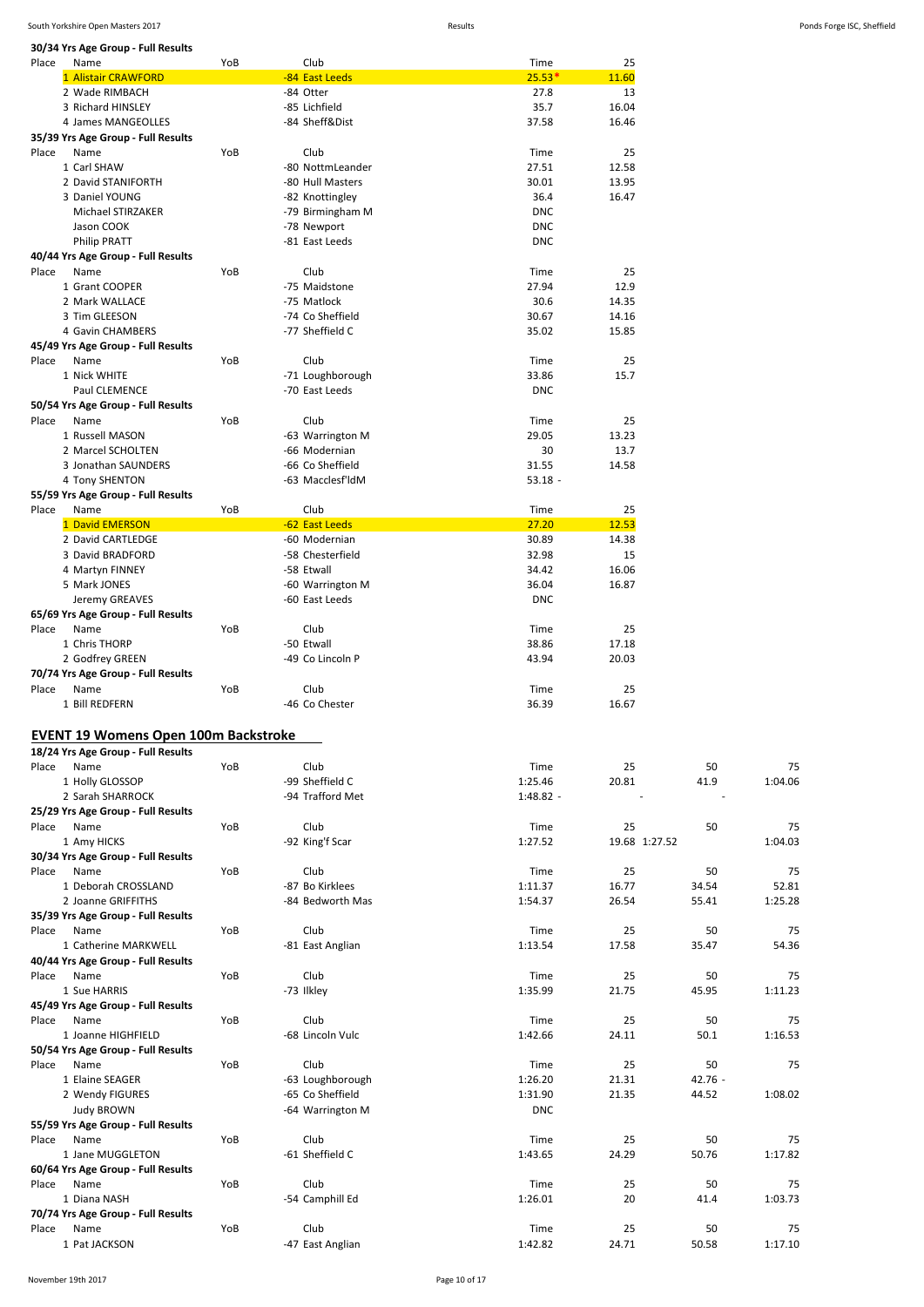**30/34 Yrs Age Group - Full Results**

| 30/34 Yrs Age Group - Full Results          |     |                                   |                 |               |             |               |
|---------------------------------------------|-----|-----------------------------------|-----------------|---------------|-------------|---------------|
| Place<br>Name                               | YoB | Club                              | Time            | 25            |             |               |
| 1 Alistair CRAWFORD                         |     | -84 East Leeds                    | $25.53*$        | 11.60         |             |               |
| 2 Wade RIMBACH                              |     | -84 Otter                         | 27.8            | 13            |             |               |
| 3 Richard HINSLEY                           |     | -85 Lichfield                     | 35.7            | 16.04         |             |               |
| 4 James MANGEOLLES                          |     | -84 Sheff&Dist                    | 37.58           | 16.46         |             |               |
| 35/39 Yrs Age Group - Full Results          |     |                                   |                 |               |             |               |
| Place<br>Name                               | YoB | Club                              | Time            | 25            |             |               |
| 1 Carl SHAW                                 |     | -80 NottmLeander                  | 27.51           | 12.58         |             |               |
| 2 David STANIFORTH                          |     | -80 Hull Masters                  | 30.01           | 13.95         |             |               |
| 3 Daniel YOUNG                              |     | -82 Knottingley                   | 36.4            | 16.47         |             |               |
| Michael STIRZAKER                           |     | -79 Birmingham M                  | <b>DNC</b>      |               |             |               |
| Jason COOK                                  |     | -78 Newport                       | <b>DNC</b>      |               |             |               |
|                                             |     | -81 East Leeds                    | <b>DNC</b>      |               |             |               |
| <b>Philip PRATT</b>                         |     |                                   |                 |               |             |               |
| 40/44 Yrs Age Group - Full Results          |     |                                   |                 |               |             |               |
| Place<br>Name                               | YoB | Club                              | Time            | 25            |             |               |
| 1 Grant COOPER                              |     | -75 Maidstone                     | 27.94           | 12.9          |             |               |
| 2 Mark WALLACE                              |     | -75 Matlock                       | 30.6            | 14.35         |             |               |
| 3 Tim GLEESON                               |     | -74 Co Sheffield                  | 30.67           | 14.16         |             |               |
| 4 Gavin CHAMBERS                            |     | -77 Sheffield C                   | 35.02           | 15.85         |             |               |
| 45/49 Yrs Age Group - Full Results          |     |                                   |                 |               |             |               |
| Name<br>Place                               | YoB | Club                              | Time            | 25            |             |               |
| 1 Nick WHITE                                |     | -71 Loughborough                  | 33.86           | 15.7          |             |               |
| Paul CLEMENCE                               |     | -70 East Leeds                    | <b>DNC</b>      |               |             |               |
| 50/54 Yrs Age Group - Full Results          |     |                                   |                 |               |             |               |
| Place<br>Name                               | YoB | Club                              | Time            | 25            |             |               |
| 1 Russell MASON                             |     |                                   | 29.05           | 13.23         |             |               |
| 2 Marcel SCHOLTEN                           |     | -63 Warrington M<br>-66 Modernian |                 |               |             |               |
|                                             |     |                                   | 30              | 13.7          |             |               |
| 3 Jonathan SAUNDERS                         |     | -66 Co Sheffield                  | 31.55           | 14.58         |             |               |
| 4 Tony SHENTON                              |     | -63 Macclesf'ldM                  | $53.18 -$       |               |             |               |
| 55/59 Yrs Age Group - Full Results          |     |                                   |                 |               |             |               |
| Name<br>Place                               | YoB | Club                              | Time            | 25            |             |               |
| 1 David EMERSON                             |     | -62 East Leeds                    | 27.20           | 12.53         |             |               |
| 2 David CARTLEDGE                           |     | -60 Modernian                     | 30.89           | 14.38         |             |               |
| 3 David BRADFORD                            |     | -58 Chesterfield                  | 32.98           | 15            |             |               |
| 4 Martyn FINNEY                             |     | -58 Etwall                        | 34.42           | 16.06         |             |               |
| 5 Mark JONES                                |     | -60 Warrington M                  | 36.04           | 16.87         |             |               |
| Jeremy GREAVES                              |     | -60 East Leeds                    | <b>DNC</b>      |               |             |               |
| 65/69 Yrs Age Group - Full Results          |     |                                   |                 |               |             |               |
| Place<br>Name                               | YoB | Club                              | Time            | 25            |             |               |
| 1 Chris THORP                               |     | -50 Etwall                        | 38.86           |               |             |               |
|                                             |     |                                   |                 | 17.18         |             |               |
|                                             |     |                                   |                 |               |             |               |
| 2 Godfrey GREEN                             |     | -49 Co Lincoln P                  | 43.94           | 20.03         |             |               |
| 70/74 Yrs Age Group - Full Results          |     |                                   |                 |               |             |               |
| Place<br>Name                               | YoB | Club                              | Time            | 25            |             |               |
| 1 Bill REDFERN                              |     | -46 Co Chester                    | 36.39           | 16.67         |             |               |
|                                             |     |                                   |                 |               |             |               |
|                                             |     |                                   |                 |               |             |               |
| <b>EVENT 19 Womens Open 100m Backstroke</b> |     |                                   |                 |               |             |               |
| 18/24 Yrs Age Group - Full Results          |     |                                   |                 |               |             |               |
| Name<br>Place                               | YoB | Club                              | Time            | 25            | 50          | 75            |
| 1 Holly GLOSSOP                             |     | -99 Sheffield C                   | 1:25.46         | 20.81         | 41.9        | 1:04.06       |
| 2 Sarah SHARROCK                            |     | -94 Trafford Met                  | 1:48.82 -       |               |             |               |
| 25/29 Yrs Age Group - Full Results          |     |                                   |                 |               |             |               |
| Name<br>Place                               | YoB | Club                              | Time            | 25            | 50          | 75            |
| 1 Amy HICKS                                 |     | -92 King'f Scar                   | 1:27.52         | 19.68 1:27.52 |             | 1:04.03       |
| 30/34 Yrs Age Group - Full Results          |     |                                   |                 |               |             |               |
| Place<br>Name                               | YoB | Club                              | Time            | 25            | 50          | 75            |
| 1 Deborah CROSSLAND                         |     | -87 Bo Kirklees                   | 1:11.37         | 16.77         | 34.54       | 52.81         |
| 2 Joanne GRIFFITHS                          |     | -84 Bedworth Mas                  | 1:54.37         | 26.54         | 55.41       | 1:25.28       |
| 35/39 Yrs Age Group - Full Results          |     |                                   |                 |               |             |               |
| Place<br>Name                               | YoB | Club                              | Time            | 25            | 50          | 75            |
| 1 Catherine MARKWELL                        |     | -81 East Anglian                  | 1:13.54         | 17.58         | 35.47       | 54.36         |
|                                             |     |                                   |                 |               |             |               |
| 40/44 Yrs Age Group - Full Results<br>Name  | YoB |                                   | Time            | 25            | 50          |               |
| Place                                       |     | Club                              |                 |               |             | 75            |
| 1 Sue HARRIS                                |     | -73 Ilkley                        | 1:35.99         | 21.75         | 45.95       | 1:11.23       |
| 45/49 Yrs Age Group - Full Results          |     |                                   |                 |               |             |               |
| Place<br>Name                               | YoB | Club                              | Time            | 25            | 50          | 75            |
| 1 Joanne HIGHFIELD                          |     | -68 Lincoln Vulc                  | 1:42.66         | 24.11         | 50.1        | 1:16.53       |
| 50/54 Yrs Age Group - Full Results          |     |                                   |                 |               |             |               |
| Place<br>Name                               | YoB | Club                              | Time            | 25            | 50          | 75            |
| 1 Elaine SEAGER                             |     | -63 Loughborough                  | 1:26.20         | 21.31         | $42.76 -$   |               |
| 2 Wendy FIGURES                             |     | -65 Co Sheffield                  | 1:31.90         | 21.35         | 44.52       | 1:08.02       |
| <b>Judy BROWN</b>                           |     | -64 Warrington M                  | <b>DNC</b>      |               |             |               |
| 55/59 Yrs Age Group - Full Results          |     |                                   |                 |               |             |               |
| Place<br>Name                               | YoB | Club                              | Time            | 25            | 50          | 75            |
| 1 Jane MUGGLETON                            |     | -61 Sheffield C                   | 1:43.65         | 24.29         | 50.76       | 1:17.82       |
| 60/64 Yrs Age Group - Full Results          |     |                                   |                 |               |             |               |
| Name<br>Place                               | YoB | Club                              | Time            | 25            | 50          | 75            |
| 1 Diana NASH                                |     |                                   | 1:26.01         | 20            | 41.4        | 1:03.73       |
|                                             |     | -54 Camphill Ed                   |                 |               |             |               |
| 70/74 Yrs Age Group - Full Results          |     |                                   |                 |               |             |               |
| Place<br>Name<br>1 Pat JACKSON              | YoB | Club<br>-47 East Anglian          | Time<br>1:42.82 | 25<br>24.71   | 50<br>50.58 | 75<br>1:17.10 |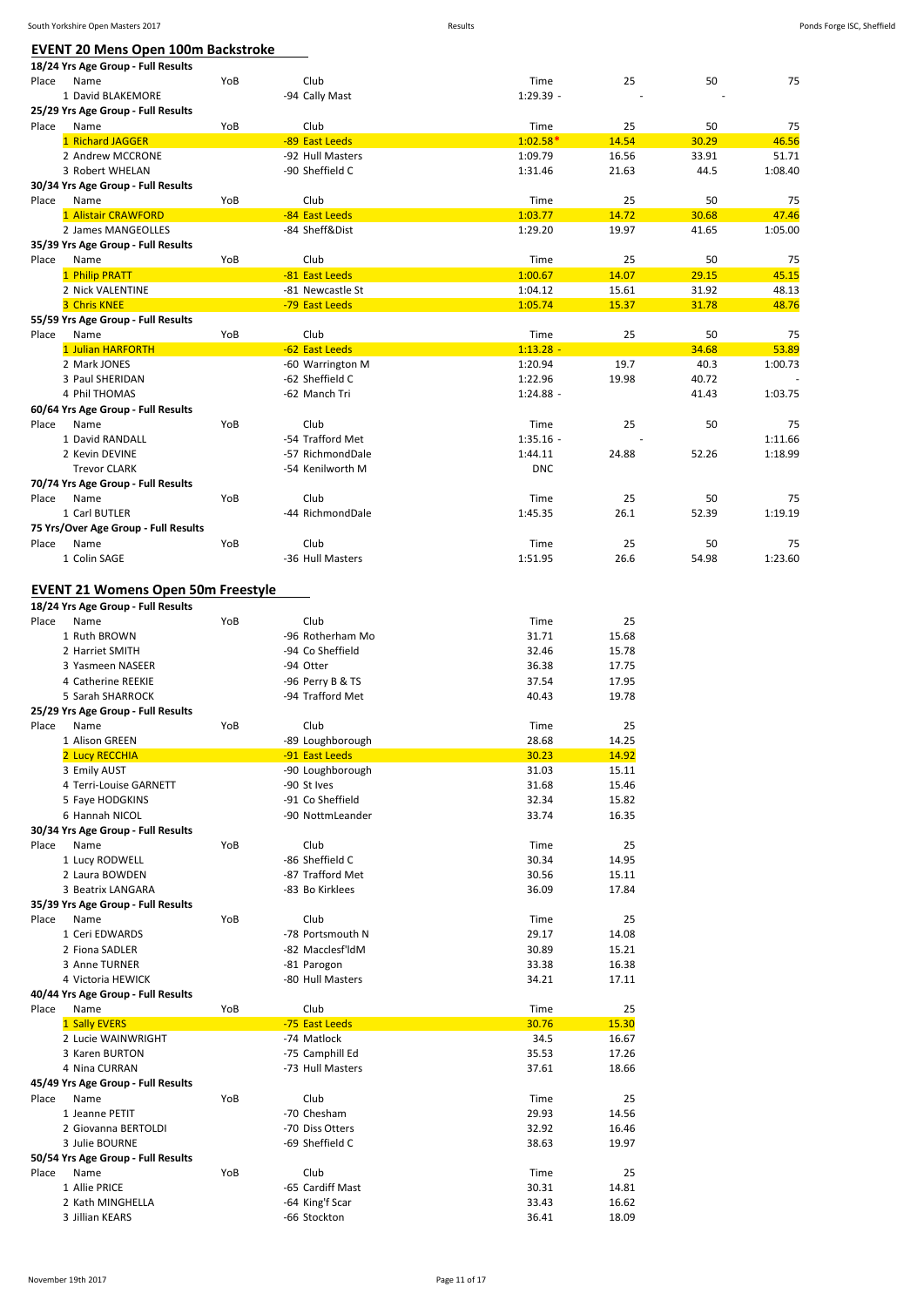**18/24 Yrs Age Group - Full Results**

|       | 1 David BLAKEMORE                          |     | -94 Cally Mast   | $1:29.39 -$ |       | $\overline{\phantom{a}}$ |         |
|-------|--------------------------------------------|-----|------------------|-------------|-------|--------------------------|---------|
|       | 25/29 Yrs Age Group - Full Results         |     |                  |             |       |                          |         |
| Place | Name                                       | YoB | Club             | Time        | 25    | 50                       | 75      |
|       | 1 Richard JAGGER                           |     | -89 East Leeds   | $1:02.58*$  | 14.54 | 30.29                    | 46.56   |
|       | 2 Andrew MCCRONE                           |     | -92 Hull Masters | 1:09.79     | 16.56 | 33.91                    | 51.71   |
|       | 3 Robert WHELAN                            |     | -90 Sheffield C  | 1:31.46     | 21.63 | 44.5                     | 1:08.40 |
| Place | 30/34 Yrs Age Group - Full Results<br>Name | YoB | Club             | Time        | 25    | 50                       | 75      |
|       | 1 Alistair CRAWFORD                        |     | -84 East Leeds   | 1:03.77     | 14.72 | 30.68                    | 47.46   |
|       | 2 James MANGEOLLES                         |     | -84 Sheff&Dist   | 1:29.20     | 19.97 | 41.65                    | 1:05.00 |
|       | 35/39 Yrs Age Group - Full Results         |     |                  |             |       |                          |         |
| Place | Name                                       | YoB | Club             | Time        | 25    | 50                       | 75      |
|       | 1 Philip PRATT                             |     | -81 East Leeds   | 1:00.67     | 14.07 | 29.15                    | 45.15   |
|       | 2 Nick VALENTINE                           |     | -81 Newcastle St | 1:04.12     | 15.61 | 31.92                    | 48.13   |
|       | <b>3 Chris KNEE</b>                        |     | -79 East Leeds   | 1:05.74     | 15.37 | 31.78                    | 48.76   |
|       | 55/59 Yrs Age Group - Full Results         |     |                  |             |       |                          |         |
| Place | Name                                       | YoB | Club             | Time        | 25    | 50                       | 75      |
|       | 1 Julian HARFORTH                          |     | -62 East Leeds   | $1:13.28 -$ |       | 34.68                    | 53.89   |
|       | 2 Mark JONES                               |     | -60 Warrington M | 1:20.94     | 19.7  | 40.3                     | 1:00.73 |
|       | 3 Paul SHERIDAN                            |     | -62 Sheffield C  | 1:22.96     | 19.98 | 40.72                    |         |
|       | 4 Phil THOMAS                              |     | -62 Manch Tri    | $1:24.88 -$ |       | 41.43                    | 1:03.75 |
|       | 60/64 Yrs Age Group - Full Results         |     |                  |             |       |                          |         |
| Place | Name                                       | YoB | Club             | Time        | 25    | 50                       | 75      |
|       | 1 David RANDALL                            |     | -54 Trafford Met | $1:35.16 -$ |       |                          | 1:11.66 |
|       | 2 Kevin DEVINE                             |     | -57 RichmondDale | 1:44.11     | 24.88 | 52.26                    | 1:18.99 |
|       | <b>Trevor CLARK</b>                        |     | -54 Kenilworth M | <b>DNC</b>  |       |                          |         |
|       | 70/74 Yrs Age Group - Full Results         |     |                  |             |       |                          |         |
| Place | Name                                       | YoB | Club             | Time        | 25    | 50                       | 75      |
|       | 1 Carl BUTLER                              |     | -44 RichmondDale | 1:45.35     | 26.1  | 52.39                    | 1:19.19 |
|       | 75 Yrs/Over Age Group - Full Results       |     |                  |             |       |                          |         |
| Place | Name                                       | YoB | Club             | Time        | 25    | 50                       | 75      |
|       | 1 Colin SAGE                               |     | -36 Hull Masters | 1:51.95     | 26.6  | 54.98                    | 1:23.60 |
|       |                                            |     |                  |             |       |                          |         |
|       | <b>EVENT 21 Womens Open 50m Freestyle</b>  |     |                  |             |       |                          |         |
|       | 18/24 Yrs Age Group - Full Results         |     |                  |             |       |                          |         |
| Place | Name                                       | YoB | Club             | Time        | 25    |                          |         |
|       | 1 Ruth BROWN                               |     | -96 Rotherham Mo | 31.71       | 15.68 |                          |         |
|       | 2 Harriet SMITH                            |     | -94 Co Sheffield | 32.46       | 15.78 |                          |         |
|       | 3 Yasmeen NASEER                           |     | -94 Otter        | 36.38       | 17.75 |                          |         |
|       | 4 Catherine REEKIE                         |     | -96 Perry B & TS | 37.54       | 17.95 |                          |         |
|       | 5 Sarah SHARROCK                           |     | -94 Trafford Met | 40.43       | 19.78 |                          |         |
|       | 25/29 Yrs Age Group - Full Results         |     |                  |             |       |                          |         |
| Place | Name                                       | YoB | Club             | Time        | 25    |                          |         |
|       | 1 Alison GREEN                             |     | -89 Loughborough | 28.68       | 14.25 |                          |         |
|       | 2 Lucy RECCHIA                             |     | -91 East Leeds   | 30.23       | 14.92 |                          |         |
|       | 3 Emily AUST                               |     | -90 Loughborough | 31.03       | 15.11 |                          |         |
|       | 4 Terri-Louise GARNETT                     |     | -90 St Ives      | 31.68       | 15.46 |                          |         |
|       | 5 Faye HODGKINS                            |     | -91 Co Sheffield | 32.34       | 15.82 |                          |         |
|       | 6 Hannah NICOL                             |     | -90 NottmLeander | 33.74       | 16.35 |                          |         |
|       | 30/34 Yrs Age Group - Full Results         |     |                  |             |       |                          |         |
| Place | Name                                       | YoB | Club             | Time        | 25    |                          |         |
|       | 1 Lucy RODWELL                             |     | -86 Sheffield C  | 30.34       | 14.95 |                          |         |
|       | 2 Laura BOWDEN                             |     | -87 Trafford Met | 30.56       | 15.11 |                          |         |
|       | 3 Beatrix LANGARA                          |     | -83 Bo Kirklees  | 36.09       | 17.84 |                          |         |
|       | 35/39 Yrs Age Group - Full Results         |     |                  |             |       |                          |         |
| Place | Name                                       | YoB | Club             | Time        | 25    |                          |         |
|       | 1 Ceri EDWARDS                             |     | -78 Portsmouth N | 29.17       | 14.08 |                          |         |
|       | 2 Fiona SADLER                             |     | -82 Macclesf'ldM | 30.89       | 15.21 |                          |         |
|       | 3 Anne TURNER                              |     | -81 Parogon      | 33.38       | 16.38 |                          |         |
|       | 4 Victoria HEWICK                          |     | -80 Hull Masters | 34.21       | 17.11 |                          |         |
|       | 40/44 Yrs Age Group - Full Results         |     |                  |             |       |                          |         |
| Place | Name                                       | YoB | Club             | Time        | 25    |                          |         |
|       | 1 Sally EVERS                              |     | -75 East Leeds   | 30.76       | 15.30 |                          |         |
|       | 2 Lucie WAINWRIGHT                         |     | -74 Matlock      | 34.5        | 16.67 |                          |         |
|       | 3 Karen BURTON                             |     | -75 Camphill Ed  | 35.53       | 17.26 |                          |         |
|       | 4 Nina CURRAN                              |     | -73 Hull Masters | 37.61       | 18.66 |                          |         |
|       | 45/49 Yrs Age Group - Full Results         |     |                  |             |       |                          |         |
| Place | Name                                       | YoB | Club             | Time        | 25    |                          |         |
|       | 1 Jeanne PETIT                             |     | -70 Chesham      | 29.93       | 14.56 |                          |         |
|       | 2 Giovanna BERTOLDI                        |     | -70 Diss Otters  | 32.92       | 16.46 |                          |         |
|       | 3 Julie BOURNE                             |     | -69 Sheffield C  | 38.63       | 19.97 |                          |         |
|       | 50/54 Yrs Age Group - Full Results         |     |                  |             |       |                          |         |
| Place | Name                                       | YoB | Club             | Time        | 25    |                          |         |
|       | 1 Allie PRICE                              |     | -65 Cardiff Mast | 30.31       | 14.81 |                          |         |
|       | 2 Kath MINGHELLA                           |     | -64 King'f Scar  | 33.43       | 16.62 |                          |         |
|       | 3 Jillian KEARS                            |     | -66 Stockton     | 36.41       | 18.09 |                          |         |

Place Name YoB Club Time 25 50 75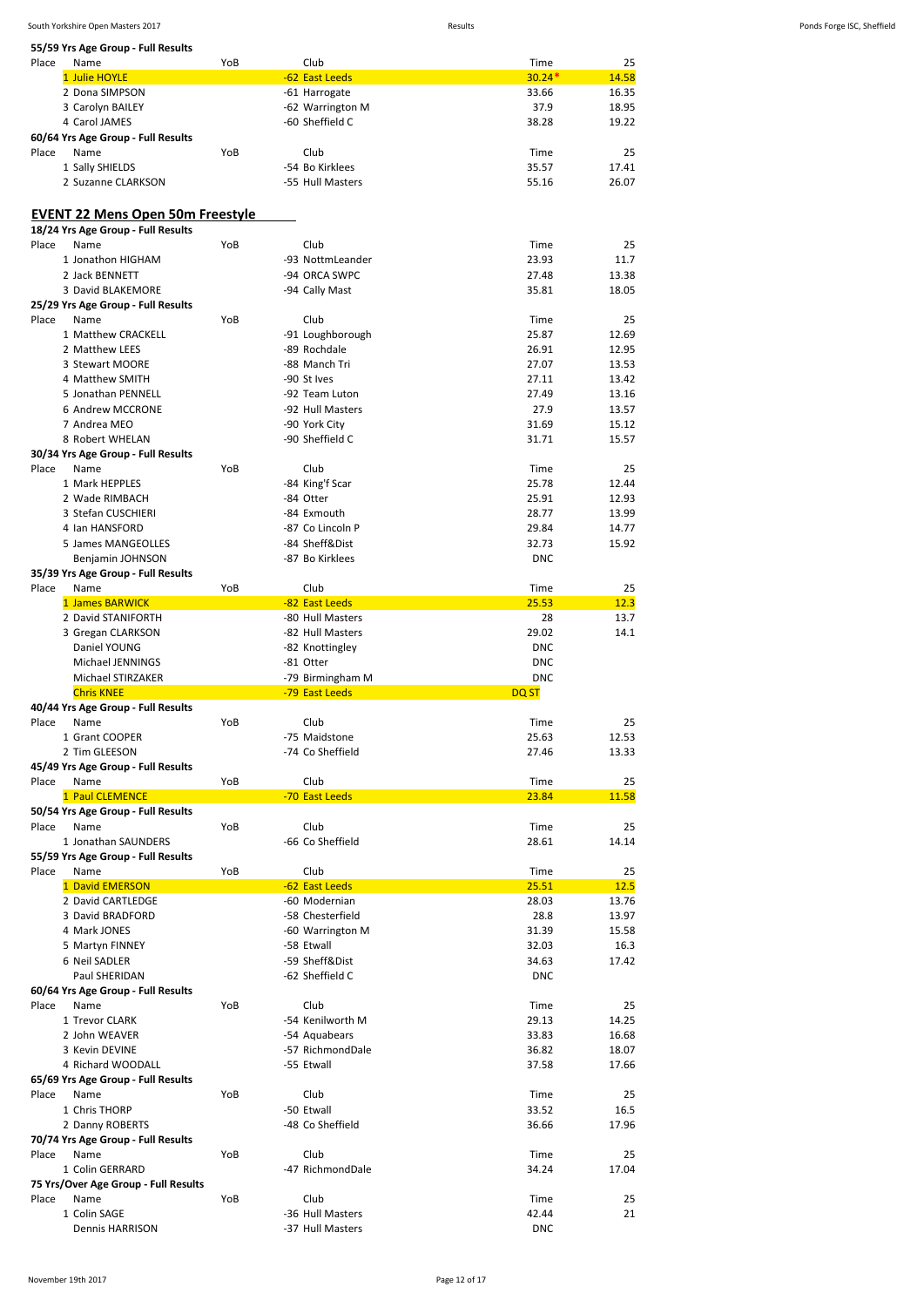|       | South Yorkshire Open Masters 2017       |     |                  | Results     |       | Ponds Forge ISC, Sheffield |
|-------|-----------------------------------------|-----|------------------|-------------|-------|----------------------------|
|       | 55/59 Yrs Age Group - Full Results      |     |                  |             |       |                            |
| Place | Name                                    | YoB | Club             | Time        | 25    |                            |
|       | 1 Julie HOYLE                           |     | -62 East Leeds   | $30.24*$    | 14.58 |                            |
|       | 2 Dona SIMPSON                          |     | -61 Harrogate    | 33.66       | 16.35 |                            |
|       | 3 Carolyn BAILEY                        |     | -62 Warrington M | 37.9        | 18.95 |                            |
|       | 4 Carol JAMES                           |     | -60 Sheffield C  | 38.28       | 19.22 |                            |
|       | 60/64 Yrs Age Group - Full Results      |     |                  |             |       |                            |
| Place | Name                                    | YoB | Club             | Time        | 25    |                            |
|       | 1 Sally SHIELDS                         |     | -54 Bo Kirklees  | 35.57       | 17.41 |                            |
|       | 2 Suzanne CLARKSON                      |     | -55 Hull Masters | 55.16       | 26.07 |                            |
|       |                                         |     |                  |             |       |                            |
|       | <b>EVENT 22 Mens Open 50m Freestyle</b> |     |                  |             |       |                            |
|       | 18/24 Yrs Age Group - Full Results      |     |                  |             |       |                            |
| Place | Name                                    | YoB | Club             | Time        | 25    |                            |
|       | 1 Jonathon HIGHAM                       |     | -93 NottmLeander | 23.93       | 11.7  |                            |
|       |                                         |     |                  |             |       |                            |
|       | 2 Jack BENNETT                          |     | -94 ORCA SWPC    | 27.48       | 13.38 |                            |
|       | 3 David BLAKEMORE                       |     | -94 Cally Mast   | 35.81       | 18.05 |                            |
|       | 25/29 Yrs Age Group - Full Results      |     |                  |             |       |                            |
| Place | Name                                    | YoB | Club             | Time        | 25    |                            |
|       | 1 Matthew CRACKELL                      |     | -91 Loughborough | 25.87       | 12.69 |                            |
|       | 2 Matthew LEES                          |     | -89 Rochdale     | 26.91       | 12.95 |                            |
|       | 3 Stewart MOORE                         |     | -88 Manch Tri    | 27.07       | 13.53 |                            |
|       |                                         |     |                  |             |       |                            |
|       | 4 Matthew SMITH                         |     | -90 St Ives      | 27.11       | 13.42 |                            |
|       | 5 Jonathan PENNELL                      |     | -92 Team Luton   | 27.49       | 13.16 |                            |
|       | 6 Andrew MCCRONE                        |     | -92 Hull Masters | 27.9        | 13.57 |                            |
|       | 7 Andrea MEO                            |     | -90 York City    | 31.69       | 15.12 |                            |
|       | 8 Robert WHELAN                         |     | -90 Sheffield C  | 31.71       | 15.57 |                            |
|       | 30/34 Yrs Age Group - Full Results      |     |                  |             |       |                            |
| Place | Name                                    | YoB | Club             | Time        | 25    |                            |
|       | 1 Mark HEPPLES                          |     | -84 King'f Scar  | 25.78       | 12.44 |                            |
|       |                                         |     |                  | 25.91       |       |                            |
|       | 2 Wade RIMBACH                          |     | -84 Otter        |             | 12.93 |                            |
|       | 3 Stefan CUSCHIERI                      |     | -84 Exmouth      | 28.77       | 13.99 |                            |
|       | 4 Ian HANSFORD                          |     | -87 Co Lincoln P | 29.84       | 14.77 |                            |
|       | 5 James MANGEOLLES                      |     | -84 Sheff&Dist   | 32.73       | 15.92 |                            |
|       | Benjamin JOHNSON                        |     | -87 Bo Kirklees  | <b>DNC</b>  |       |                            |
|       | 35/39 Yrs Age Group - Full Results      |     |                  |             |       |                            |
| Place | Name                                    | YoB | Club             | Time        | 25    |                            |
|       | 1 James BARWICK                         |     | -82 East Leeds   | 25.53       | 12.3  |                            |
|       | 2 David STANIFORTH                      |     | -80 Hull Masters | 28          | 13.7  |                            |
|       | 3 Gregan CLARKSON                       |     |                  | 29.02       | 14.1  |                            |
|       |                                         |     | -82 Hull Masters |             |       |                            |
|       | Daniel YOUNG                            |     | -82 Knottingley  | <b>DNC</b>  |       |                            |
|       | Michael JENNINGS                        |     | -81 Otter        | <b>DNC</b>  |       |                            |
|       | Michael STIRZAKER                       |     | -79 Birmingham M | <b>DNC</b>  |       |                            |
|       | <b>Chris KNEE</b>                       |     | -79 East Leeds   | <b>DQST</b> |       |                            |
|       | 40/44 Yrs Age Group - Full Results      |     |                  |             |       |                            |
| Place | Name                                    | YoB | Club             | Time        | 25    |                            |
|       | 1 Grant COOPER                          |     | -75 Maidstone    | 25.63       | 12.53 |                            |
|       | 2 Tim GLEESON                           |     | -74 Co Sheffield | 27.46       | 13.33 |                            |
|       |                                         |     |                  |             |       |                            |
|       | 45/49 Yrs Age Group - Full Results      |     |                  |             |       |                            |
| Place | Name                                    | YoB | Club             | Time        | 25    |                            |
|       | 1 Paul CLEMENCE                         |     | -70 East Leeds   | 23.84       | 11.58 |                            |
|       | 50/54 Yrs Age Group - Full Results      |     |                  |             |       |                            |
| Place | Name                                    | YoB | Club             | Time        | 25    |                            |
|       | 1 Jonathan SAUNDERS                     |     | -66 Co Sheffield | 28.61       | 14.14 |                            |
|       | 55/59 Yrs Age Group - Full Results      |     |                  |             |       |                            |
| Place | Name                                    | YoB | Club             | Time        | 25    |                            |
|       | 1 David EMERSON                         |     | -62 East Leeds   | 25.51       | 12.5  |                            |
|       |                                         |     |                  |             |       |                            |
|       | 2 David CARTLEDGE                       |     | -60 Modernian    | 28.03       | 13.76 |                            |
|       | 3 David BRADFORD                        |     | -58 Chesterfield | 28.8        | 13.97 |                            |
|       | 4 Mark JONES                            |     | -60 Warrington M | 31.39       | 15.58 |                            |
|       | 5 Martyn FINNEY                         |     | -58 Etwall       | 32.03       | 16.3  |                            |
|       | 6 Neil SADLER                           |     | -59 Sheff&Dist   | 34.63       | 17.42 |                            |
|       | Paul SHERIDAN                           |     | -62 Sheffield C  | <b>DNC</b>  |       |                            |
|       | 60/64 Yrs Age Group - Full Results      |     |                  |             |       |                            |
|       |                                         |     |                  |             |       |                            |
| Place | Name                                    | YoB | Club             | Time        | 25    |                            |
|       | 1 Trevor CLARK                          |     | -54 Kenilworth M | 29.13       | 14.25 |                            |

| Place | Name                                 | YoB | Club             | Time       | 25    |
|-------|--------------------------------------|-----|------------------|------------|-------|
|       | 1 David EMERSON                      |     | -62 East Leeds   | 25.51      | 12.5  |
|       | 2 David CARTLEDGE                    |     | -60 Modernian    | 28.03      | 13.76 |
|       | 3 David BRADFORD                     |     | -58 Chesterfield | 28.8       | 13.97 |
|       | 4 Mark JONES                         |     | -60 Warrington M | 31.39      | 15.58 |
|       | 5 Martyn FINNEY                      |     | -58 Etwall       | 32.03      | 16.3  |
|       | 6 Neil SADLER                        |     | -59 Sheff&Dist   | 34.63      | 17.42 |
|       | Paul SHERIDAN                        |     | -62 Sheffield C  | <b>DNC</b> |       |
|       | 60/64 Yrs Age Group - Full Results   |     |                  |            |       |
| Place | Name                                 | YoB | Club             | Time       | 25    |
|       | 1 Trevor CLARK                       |     | -54 Kenilworth M | 29.13      | 14.25 |
|       | 2 John WEAVER                        |     | -54 Aquabears    | 33.83      | 16.68 |
|       | 3 Kevin DEVINE                       |     | -57 RichmondDale | 36.82      | 18.07 |
|       | 4 Richard WOODALL                    |     | -55 Etwall       | 37.58      | 17.66 |
|       | 65/69 Yrs Age Group - Full Results   |     |                  |            |       |
| Place | Name                                 | YoB | Club             | Time       | 25    |
|       | 1 Chris THORP                        |     | -50 Etwall       | 33.52      | 16.5  |
|       | 2 Danny ROBERTS                      |     | -48 Co Sheffield | 36.66      | 17.96 |
|       | 70/74 Yrs Age Group - Full Results   |     |                  |            |       |
| Place | Name                                 | YoB | Club             | Time       | 25    |
|       | 1 Colin GERRARD                      |     | -47 RichmondDale | 34.24      | 17.04 |
|       | 75 Yrs/Over Age Group - Full Results |     |                  |            |       |
| Place | Name                                 | YoB | Club             | Time       | 25    |
|       | 1 Colin SAGE                         |     | -36 Hull Masters | 42.44      | 21    |
|       | <b>Dennis HARRISON</b>               |     | -37 Hull Masters | <b>DNC</b> |       |
|       |                                      |     |                  |            |       |
|       |                                      |     |                  |            |       |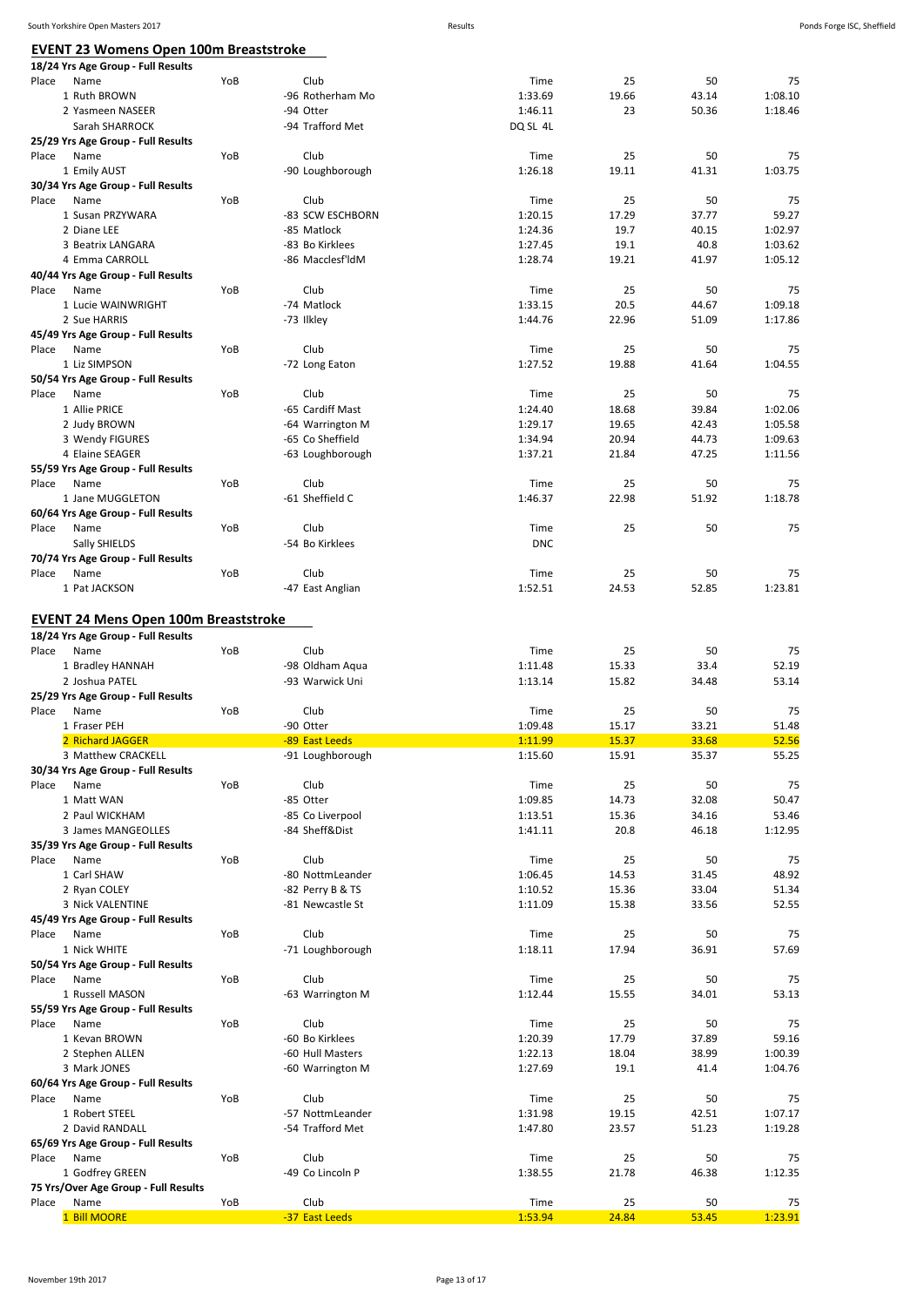# **EVENT 23 Womens Open 100m Breaststroke**

| <u>EVENT 23 Womens Open 100m Breaststroke</u>                                             |     |                                            |                            |                      |                     |                      |
|-------------------------------------------------------------------------------------------|-----|--------------------------------------------|----------------------------|----------------------|---------------------|----------------------|
| 18/24 Yrs Age Group - Full Results<br>Name<br>Place                                       | YoB | Club                                       | Time                       | 25                   | 50                  | 75                   |
| 1 Ruth BROWN                                                                              |     | -96 Rotherham Mo                           | 1:33.69                    | 19.66                | 43.14               | 1:08.10              |
| 2 Yasmeen NASEER                                                                          |     | -94 Otter                                  | 1:46.11                    | 23                   | 50.36               | 1:18.46              |
| Sarah SHARROCK                                                                            |     | -94 Trafford Met                           | DQ SL 4L                   |                      |                     |                      |
| 25/29 Yrs Age Group - Full Results                                                        |     |                                            |                            |                      |                     |                      |
| Place<br>Name                                                                             | YoB | Club                                       | Time                       | 25                   | 50                  | 75                   |
| 1 Emily AUST                                                                              |     | -90 Loughborough                           | 1:26.18                    | 19.11                | 41.31               | 1:03.75              |
| 30/34 Yrs Age Group - Full Results                                                        |     |                                            |                            |                      |                     |                      |
| Place<br>Name<br>1 Susan PRZYWARA                                                         | YoB | Club<br>-83 SCW ESCHBORN                   | Time<br>1:20.15            | 25<br>17.29          | 50<br>37.77         | 75<br>59.27          |
| 2 Diane LEE                                                                               |     | -85 Matlock                                | 1:24.36                    | 19.7                 | 40.15               | 1:02.97              |
| 3 Beatrix LANGARA                                                                         |     | -83 Bo Kirklees                            | 1:27.45                    | 19.1                 | 40.8                | 1:03.62              |
| 4 Emma CARROLL                                                                            |     | -86 Macclesf'ldM                           | 1:28.74                    | 19.21                | 41.97               | 1:05.12              |
| 40/44 Yrs Age Group - Full Results                                                        |     |                                            |                            |                      |                     |                      |
| Place<br>Name                                                                             | YoB | Club                                       | Time                       | 25                   | 50                  | 75                   |
| 1 Lucie WAINWRIGHT                                                                        |     | -74 Matlock                                | 1:33.15                    | 20.5                 | 44.67               | 1:09.18              |
| 2 Sue HARRIS                                                                              |     | -73 Ilkley                                 | 1:44.76                    | 22.96                | 51.09               | 1:17.86              |
| 45/49 Yrs Age Group - Full Results                                                        |     |                                            |                            |                      |                     |                      |
| Place<br>Name<br>1 Liz SIMPSON                                                            | YoB | Club<br>-72 Long Eaton                     | Time<br>1:27.52            | 25<br>19.88          | 50<br>41.64         | 75<br>1:04.55        |
| 50/54 Yrs Age Group - Full Results                                                        |     |                                            |                            |                      |                     |                      |
| Place<br>Name                                                                             | YoB | Club                                       | Time                       | 25                   | 50                  | 75                   |
| 1 Allie PRICE                                                                             |     | -65 Cardiff Mast                           | 1:24.40                    | 18.68                | 39.84               | 1:02.06              |
| 2 Judy BROWN                                                                              |     | -64 Warrington M                           | 1:29.17                    | 19.65                | 42.43               | 1:05.58              |
| 3 Wendy FIGURES                                                                           |     | -65 Co Sheffield                           | 1:34.94                    | 20.94                | 44.73               | 1:09.63              |
| 4 Elaine SEAGER                                                                           |     | -63 Loughborough                           | 1:37.21                    | 21.84                | 47.25               | 1:11.56              |
| 55/59 Yrs Age Group - Full Results                                                        |     |                                            |                            |                      |                     |                      |
| Name<br>Place                                                                             | YoB | Club                                       | Time                       | 25                   | 50                  | 75                   |
| 1 Jane MUGGLETON<br>60/64 Yrs Age Group - Full Results                                    |     | -61 Sheffield C                            | 1:46.37                    | 22.98                | 51.92               | 1:18.78              |
| Place<br>Name                                                                             | YoB | Club                                       | Time                       | 25                   | 50                  | 75                   |
| Sally SHIELDS                                                                             |     | -54 Bo Kirklees                            | <b>DNC</b>                 |                      |                     |                      |
| 70/74 Yrs Age Group - Full Results                                                        |     |                                            |                            |                      |                     |                      |
| Name<br>Place                                                                             | YoB | Club                                       | Time                       | 25                   | 50                  | 75                   |
| 1 Pat JACKSON                                                                             |     | -47 East Anglian                           | 1:52.51                    | 24.53                | 52.85               | 1:23.81              |
| 18/24 Yrs Age Group - Full Results<br>Place<br>Name<br>1 Bradley HANNAH<br>2 Joshua PATEL | YoB | Club<br>-98 Oldham Aqua<br>-93 Warwick Uni | Time<br>1:11.48<br>1:13.14 | 25<br>15.33<br>15.82 | 50<br>33.4<br>34.48 | 75<br>52.19<br>53.14 |
| 25/29 Yrs Age Group - Full Results                                                        |     |                                            |                            |                      |                     |                      |
| Name<br>Place                                                                             | YoB | Club                                       | Time                       | 25                   | 50                  | 75                   |
| 1 Fraser PEH                                                                              |     | -90 Otter                                  | 1:09.48                    | 15.17                | 33.21               | 51.48                |
| 2 Richard JAGGER                                                                          |     | -89 East Leeds                             | 1:11.99                    | 15.37                | 33.68               | 52.56                |
| 3 Matthew CRACKELL<br>30/34 Yrs Age Group - Full Results                                  |     | -91 Loughborough                           | 1:15.60                    | 15.91                | 35.37               | 55.25                |
| Place<br>Name                                                                             | YoB | Club                                       | Time                       | 25                   | 50                  | 75                   |
| 1 Matt WAN                                                                                |     | -85 Otter                                  | 1:09.85                    | 14.73                | 32.08               | 50.47                |
| 2 Paul WICKHAM                                                                            |     | -85 Co Liverpool                           | 1:13.51                    | 15.36                | 34.16               | 53.46                |
| 3 James MANGEOLLES                                                                        |     | -84 Sheff&Dist                             | 1:41.11                    | 20.8                 | 46.18               | 1:12.95              |
| 35/39 Yrs Age Group - Full Results                                                        |     |                                            |                            |                      |                     |                      |
| Place<br>Name                                                                             | YoB | Club                                       | Time                       | 25                   | 50                  | 75                   |
| 1 Carl SHAW                                                                               |     | -80 NottmLeander                           | 1:06.45                    | 14.53                | 31.45               | 48.92                |
| 2 Ryan COLEY                                                                              |     | -82 Perry B & TS                           | 1:10.52                    | 15.36                | 33.04               | 51.34                |
| 3 Nick VALENTINE<br>45/49 Yrs Age Group - Full Results                                    |     | -81 Newcastle St                           | 1:11.09                    | 15.38                | 33.56               | 52.55                |
| Place<br>Name                                                                             | YoB | Club                                       | Time                       | 25                   | 50                  | 75                   |
| 1 Nick WHITE                                                                              |     | -71 Loughborough                           | 1:18.11                    | 17.94                | 36.91               | 57.69                |
| 50/54 Yrs Age Group - Full Results                                                        |     |                                            |                            |                      |                     |                      |
| Name<br>Place                                                                             | YoB | Club                                       | Time                       | 25                   | 50                  | 75                   |
| 1 Russell MASON                                                                           |     | -63 Warrington M                           | 1:12.44                    | 15.55                | 34.01               | 53.13                |
| 55/59 Yrs Age Group - Full Results                                                        |     |                                            |                            |                      |                     |                      |
| Place<br>Name                                                                             | YoB | Club                                       | Time                       | 25                   | 50                  | 75                   |
| 1 Kevan BROWN                                                                             |     | -60 Bo Kirklees                            | 1:20.39                    | 17.79                | 37.89               | 59.16                |
| 2 Stephen ALLEN<br>3 Mark JONES                                                           |     | -60 Hull Masters<br>-60 Warrington M       | 1:22.13<br>1:27.69         | 18.04<br>19.1        | 38.99<br>41.4       | 1:00.39<br>1:04.76   |
| 60/64 Yrs Age Group - Full Results                                                        |     |                                            |                            |                      |                     |                      |
| Place<br>Name                                                                             | YoB | Club                                       | Time                       | 25                   | 50                  | 75                   |
| 1 Robert STEEL                                                                            |     | -57 NottmLeander                           | 1:31.98                    | 19.15                | 42.51               | 1:07.17              |
| 2 David RANDALL                                                                           |     | -54 Trafford Met                           | 1:47.80                    | 23.57                | 51.23               | 1:19.28              |
| 65/69 Yrs Age Group - Full Results                                                        |     |                                            |                            |                      |                     |                      |
| Name<br>Place                                                                             | YoB | Club                                       | Time                       | 25                   | 50                  | 75                   |
| 1 Godfrey GREEN                                                                           |     | -49 Co Lincoln P                           | 1:38.55                    | 21.78                | 46.38               | 1:12.35              |
| 75 Yrs/Over Age Group - Full Results<br>Place<br>Name                                     | YoB | Club                                       | Time                       | 25                   | 50                  | 75                   |
| 1 Bill MOORE                                                                              |     | -37 East Leeds                             | 1:53.94                    | 24.84                | 53.45               | 1:23.91              |
|                                                                                           |     |                                            |                            |                      |                     |                      |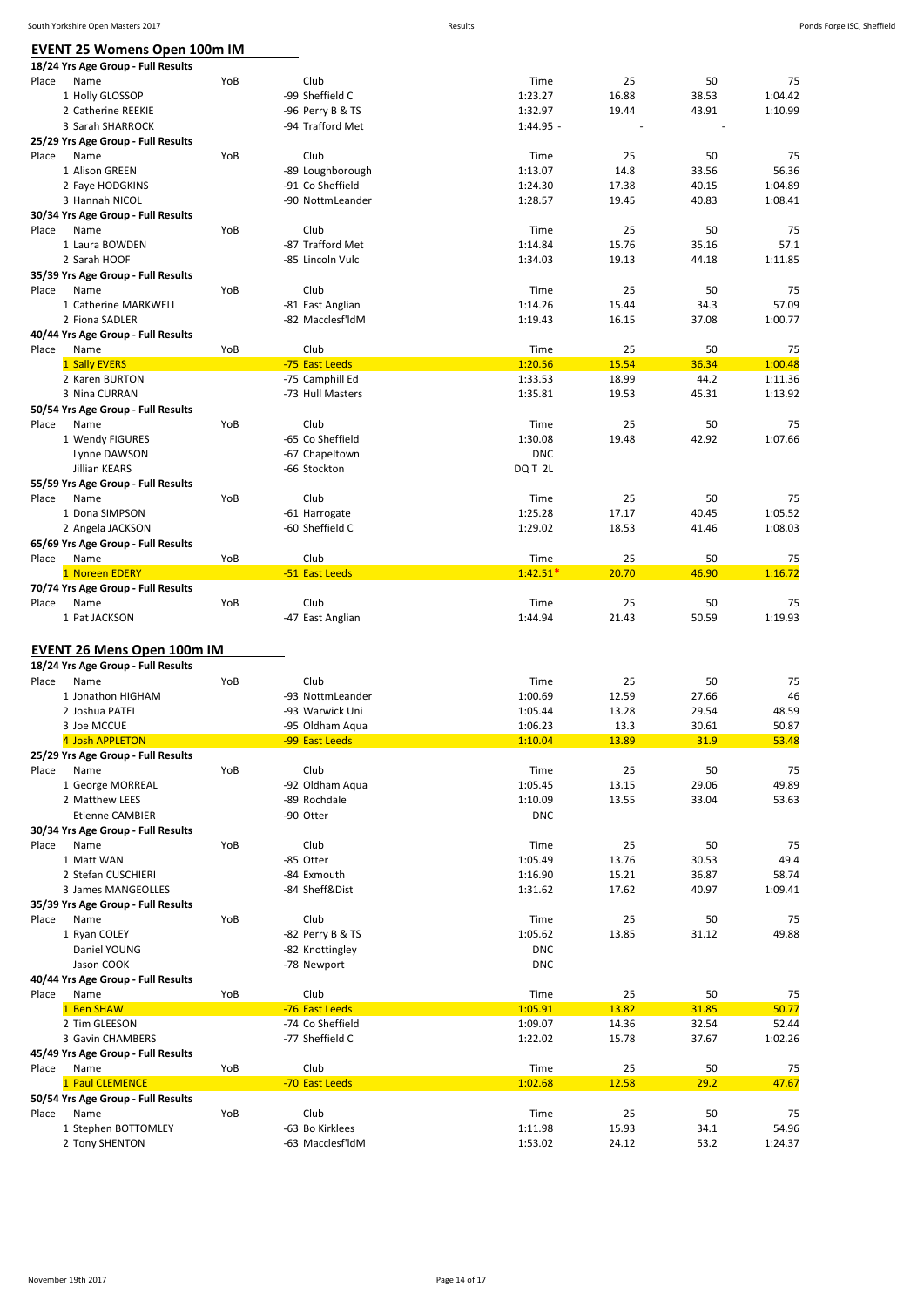| South Yorkshire Open Masters 2017   |     |                  | Results     |       |       |         | Ponds Forge ISC, Sheffield |
|-------------------------------------|-----|------------------|-------------|-------|-------|---------|----------------------------|
| <b>EVENT 25 Womens Open 100m IM</b> |     |                  |             |       |       |         |                            |
| 18/24 Yrs Age Group - Full Results  |     |                  |             |       |       |         |                            |
| Place<br>Name                       | YoB | Club             | Time        | 25    | 50    | 75      |                            |
| 1 Holly GLOSSOP                     |     | -99 Sheffield C  | 1:23.27     | 16.88 | 38.53 | 1:04.42 |                            |
| 2 Catherine REEKIE                  |     | -96 Perry B & TS | 1:32.97     | 19.44 | 43.91 | 1:10.99 |                            |
| 3 Sarah SHARROCK                    |     | -94 Trafford Met | $1:44.95 -$ |       |       |         |                            |
| 25/29 Yrs Age Group - Full Results  |     |                  |             |       |       |         |                            |
| Name<br>Place                       | YoB | Club             | Time        | 25    | 50    | 75      |                            |
| 1 Alison GREEN                      |     | -89 Loughborough | 1:13.07     | 14.8  | 33.56 | 56.36   |                            |
| 2 Faye HODGKINS                     |     | -91 Co Sheffield | 1:24.30     | 17.38 | 40.15 | 1:04.89 |                            |
| 3 Hannah NICOL                      |     | -90 NottmLeander | 1:28.57     | 19.45 | 40.83 | 1:08.41 |                            |
| 30/34 Yrs Age Group - Full Results  |     |                  |             |       |       |         |                            |
| Place<br>Name                       | YoB | Club             | Time        | 25    | 50    | 75      |                            |
| 1 Laura BOWDEN                      |     | -87 Trafford Met | 1:14.84     | 15.76 | 35.16 | 57.1    |                            |
| 2 Sarah HOOF                        |     | -85 Lincoln Vulc | 1:34.03     | 19.13 | 44.18 | 1:11.85 |                            |
| 35/39 Yrs Age Group - Full Results  |     |                  |             |       |       |         |                            |
| Place<br>Name                       | YoB | Club             | Time        | 25    | 50    | 75      |                            |
| 1 Catherine MARKWELL                |     | -81 East Anglian | 1:14.26     | 15.44 | 34.3  | 57.09   |                            |
|                                     |     | -82 Macclesf'ldM | 1:19.43     | 16.15 |       | 1:00.77 |                            |
| 2 Fiona SADLER                      |     |                  |             |       | 37.08 |         |                            |
| 40/44 Yrs Age Group - Full Results  |     |                  |             |       |       |         |                            |
| Place<br>Name                       | YoB | Club             | Time        | 25    | 50    | 75      |                            |
| 1 Sally EVERS                       |     | -75 East Leeds   | 1:20.56     | 15.54 | 36.34 | 1:00.48 |                            |
| 2 Karen BURTON                      |     | -75 Camphill Ed  | 1:33.53     | 18.99 | 44.2  | 1:11.36 |                            |
| 3 Nina CURRAN                       |     | -73 Hull Masters | 1:35.81     | 19.53 | 45.31 | 1:13.92 |                            |
| 50/54 Yrs Age Group - Full Results  |     |                  |             |       |       |         |                            |
| Place<br>Name                       | YoB | Club             | Time        | 25    | 50    | 75      |                            |
| 1 Wendy FIGURES                     |     | -65 Co Sheffield | 1:30.08     | 19.48 | 42.92 | 1:07.66 |                            |
| Lynne DAWSON                        |     | -67 Chapeltown   | <b>DNC</b>  |       |       |         |                            |
| Jillian KEARS                       |     | -66 Stockton     | DQ T 2L     |       |       |         |                            |
| 55/59 Yrs Age Group - Full Results  |     |                  |             |       |       |         |                            |
| Place<br>Name                       | YoB | Club             | Time        | 25    | 50    | 75      |                            |
| 1 Dona SIMPSON                      |     | -61 Harrogate    | 1:25.28     | 17.17 | 40.45 | 1:05.52 |                            |
| 2 Angela JACKSON                    |     | -60 Sheffield C  | 1:29.02     | 18.53 | 41.46 | 1:08.03 |                            |
| 65/69 Yrs Age Group - Full Results  |     |                  |             |       |       |         |                            |
| Name<br>Place                       | YoB | Club             | Time        | 25    | 50    | 75      |                            |
| 1 Noreen EDERY                      |     | -51 East Leeds   | $1:42.51*$  | 20.70 | 46.90 | 1:16.72 |                            |
| 70/74 Yrs Age Group - Full Results  |     |                  |             |       |       |         |                            |
| Name<br>Place                       | YoB | Club             | Time        | 25    | 50    | 75      |                            |
| 1 Pat JACKSON                       |     | -47 East Anglian | 1:44.94     | 21.43 | 50.59 | 1:19.93 |                            |
|                                     |     |                  |             |       |       |         |                            |
| <b>EVENT 26 Mens Open 100m IM</b>   |     |                  |             |       |       |         |                            |
| 18/24 Yrs Age Group - Full Results  |     |                  |             |       |       |         |                            |
| Place<br>Name                       | YoB | Club             | Time        | 25    | 50    | 75      |                            |
| 1 Jonathon HIGHAM                   |     | -93 NottmLeander | 1:00.69     | 12.59 | 27.66 | 46      |                            |
| 2 Joshua PATEL                      |     | -93 Warwick Uni  | 1:05.44     | 13.28 | 29.54 | 48.59   |                            |
| 3 Joe MCCUE                         |     | -95 Oldham Aqua  | 1:06.23     | 13.3  | 30.61 | 50.87   |                            |
| 4 Josh APPLETON                     |     | -99 East Leeds   | 1:10.04     | 13.89 | 31.9  | 53.48   |                            |
| 25/29 Yrs Age Group - Full Results  |     |                  |             |       |       |         |                            |
| Name<br>Place                       | YoB | Club             | Time        | 25    | 50    | 75      |                            |
| 1 George MORREAL                    |     | -92 Oldham Aqua  | 1:05.45     | 13.15 | 29.06 | 49.89   |                            |
| 2 Matthew LEES                      |     | -89 Rochdale     | 1:10.09     | 13.55 | 33.04 | 53.63   |                            |
| <b>Etienne CAMBIER</b>              |     | -90 Otter        | <b>DNC</b>  |       |       |         |                            |
| 30/34 Yrs Age Group - Full Results  |     |                  |             |       |       |         |                            |
| Name<br>Place                       | YoB | Club             | Time        | 25    | 50    | 75      |                            |
| 1 Matt WAN                          |     | -85 Otter        | 1:05.49     | 13.76 | 30.53 | 49.4    |                            |
| 2 Stefan CUSCHIERI                  |     | -84 Exmouth      | 1:16.90     | 15.21 | 36.87 | 58.74   |                            |
| 3 James MANGEOLLES                  |     | -84 Sheff&Dist   | 1:31.62     | 17.62 | 40.97 | 1:09.41 |                            |
| 35/39 Yrs Age Group - Full Results  |     |                  |             |       |       |         |                            |
| Name<br>Place                       | YoB | Club             | Time        | 25    | 50    | 75      |                            |
| 1 Ryan COLEY                        |     | -82 Perry B & TS | 1:05.62     | 13.85 | 31.12 | 49.88   |                            |
| Daniel YOUNG                        |     | -82 Knottingley  | <b>DNC</b>  |       |       |         |                            |
| Jason COOK                          |     | -78 Newport      | <b>DNC</b>  |       |       |         |                            |
| 40/44 Yrs Age Group - Full Results  |     |                  |             |       |       |         |                            |
| Name<br>Place                       | YoB | Club             | Time        | 25    | 50    | 75      |                            |
|                                     |     |                  |             |       |       |         |                            |
| 1 Ben SHAW                          |     | -76 East Leeds   | 1:05.91     | 13.82 | 31.85 | 50.77   |                            |
| 2 Tim GLEESON                       |     | -74 Co Sheffield | 1:09.07     | 14.36 | 32.54 | 52.44   |                            |
| 3 Gavin CHAMBERS                    |     | -77 Sheffield C  | 1:22.02     | 15.78 | 37.67 | 1:02.26 |                            |
| 45/49 Yrs Age Group - Full Results  |     |                  |             |       |       |         |                            |
| Place<br>Name                       | YoB | Club             | Time        | 25    | 50    | 75      |                            |
| 1 Paul CLEMENCE                     |     | -70 East Leeds   | 1:02.68     | 12.58 | 29.2  | 47.67   |                            |
| 50/54 Yrs Age Group - Full Results  |     |                  |             |       |       |         |                            |
| Name<br>Place                       | YoB | Club             | Time        | 25    | 50    | 75      |                            |
| 1 Stephen BOTTOMLEY                 |     | -63 Bo Kirklees  | 1:11.98     | 15.93 | 34.1  | 54.96   |                            |
| 2 Tony SHENTON                      |     | -63 Macclesf'ldM | 1:53.02     | 24.12 | 53.2  | 1:24.37 |                            |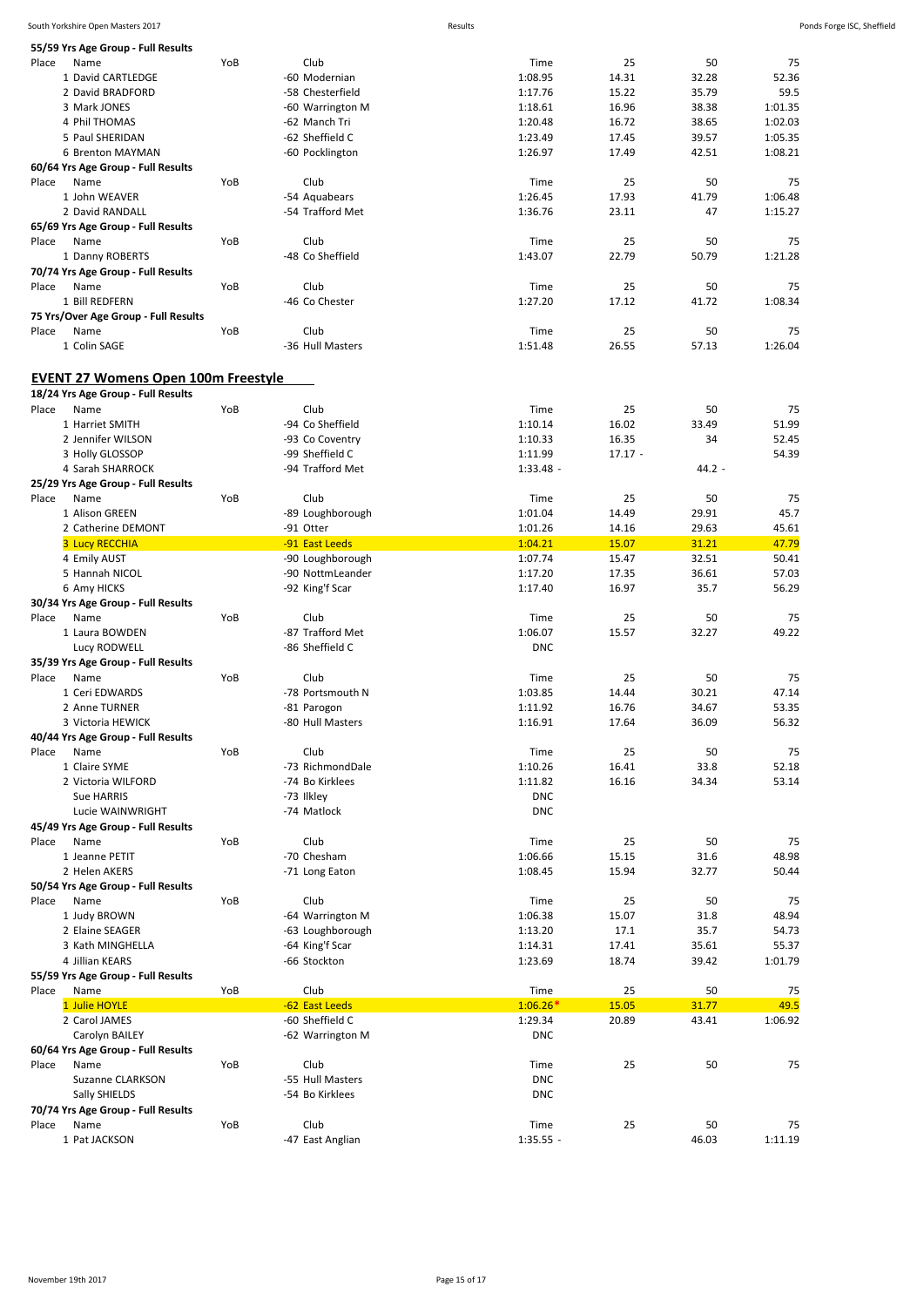| Ponds Forge ISC, Sheffiel |  |
|---------------------------|--|

| South Yorkshire Open Masters 2017                   |     |                                     | Results |                       |                |                |                | Ponds Forge ISC, Sheffield |
|-----------------------------------------------------|-----|-------------------------------------|---------|-----------------------|----------------|----------------|----------------|----------------------------|
| 55/59 Yrs Age Group - Full Results                  |     |                                     |         |                       |                |                |                |                            |
| Name<br>Place                                       | YoB | Club                                |         | Time                  | 25             | 50             | 75             |                            |
| 1 David CARTLEDGE                                   |     | -60 Modernian                       |         | 1:08.95               | 14.31          | 32.28          | 52.36          |                            |
| 2 David BRADFORD                                    |     | -58 Chesterfield                    |         | 1:17.76               | 15.22          | 35.79          | 59.5           |                            |
| 3 Mark JONES                                        |     | -60 Warrington M                    |         | 1:18.61               | 16.96          | 38.38          | 1:01.35        |                            |
| 4 Phil THOMAS                                       |     | -62 Manch Tri                       |         | 1:20.48               | 16.72          | 38.65          | 1:02.03        |                            |
| 5 Paul SHERIDAN                                     |     | -62 Sheffield C                     |         | 1:23.49               | 17.45          | 39.57          | 1:05.35        |                            |
| 6 Brenton MAYMAN                                    |     | -60 Pocklington                     |         | 1:26.97               | 17.49          | 42.51          | 1:08.21        |                            |
| 60/64 Yrs Age Group - Full Results                  |     |                                     |         |                       |                |                |                |                            |
| Place<br>Name                                       | YoB | Club                                |         | Time                  | 25             | 50             | 75             |                            |
| 1 John WEAVER                                       |     | -54 Aquabears                       |         | 1:26.45               | 17.93          | 41.79          | 1:06.48        |                            |
| 2 David RANDALL                                     |     | -54 Trafford Met                    |         | 1:36.76               | 23.11          | 47             | 1:15.27        |                            |
| 65/69 Yrs Age Group - Full Results                  |     |                                     |         |                       |                |                |                |                            |
| Place<br>Name                                       | YoB | Club                                |         | Time                  | 25             | 50             | 75             |                            |
| 1 Danny ROBERTS                                     |     | -48 Co Sheffield                    |         | 1:43.07               | 22.79          | 50.79          | 1:21.28        |                            |
| 70/74 Yrs Age Group - Full Results                  |     |                                     |         |                       |                |                |                |                            |
| Name<br>Place                                       | YoB | Club                                |         | Time                  | 25             | 50             | 75             |                            |
| 1 Bill REDFERN                                      |     | -46 Co Chester                      |         | 1:27.20               | 17.12          | 41.72          | 1:08.34        |                            |
| 75 Yrs/Over Age Group - Full Results                |     |                                     |         |                       |                |                |                |                            |
| Name<br>Place                                       | YoB | Club                                |         | Time                  | 25             | 50             | 75             |                            |
| 1 Colin SAGE                                        |     | -36 Hull Masters                    |         | 1:51.48               | 26.55          | 57.13          | 1:26.04        |                            |
|                                                     |     |                                     |         |                       |                |                |                |                            |
| <b>EVENT 27 Womens Open 100m Freestyle</b>          |     |                                     |         |                       |                |                |                |                            |
|                                                     |     |                                     |         |                       |                |                |                |                            |
| 18/24 Yrs Age Group - Full Results                  |     |                                     |         |                       |                |                |                |                            |
| Place<br>Name<br>1 Harriet SMITH                    | YoB | Club<br>-94 Co Sheffield            |         | Time                  | 25             | 50<br>33.49    | 75<br>51.99    |                            |
| 2 Jennifer WILSON                                   |     | -93 Co Coventry                     |         | 1:10.14<br>1:10.33    | 16.02<br>16.35 | 34             | 52.45          |                            |
|                                                     |     |                                     |         |                       |                |                |                |                            |
| 3 Holly GLOSSOP                                     |     | -99 Sheffield C<br>-94 Trafford Met |         | 1:11.99               | $17.17 -$      |                | 54.39          |                            |
| 4 Sarah SHARROCK                                    |     |                                     |         | $1:33.48 -$           |                | $44.2 -$       |                |                            |
| 25/29 Yrs Age Group - Full Results                  |     |                                     |         |                       |                |                |                |                            |
| Place<br>Name                                       | YoB | Club                                |         | Time                  | 25             | 50             | 75             |                            |
| 1 Alison GREEN                                      |     | -89 Loughborough                    |         | 1:01.04               | 14.49          | 29.91          | 45.7           |                            |
| 2 Catherine DEMONT                                  |     | -91 Otter                           |         | 1:01.26               | 14.16          | 29.63<br>31.21 | 45.61          |                            |
| <b>3 Lucy RECCHIA</b>                               |     | -91 East Leeds                      |         | 1:04.21               | 15.07          |                | 47.79          |                            |
| 4 Emily AUST                                        |     | -90 Loughborough                    |         | 1:07.74               | 15.47          | 32.51          | 50.41          |                            |
| 5 Hannah NICOL                                      |     | -90 NottmLeander                    |         | 1:17.20               | 17.35          | 36.61          | 57.03          |                            |
| 6 Amy HICKS                                         |     | -92 King'f Scar                     |         | 1:17.40               | 16.97          | 35.7           | 56.29          |                            |
| 30/34 Yrs Age Group - Full Results                  |     |                                     |         |                       |                |                |                |                            |
| Name<br>Place                                       | YoB | Club                                |         | Time                  | 25             | 50             | 75             |                            |
| 1 Laura BOWDEN                                      |     | -87 Trafford Met                    |         | 1:06.07               | 15.57          | 32.27          | 49.22          |                            |
| Lucy RODWELL                                        |     | -86 Sheffield C                     |         | <b>DNC</b>            |                |                |                |                            |
| 35/39 Yrs Age Group - Full Results                  |     |                                     |         |                       |                |                |                |                            |
| Place<br>Name                                       | YoB | Club                                |         | Time                  | 25             | 50             | 75             |                            |
| 1 Ceri EDWARDS                                      |     | -78 Portsmouth N                    |         | 1:03.85               | 14.44          | 30.21          | 47.14          |                            |
| 2 Anne TURNER                                       |     | -81 Parogon                         |         | 1:11.92               | 16.76          | 34.67          | 53.35          |                            |
| 3 Victoria HEWICK                                   |     | -80 Hull Masters                    |         | 1:16.91               | 17.64          | 36.09          | 56.32          |                            |
| 40/44 Yrs Age Group - Full Results                  |     |                                     |         |                       |                |                |                |                            |
| Place<br>Name                                       | YoB | Club                                |         | Time                  | 25             | 50             | 75             |                            |
| 1 Claire SYME<br>2 Victoria WILFORD                 |     | -73 RichmondDale                    |         | 1:10.26               | 16.41          | 33.8           | 52.18          |                            |
|                                                     |     | -74 Bo Kirklees                     |         | 1:11.82               | 16.16          | 34.34          | 53.14          |                            |
| <b>Sue HARRIS</b>                                   |     | -73 Ilkley                          |         | <b>DNC</b>            |                |                |                |                            |
| Lucie WAINWRIGHT                                    |     | -74 Matlock                         |         | <b>DNC</b>            |                |                |                |                            |
| 45/49 Yrs Age Group - Full Results                  |     |                                     |         |                       |                |                |                |                            |
| Place<br>Name<br>1 Jeanne PETIT                     | YoB | Club<br>-70 Chesham                 |         | Time                  | 25             | 50             | 75             |                            |
|                                                     |     |                                     |         | 1:06.66               | 15.15          | 31.6           | 48.98          |                            |
| 2 Helen AKERS                                       |     | -71 Long Eaton                      |         | 1:08.45               | 15.94          | 32.77          | 50.44          |                            |
| 50/54 Yrs Age Group - Full Results<br>Name          |     |                                     |         |                       |                |                | 75             |                            |
| Place                                               | YoB | Club                                |         | Time<br>1:06.38       | 25<br>15.07    | 50<br>31.8     | 48.94          |                            |
| 1 Judy BROWN                                        |     | -64 Warrington M                    |         |                       |                |                |                |                            |
| 2 Elaine SEAGER<br>3 Kath MINGHELLA                 |     | -63 Loughborough                    |         | 1:13.20<br>1:14.31    | 17.1<br>17.41  | 35.7<br>35.61  | 54.73<br>55.37 |                            |
|                                                     |     | -64 King'f Scar                     |         |                       |                |                |                |                            |
| 4 Jillian KEARS                                     |     | -66 Stockton                        |         | 1:23.69               | 18.74          | 39.42          | 1:01.79        |                            |
| 55/59 Yrs Age Group - Full Results                  |     |                                     |         |                       |                |                |                |                            |
| Name<br>Place                                       | YoB | Club                                |         | Time                  | 25             | 50<br>31.77    | 75             |                            |
| 1 Julie HOYLE                                       |     | -62 East Leeds<br>-60 Sheffield C   |         | $1:06.26*$<br>1:29.34 | 15.05<br>20.89 |                | 49.5           |                            |
| 2 Carol JAMES                                       |     |                                     |         |                       |                | 43.41          | 1:06.92        |                            |
| Carolyn BAILEY                                      |     | -62 Warrington M                    |         | <b>DNC</b>            |                |                |                |                            |
| 60/64 Yrs Age Group - Full Results<br>Place<br>Name |     | Club                                |         | Time                  | 25             |                | 75             |                            |
| Suzanne CLARKSON                                    | YoB | -55 Hull Masters                    |         | <b>DNC</b>            |                | 50             |                |                            |
| Sally SHIELDS                                       |     | -54 Bo Kirklees                     |         | <b>DNC</b>            |                |                |                |                            |
|                                                     |     |                                     |         |                       |                |                |                |                            |
| 70/74 Yrs Age Group - Full Results<br>Place<br>Name | YoB | Club                                |         | Time                  | 25             | 50             | 75             |                            |
| 1 Pat JACKSON                                       |     | -47 East Anglian                    |         | $1:35.55 -$           |                | 46.03          | 1:11.19        |                            |
|                                                     |     |                                     |         |                       |                |                |                |                            |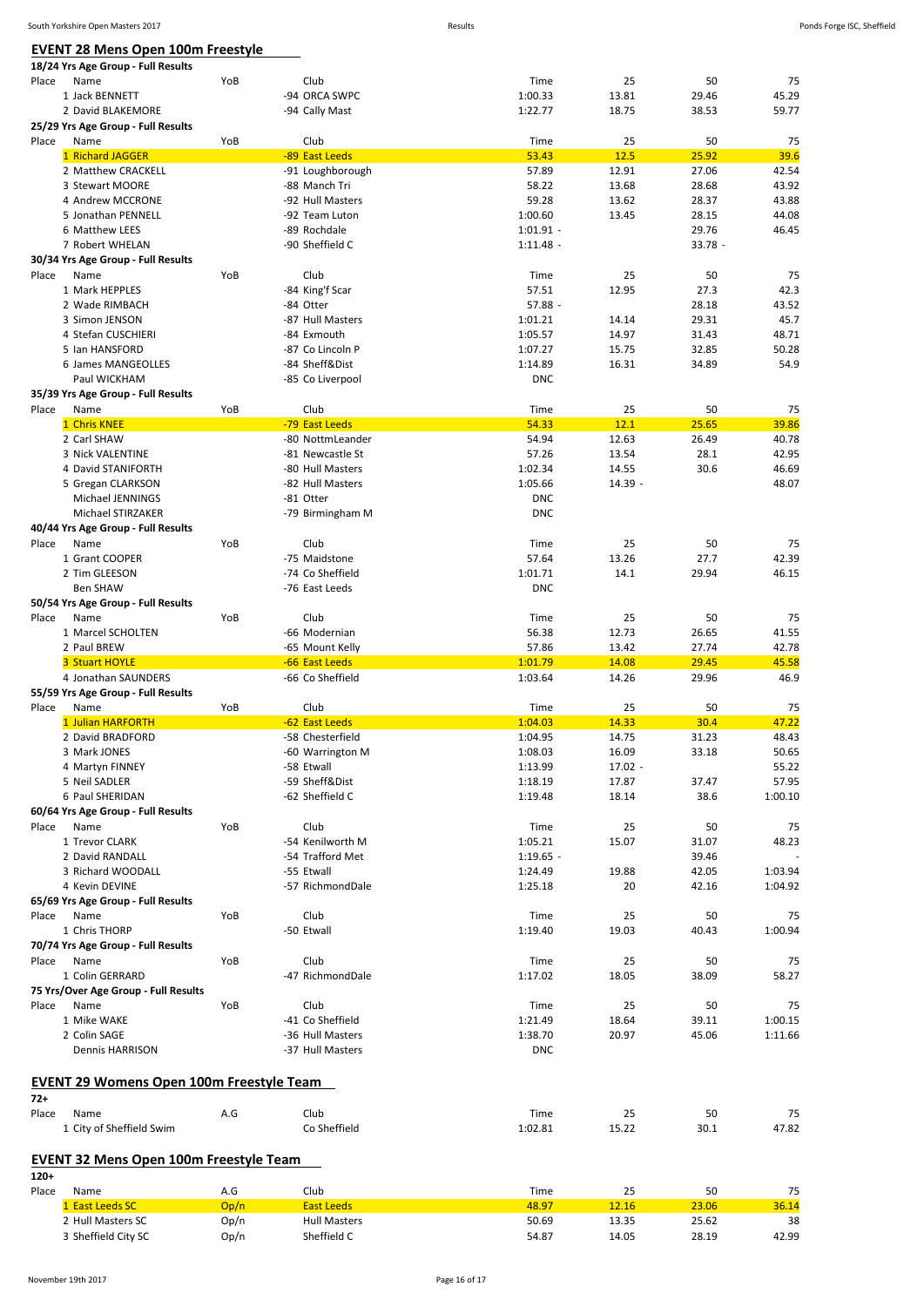### **EVENT 28 Mens Open 100m Freestyle**

|        | - - - - - - - - - - - - - - -<br>18/24 Yrs Age Group - Full Results |              |                                    |                            |                |                    |                |
|--------|---------------------------------------------------------------------|--------------|------------------------------------|----------------------------|----------------|--------------------|----------------|
| Place  | Name                                                                | YoB          | Club                               | Time                       | 25             | 50                 | 75             |
|        | 1 Jack BENNETT                                                      |              | -94 ORCA SWPC                      | 1:00.33                    | 13.81          | 29.46              | 45.29          |
|        | 2 David BLAKEMORE                                                   |              | -94 Cally Mast                     | 1:22.77                    | 18.75          | 38.53              | 59.77          |
|        | 25/29 Yrs Age Group - Full Results                                  |              |                                    |                            |                |                    |                |
| Place  | Name                                                                | YoB          | Club                               | Time                       | 25             | 50                 | 75             |
|        | 1 Richard JAGGER                                                    |              | -89 East Leeds                     | 53.43                      | 12.5           | 25.92              | 39.6           |
|        | 2 Matthew CRACKELL                                                  |              | -91 Loughborough                   | 57.89                      | 12.91          | 27.06              | 42.54          |
|        | 3 Stewart MOORE                                                     |              | -88 Manch Tri                      | 58.22                      | 13.68          | 28.68              | 43.92          |
|        | 4 Andrew MCCRONE                                                    |              | -92 Hull Masters                   | 59.28                      | 13.62          | 28.37              | 43.88          |
|        | 5 Jonathan PENNELL                                                  |              | -92 Team Luton                     | 1:00.60                    | 13.45          | 28.15              | 44.08          |
|        | 6 Matthew LEES<br>7 Robert WHELAN                                   |              | -89 Rochdale<br>-90 Sheffield C    | $1:01.91 -$<br>$1:11.48 -$ |                | 29.76<br>$33.78 -$ | 46.45          |
|        | 30/34 Yrs Age Group - Full Results                                  |              |                                    |                            |                |                    |                |
| Place  | Name                                                                | YoB          | Club                               | Time                       | 25             | 50                 | 75             |
|        | 1 Mark HEPPLES                                                      |              | -84 King'f Scar                    | 57.51                      | 12.95          | 27.3               | 42.3           |
|        | 2 Wade RIMBACH                                                      |              | -84 Otter                          | $57.88 -$                  |                | 28.18              | 43.52          |
|        | 3 Simon JENSON                                                      |              | -87 Hull Masters                   | 1:01.21                    | 14.14          | 29.31              | 45.7           |
|        | 4 Stefan CUSCHIERI                                                  |              | -84 Exmouth                        | 1:05.57                    | 14.97          | 31.43              | 48.71          |
|        | 5 Ian HANSFORD                                                      |              | -87 Co Lincoln P                   | 1:07.27                    | 15.75          | 32.85              | 50.28          |
|        | 6 James MANGEOLLES                                                  |              | -84 Sheff&Dist                     | 1:14.89                    | 16.31          | 34.89              | 54.9           |
|        | Paul WICKHAM                                                        |              | -85 Co Liverpool                   | <b>DNC</b>                 |                |                    |                |
|        | 35/39 Yrs Age Group - Full Results                                  |              |                                    |                            |                |                    |                |
| Place  | Name                                                                | YoB          | Club                               | Time                       | 25             | 50                 | 75             |
|        | 1 Chris KNEE                                                        |              | -79 East Leeds                     | 54.33                      | 12.1           | 25.65              | 39.86          |
|        | 2 Carl SHAW                                                         |              | -80 NottmLeander                   | 54.94                      | 12.63          | 26.49              | 40.78          |
|        | 3 Nick VALENTINE                                                    |              | -81 Newcastle St                   | 57.26                      | 13.54          | 28.1               | 42.95          |
|        | 4 David STANIFORTH                                                  |              | -80 Hull Masters                   | 1:02.34                    | 14.55          | 30.6               | 46.69          |
|        | 5 Gregan CLARKSON                                                   |              | -82 Hull Masters                   | 1:05.66                    | $14.39 -$      |                    | 48.07          |
|        | Michael JENNINGS                                                    |              | -81 Otter                          | <b>DNC</b>                 |                |                    |                |
|        | Michael STIRZAKER                                                   |              | -79 Birmingham M                   | <b>DNC</b>                 |                |                    |                |
|        | 40/44 Yrs Age Group - Full Results                                  |              |                                    |                            |                |                    |                |
| Place  | Name                                                                | YoB          | Club<br>-75 Maidstone              | Time                       | 25<br>13.26    | 50<br>27.7         | 75             |
|        | 1 Grant COOPER<br>2 Tim GLEESON                                     |              | -74 Co Sheffield                   | 57.64<br>1:01.71           | 14.1           | 29.94              | 42.39<br>46.15 |
|        | <b>Ben SHAW</b>                                                     |              | -76 East Leeds                     | <b>DNC</b>                 |                |                    |                |
|        | 50/54 Yrs Age Group - Full Results                                  |              |                                    |                            |                |                    |                |
| Place  | Name                                                                | YoB          | Club                               | Time                       | 25             | 50                 | 75             |
|        | 1 Marcel SCHOLTEN                                                   |              | -66 Modernian                      | 56.38                      | 12.73          | 26.65              | 41.55          |
|        | 2 Paul BREW                                                         |              | -65 Mount Kelly                    | 57.86                      | 13.42          | 27.74              | 42.78          |
|        | 3 Stuart HOYLE                                                      |              | -66 East Leeds                     | 1:01.79                    | 14.08          | 29.45              | 45.58          |
|        | 4 Jonathan SAUNDERS                                                 |              | -66 Co Sheffield                   | 1:03.64                    | 14.26          | 29.96              | 46.9           |
|        | 55/59 Yrs Age Group - Full Results                                  |              |                                    |                            |                |                    |                |
| Place  | Name                                                                | YoB          | Club                               | Time                       | 25             | 50                 | 75             |
|        |                                                                     |              | -62 East Leeds                     | 1:04.03                    | 14.33          | 30.4               | 47.22          |
|        | 1 Julian HARFORTH                                                   |              |                                    |                            |                |                    | 48.43          |
|        | 2 David BRADFORD                                                    |              | -58 Chesterfield                   | 1:04.95                    | 14.75          | 31.23              |                |
|        | 3 Mark JONES                                                        |              | -60 Warrington M                   | 1:08.03                    | 16.09          | 33.18              | 50.65          |
|        | 4 Martyn FINNEY                                                     |              | -58 Etwall                         | 1:13.99                    | $17.02 -$      |                    | 55.22          |
|        | 5 Neil SADLER                                                       |              | -59 Sheff&Dist                     | 1:18.19                    | 17.87          | 37.47              | 57.95          |
|        | 6 Paul SHERIDAN                                                     |              | -62 Sheffield C                    | 1:19.48                    | 18.14          | 38.6               | 1:00.10        |
|        | 60/64 Yrs Age Group - Full Results                                  |              |                                    |                            |                |                    |                |
| Place  | Name                                                                | YoB          | Club                               | Time                       | 25             | 50                 | 75             |
|        | 1 Trevor CLARK                                                      |              | -54 Kenilworth M                   | 1:05.21                    | 15.07          | 31.07              | 48.23          |
|        | 2 David RANDALL                                                     |              | -54 Trafford Met                   | $1:19.65 -$                |                | 39.46              |                |
|        | 3 Richard WOODALL                                                   |              | -55 Etwall                         | 1:24.49                    | 19.88          | 42.05              | 1:03.94        |
|        | 4 Kevin DEVINE                                                      |              | -57 RichmondDale                   | 1:25.18                    | 20             | 42.16              | 1:04.92        |
|        | 65/69 Yrs Age Group - Full Results                                  |              |                                    |                            |                |                    |                |
| Place  | Name<br>1 Chris THORP                                               | YoB          | Club<br>-50 Etwall                 | Time<br>1:19.40            | 25<br>19.03    | 50<br>40.43        | 75<br>1:00.94  |
|        |                                                                     |              |                                    |                            |                |                    |                |
| Place  | 70/74 Yrs Age Group - Full Results<br>Name                          | YoB          | Club                               | Time                       | 25             | 50                 | 75             |
|        | 1 Colin GERRARD                                                     |              | -47 RichmondDale                   | 1:17.02                    | 18.05          | 38.09              | 58.27          |
|        | 75 Yrs/Over Age Group - Full Results                                |              |                                    |                            |                |                    |                |
| Place  | Name                                                                | YoB          | Club                               | Time                       | 25             | 50                 | 75             |
|        | 1 Mike WAKE                                                         |              | -41 Co Sheffield                   | 1:21.49                    | 18.64          | 39.11              | 1:00.15        |
|        | 2 Colin SAGE                                                        |              | -36 Hull Masters                   | 1:38.70                    | 20.97          | 45.06              | 1:11.66        |
|        | Dennis HARRISON                                                     |              | -37 Hull Masters                   | <b>DNC</b>                 |                |                    |                |
|        |                                                                     |              |                                    |                            |                |                    |                |
|        | <b>EVENT 29 Womens Open 100m Freestyle Team</b>                     |              |                                    |                            |                |                    |                |
| $72+$  |                                                                     |              |                                    |                            |                |                    |                |
| Place  | Name                                                                | A.G          | Club                               | Time                       | 25             | 50                 | 75             |
|        | 1 City of Sheffield Swim                                            |              | Co Sheffield                       | 1:02.81                    | 15.22          | 30.1               | 47.82          |
|        |                                                                     |              |                                    |                            |                |                    |                |
|        | <b>EVENT 32 Mens Open 100m Freestyle Team</b>                       |              |                                    |                            |                |                    |                |
| $120+$ |                                                                     |              |                                    |                            |                |                    |                |
| Place  | Name                                                                | A.G          | Club                               | Time                       | 25             | 50                 | 75             |
|        | 1 East Leeds SC                                                     | Op/n         | <b>East Leeds</b>                  | 48.97                      | 12.16          | 23.06              | 36.14          |
|        | 2 Hull Masters SC<br>3 Sheffield City SC                            | Op/n<br>Op/n | <b>Hull Masters</b><br>Sheffield C | 50.69<br>54.87             | 13.35<br>14.05 | 25.62<br>28.19     | 38<br>42.99    |